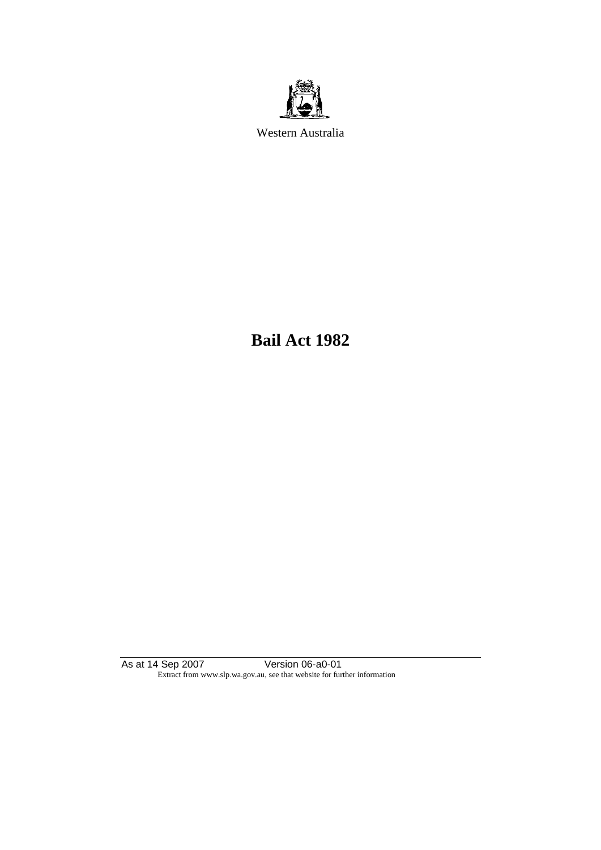

Western Australia

**Bail Act 1982**

As at 14 Sep 2007 Version 06-a0-01 Extract from www.slp.wa.gov.au, see that website for further information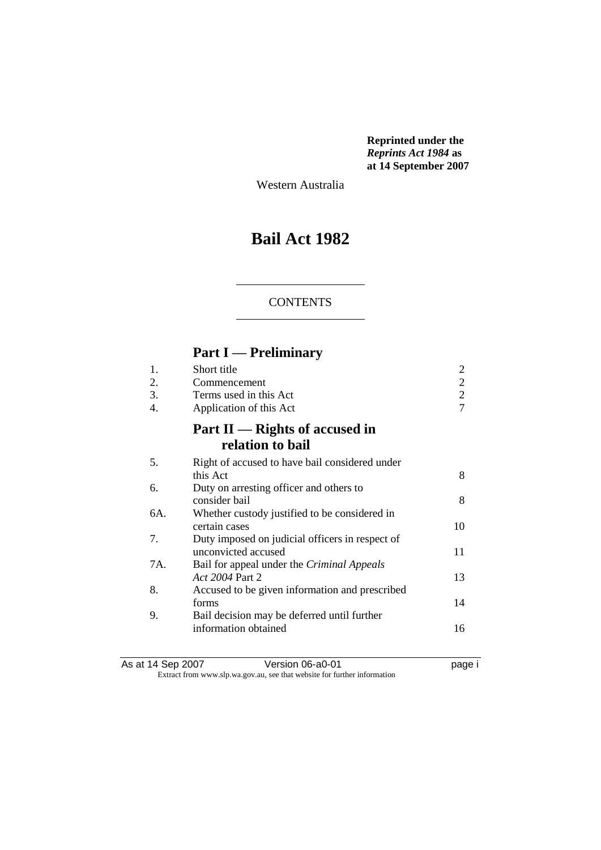**Reprinted under the**  *Reprints Act 1984* **as at 14 September 2007**

Western Australia

# **Bail Act 1982**

## **CONTENTS**

# **Part I — Preliminary**

| 1.  | Short title                                     |                |
|-----|-------------------------------------------------|----------------|
| 2.  | Commencement                                    | 2              |
| 3.  | Terms used in this Act                          | $\overline{2}$ |
| 4.  | Application of this Act                         | 7              |
|     | Part II — Rights of accused in                  |                |
|     | relation to bail                                |                |
| 5.  | Right of accused to have bail considered under  |                |
|     | this Act                                        | 8              |
| 6.  | Duty on arresting officer and others to         |                |
|     | consider bail                                   | 8              |
| 6A. | Whether custody justified to be considered in   |                |
|     | certain cases                                   | 10             |
| 7.  | Duty imposed on judicial officers in respect of |                |
|     | unconvicted accused                             | 11             |
| 7A. | Bail for appeal under the Criminal Appeals      |                |
|     | Act 2004 Part 2                                 | 13             |
| 8.  | Accused to be given information and prescribed  |                |
|     | forms                                           | 14             |
| 9.  | Bail decision may be deferred until further     |                |
|     | information obtained                            | 16             |
|     |                                                 |                |

As at 14 Sep 2007 **Version 06-a0-01 Page i** page i Extract from www.slp.wa.gov.au, see that website for further information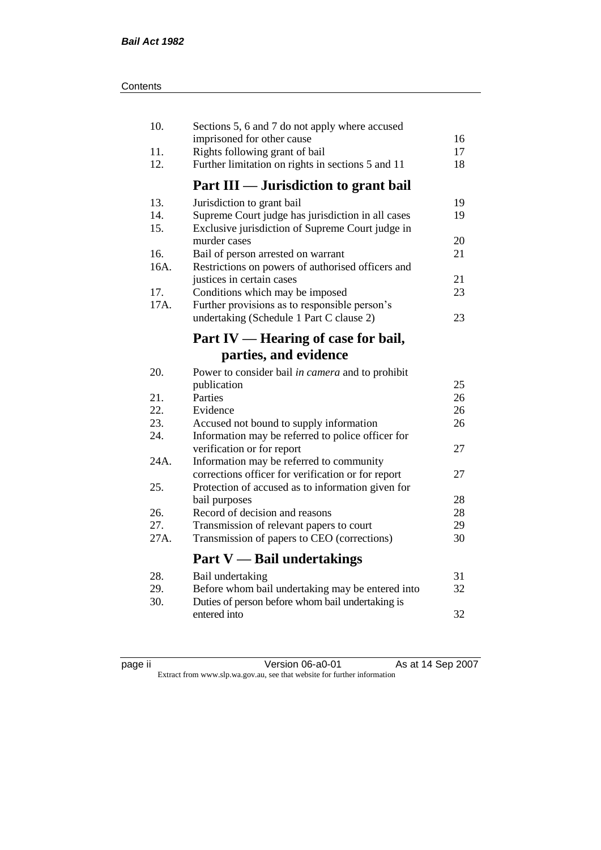| 10.        | Sections 5, 6 and 7 do not apply where accused                                      |          |
|------------|-------------------------------------------------------------------------------------|----------|
|            | imprisoned for other cause                                                          | 16       |
| 11.<br>12. | Rights following grant of bail<br>Further limitation on rights in sections 5 and 11 | 17<br>18 |
|            | Part III — Jurisdiction to grant bail                                               |          |
| 13.        | Jurisdiction to grant bail                                                          | 19       |
| 14.        | Supreme Court judge has jurisdiction in all cases                                   | 19       |
| 15.        | Exclusive jurisdiction of Supreme Court judge in                                    |          |
|            | murder cases                                                                        | 20       |
| 16.        | Bail of person arrested on warrant                                                  | 21       |
| 16A.       | Restrictions on powers of authorised officers and                                   |          |
|            | justices in certain cases                                                           | 21       |
| 17.        | Conditions which may be imposed                                                     | 23       |
| 17A.       | Further provisions as to responsible person's                                       |          |
|            | undertaking (Schedule 1 Part C clause 2)                                            | 23       |
|            | Part IV — Hearing of case for bail,                                                 |          |
|            | parties, and evidence                                                               |          |
| 20.        | Power to consider bail in camera and to prohibit                                    |          |
|            | publication                                                                         | 25       |
| 21.        | Parties                                                                             | 26       |
| 22.        | Evidence                                                                            | 26       |
| 23.        | Accused not bound to supply information                                             | 26       |
| 24.        | Information may be referred to police officer for                                   |          |
|            | verification or for report                                                          | 27       |
| 24A.       | Information may be referred to community                                            |          |
|            | corrections officer for verification or for report                                  | 27       |
| 25.        | Protection of accused as to information given for                                   |          |
|            | bail purposes                                                                       | 28       |
| 26.        | Record of decision and reasons                                                      | 28       |
| 27.        | Transmission of relevant papers to court                                            | 29       |
| 27A.       | Transmission of papers to CEO (corrections)                                         | 30       |
|            | <b>Part V</b> — Bail undertakings                                                   |          |
| 28.        | Bail undertaking                                                                    | 31       |
| 29.        | Before whom bail undertaking may be entered into                                    | 32       |
| 30.        | Duties of person before whom bail undertaking is                                    |          |
|            | entered into                                                                        | 32       |
|            |                                                                                     |          |

| æ<br>ı sa<br>г |  |
|----------------|--|
|                |  |

page ii Version 06-a0-01 As at 14 Sep 2007 Extract from www.slp.wa.gov.au, see that website for further information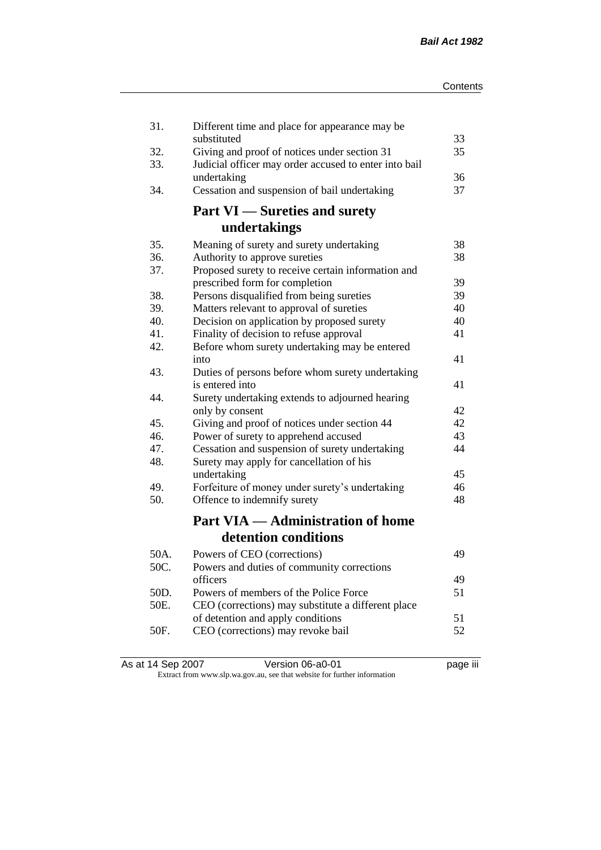| 31.  | Different time and place for appearance may be        |          |
|------|-------------------------------------------------------|----------|
|      | substituted                                           | 33       |
| 32.  | Giving and proof of notices under section 31          | 35       |
| 33.  | Judicial officer may order accused to enter into bail |          |
| 34.  | undertaking                                           | 36<br>37 |
|      | Cessation and suspension of bail undertaking          |          |
|      | <b>Part VI</b> — Sureties and surety                  |          |
|      | undertakings                                          |          |
| 35.  | Meaning of surety and surety undertaking              | 38       |
| 36.  | Authority to approve sureties                         | 38       |
| 37.  | Proposed surety to receive certain information and    |          |
|      | prescribed form for completion                        | 39       |
| 38.  | Persons disqualified from being sureties              | 39       |
| 39.  | Matters relevant to approval of sureties              | 40       |
| 40.  | Decision on application by proposed surety            | 40       |
| 41.  | Finality of decision to refuse approval               | 41       |
| 42.  | Before whom surety undertaking may be entered         |          |
|      | into                                                  | 41       |
| 43.  | Duties of persons before whom surety undertaking      |          |
|      | is entered into                                       | 41       |
| 44.  | Surety undertaking extends to adjourned hearing       |          |
|      | only by consent                                       | 42       |
| 45.  | Giving and proof of notices under section 44          | 42       |
| 46.  | Power of surety to apprehend accused                  | 43       |
| 47.  | Cessation and suspension of surety undertaking        | 44       |
| 48.  | Surety may apply for cancellation of his              |          |
|      | undertaking                                           | 45       |
| 49.  | Forfeiture of money under surety's undertaking        | 46       |
| 50.  | Offence to indemnify surety                           | 48       |
|      | <b>Part VIA — Administration of home</b>              |          |
|      | detention conditions                                  |          |
| 50A. | Powers of CEO (corrections)                           | 49       |
| 50C. | Powers and duties of community corrections            |          |
|      | officers                                              | 49       |
| 50D. | Powers of members of the Police Force                 | 51       |
| 50E. | CEO (corrections) may substitute a different place    |          |
|      | of detention and apply conditions                     | 51       |
| 50F. | CEO (corrections) may revoke bail                     | 52       |
|      |                                                       |          |

| As at 14 Sep 2007 | Version 06-a0-01                                                         | <br>page III |
|-------------------|--------------------------------------------------------------------------|--------------|
|                   | Extract from www.slp.wa.gov.au, see that website for further information |              |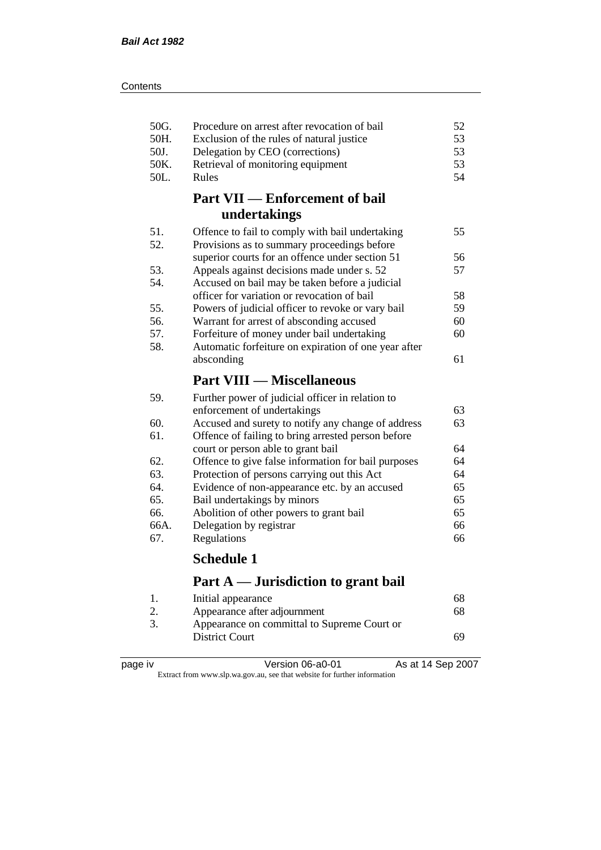| 50G.<br>50H. | Procedure on arrest after revocation of bail<br>Exclusion of the rules of natural justice | 52<br>53 |
|--------------|-------------------------------------------------------------------------------------------|----------|
| 50J.         | Delegation by CEO (corrections)                                                           | 53       |
| 50K.         | Retrieval of monitoring equipment                                                         | 53       |
| 50L.         | Rules                                                                                     | 54       |
|              | <b>Part VII — Enforcement of bail</b>                                                     |          |
|              | undertakings                                                                              |          |
| 51.          | Offence to fail to comply with bail undertaking                                           | 55       |
| 52.          | Provisions as to summary proceedings before                                               |          |
|              | superior courts for an offence under section 51                                           | 56       |
| 53.          | Appeals against decisions made under s. 52                                                | 57       |
| 54.          | Accused on bail may be taken before a judicial                                            |          |
|              | officer for variation or revocation of bail                                               | 58       |
| 55.          | Powers of judicial officer to revoke or vary bail                                         | 59       |
| 56.          | Warrant for arrest of absconding accused                                                  | 60       |
| 57.          | Forfeiture of money under bail undertaking                                                | 60       |
| 58.          | Automatic forfeiture on expiration of one year after                                      |          |
|              | absconding                                                                                | 61       |
|              |                                                                                           |          |
|              | <b>Part VIII — Miscellaneous</b>                                                          |          |
| 59.          | Further power of judicial officer in relation to                                          |          |
|              | enforcement of undertakings                                                               | 63       |
| 60.          | Accused and surety to notify any change of address                                        | 63       |
| 61.          | Offence of failing to bring arrested person before                                        |          |
|              | court or person able to grant bail                                                        | 64       |
| 62.          | Offence to give false information for bail purposes                                       | 64       |
| 63.          | Protection of persons carrying out this Act                                               | 64       |
| 64.          | Evidence of non-appearance etc. by an accused                                             | 65       |
| 65.          | Bail undertakings by minors                                                               | 65       |
| 66.          | Abolition of other powers to grant bail                                                   | 65       |
| 66A.         | Delegation by registrar                                                                   | 66       |
| 67.          | Regulations                                                                               | 66       |
|              | <b>Schedule 1</b>                                                                         |          |
|              | Part A — Jurisdiction to grant bail                                                       |          |
| 1.           |                                                                                           | 68       |
| 2.           | Initial appearance<br>Appearance after adjournment                                        | 68       |

| page | . IV |
|------|------|
|      |      |

page iv Version 06-a0-01 As at 14 Sep 2007 Extract from www.slp.wa.gov.au, see that website for further information

District Court 69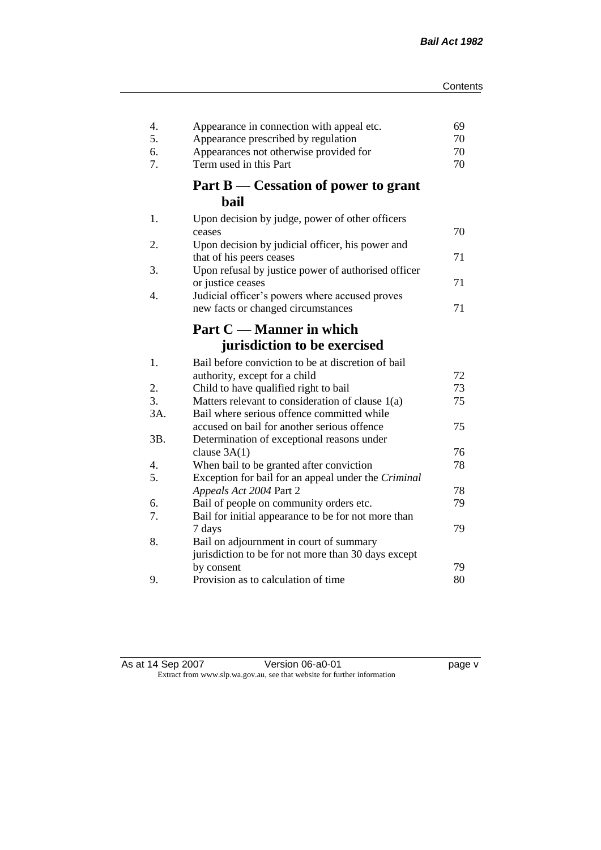| 4.<br>5. | Appearance in connection with appeal etc.<br>Appearance prescribed by regulation     | 69<br>70 |
|----------|--------------------------------------------------------------------------------------|----------|
| 6.       | Appearances not otherwise provided for                                               | 70       |
| 7.       | Term used in this Part                                                               | 70       |
|          | Part B — Cessation of power to grant                                                 |          |
|          | bail                                                                                 |          |
| 1.       | Upon decision by judge, power of other officers<br>ceases                            | 70       |
| 2.       | Upon decision by judicial officer, his power and<br>that of his peers ceases         | 71       |
| 3.       | Upon refusal by justice power of authorised officer                                  |          |
|          | or justice ceases                                                                    | 71       |
| 4.       | Judicial officer's powers where accused proves<br>new facts or changed circumstances | 71       |
|          |                                                                                      |          |
|          | Part C — Manner in which                                                             |          |
|          | jurisdiction to be exercised                                                         |          |
| 1.       | Bail before conviction to be at discretion of bail                                   |          |
|          | authority, except for a child                                                        | 72       |
| 2.       | Child to have qualified right to bail                                                | 73       |
| 3.       | Matters relevant to consideration of clause 1(a)                                     | 75       |
| 3A.      | Bail where serious offence committed while                                           |          |
|          | accused on bail for another serious offence                                          | 75       |
| 3B.      | Determination of exceptional reasons under                                           |          |
|          | clause $3A(1)$                                                                       | 76       |
| 4.<br>5. | When bail to be granted after conviction                                             | 78       |
|          | Exception for bail for an appeal under the Criminal<br>Appeals Act 2004 Part 2       | 78       |
| 6.       | Bail of people on community orders etc.                                              | 79       |
| 7.       | Bail for initial appearance to be for not more than                                  |          |
|          | 7 days                                                                               | 79       |
| 8.       | Bail on adjournment in court of summary                                              |          |
|          | jurisdiction to be for not more than 30 days except                                  |          |
|          | by consent                                                                           | 79       |
| 9.       | Provision as to calculation of time                                                  | 80       |

| As at 14 Sep 2007 | Version 06-a0-01                                                         | page v |
|-------------------|--------------------------------------------------------------------------|--------|
|                   | Extract from www.slp.wa.gov.au, see that website for further information |        |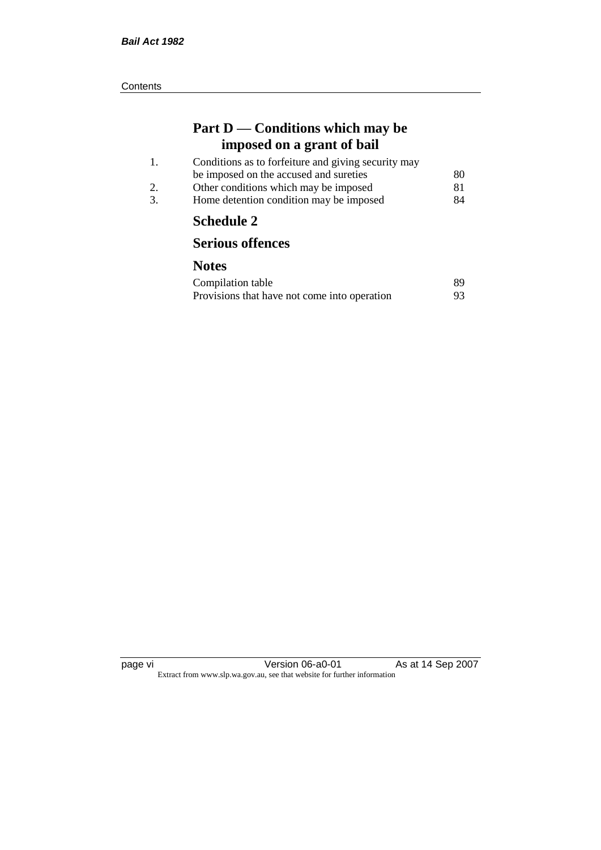| Part D — Conditions which may be |
|----------------------------------|
| imposed on a grant of bail       |

|                       | <b>Schedule 2</b>                                   |    |
|-----------------------|-----------------------------------------------------|----|
| 3.                    | Home detention condition may be imposed             | 84 |
| $\mathcal{D}_{\cdot}$ | Other conditions which may be imposed               | 81 |
|                       | be imposed on the accused and sureties              | 80 |
|                       | Conditions as to forfeiture and giving security may |    |

# **Serious offences**

| Compilation table                            | 89 |
|----------------------------------------------|----|
| Provisions that have not come into operation | 93 |

page vi Version 06-a0-01 As at 14 Sep 2007 Extract from www.slp.wa.gov.au, see that website for further information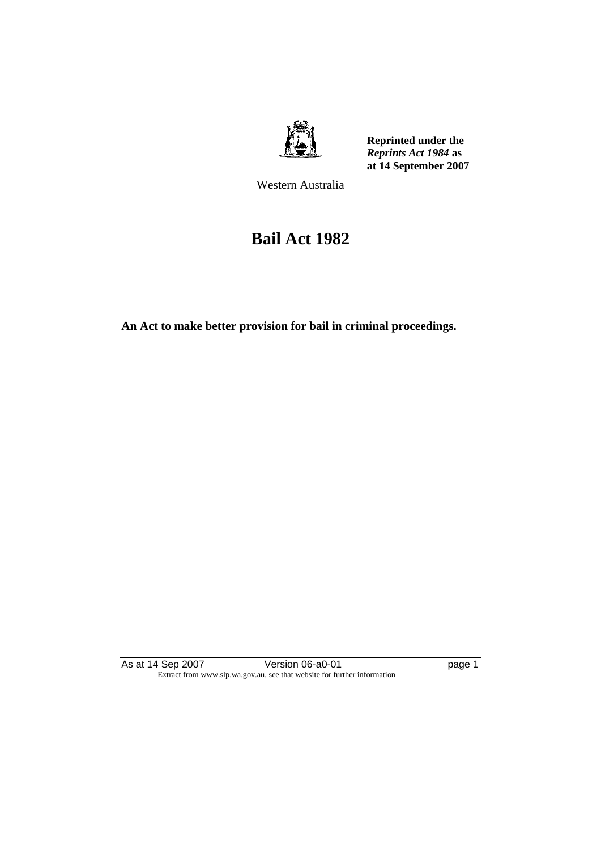

**Reprinted under the**  *Reprints Act 1984* **as at 14 September 2007**

Western Australia

# **Bail Act 1982**

**An Act to make better provision for bail in criminal proceedings.** 

As at 14 Sep 2007 **Version 06-a0-01 Page 1 page 1** Extract from www.slp.wa.gov.au, see that website for further information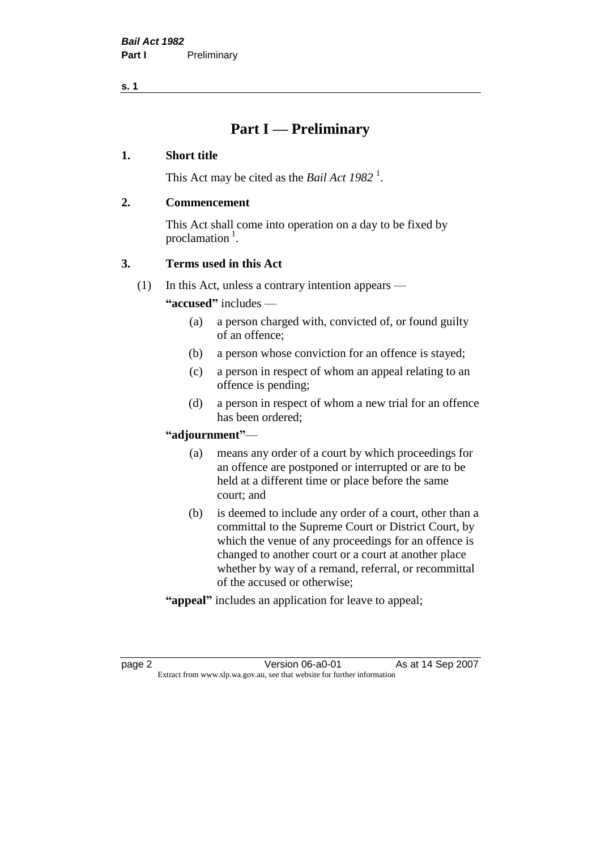# **Part I — Preliminary**

#### **1. Short title**

This Act may be cited as the *Bail Act* 1982<sup>1</sup>.

#### **2. Commencement**

This Act shall come into operation on a day to be fixed by proclamation  $<sup>1</sup>$ .</sup>

# **3. Terms used in this Act**

(1) In this Act, unless a contrary intention appears —

**"accused"** includes —

- (a) a person charged with, convicted of, or found guilty of an offence;
- (b) a person whose conviction for an offence is stayed;
- (c) a person in respect of whom an appeal relating to an offence is pending;
- (d) a person in respect of whom a new trial for an offence has been ordered;

#### **"adjournment"**—

- (a) means any order of a court by which proceedings for an offence are postponed or interrupted or are to be held at a different time or place before the same court; and
- (b) is deemed to include any order of a court, other than a committal to the Supreme Court or District Court, by which the venue of any proceedings for an offence is changed to another court or a court at another place whether by way of a remand, referral, or recommittal of the accused or otherwise;
- **"appeal"** includes an application for leave to appeal;

page 2 Version 06-a0-01 As at 14 Sep 2007 Extract from www.slp.wa.gov.au, see that website for further information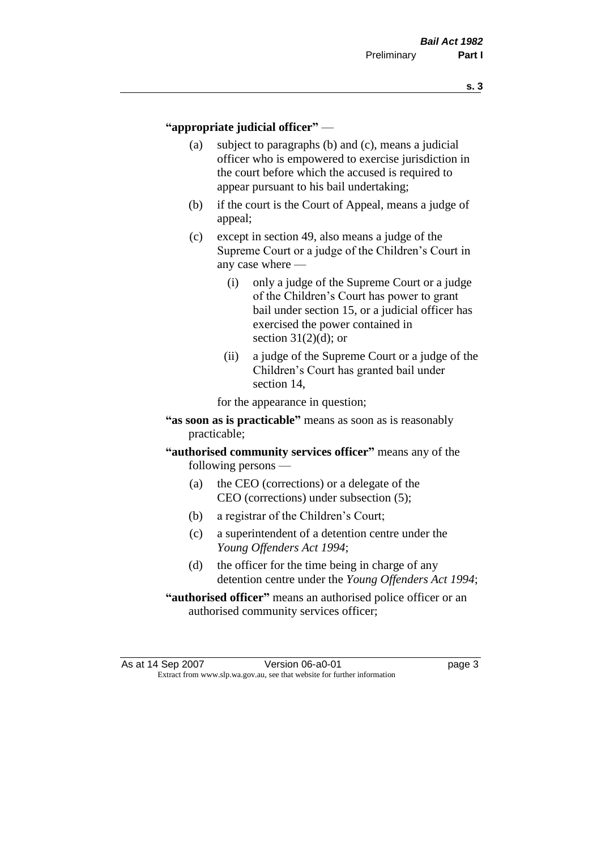#### **"appropriate judicial officer"** —

- (a) subject to paragraphs (b) and (c), means a judicial officer who is empowered to exercise jurisdiction in the court before which the accused is required to appear pursuant to his bail undertaking;
- (b) if the court is the Court of Appeal, means a judge of appeal;
- (c) except in section 49, also means a judge of the Supreme Court or a judge of the Children's Court in any case where —
	- (i) only a judge of the Supreme Court or a judge of the Children's Court has power to grant bail under section 15, or a judicial officer has exercised the power contained in section  $31(2)(d)$ ; or
	- (ii) a judge of the Supreme Court or a judge of the Children's Court has granted bail under section 14,

for the appearance in question;

- **"as soon as is practicable"** means as soon as is reasonably practicable;
- **"authorised community services officer"** means any of the following persons —
	- (a) the CEO (corrections) or a delegate of the CEO (corrections) under subsection (5);
	- (b) a registrar of the Children's Court;
	- (c) a superintendent of a detention centre under the *Young Offenders Act 1994*;
	- (d) the officer for the time being in charge of any detention centre under the *Young Offenders Act 1994*;
- **"authorised officer"** means an authorised police officer or an authorised community services officer;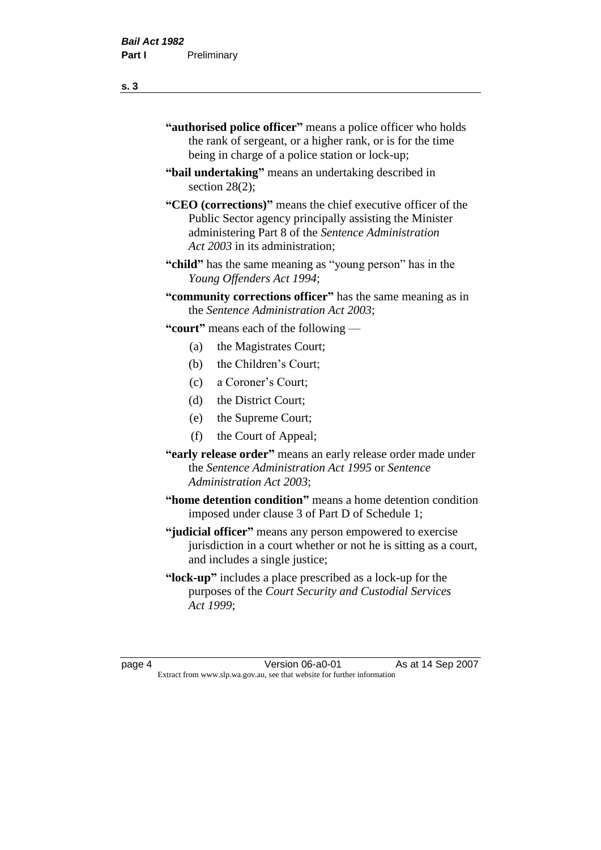- **"authorised police officer"** means a police officer who holds the rank of sergeant, or a higher rank, or is for the time being in charge of a police station or lock-up;
- **"bail undertaking"** means an undertaking described in section 28(2):
- **"CEO (corrections)"** means the chief executive officer of the Public Sector agency principally assisting the Minister administering Part 8 of the *Sentence Administration Act 2003* in its administration;
- **"child"** has the same meaning as "young person" has in the *Young Offenders Act 1994*;
- **"community corrections officer"** has the same meaning as in the *Sentence Administration Act 2003*;

**"court"** means each of the following —

- (a) the Magistrates Court;
- (b) the Children's Court;
- (c) a Coroner's Court;
- (d) the District Court;
- (e) the Supreme Court;
- (f) the Court of Appeal;
- **"early release order"** means an early release order made under the *Sentence Administration Act 1995* or *Sentence Administration Act 2003*;
- **"home detention condition"** means a home detention condition imposed under clause 3 of Part D of Schedule 1;
- **"judicial officer"** means any person empowered to exercise jurisdiction in a court whether or not he is sitting as a court, and includes a single justice;
- **"lock-up"** includes a place prescribed as a lock-up for the purposes of the *Court Security and Custodial Services Act 1999*;

page 4 Version 06-a0-01 As at 14 Sep 2007 Extract from www.slp.wa.gov.au, see that website for further information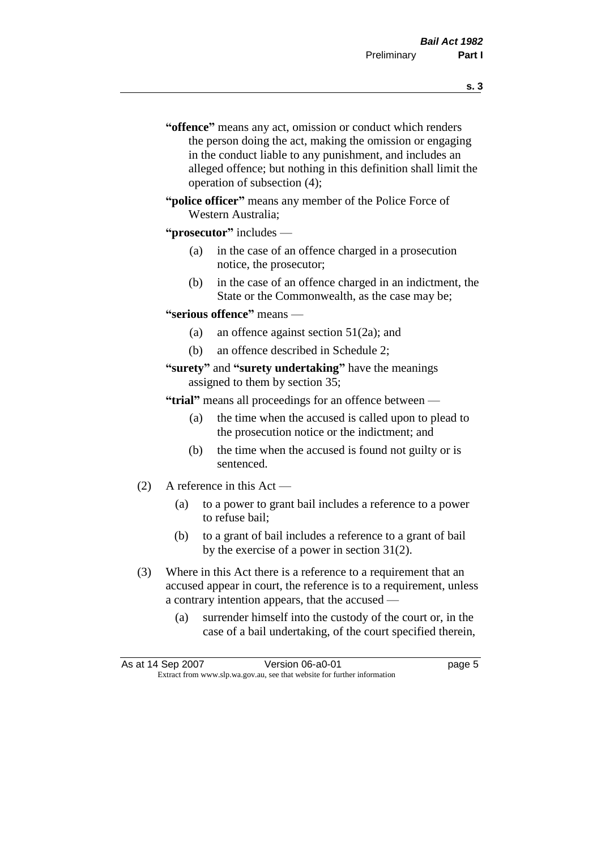- **s. 3**
- **"offence"** means any act, omission or conduct which renders the person doing the act, making the omission or engaging in the conduct liable to any punishment, and includes an alleged offence; but nothing in this definition shall limit the operation of subsection (4);
- **"police officer"** means any member of the Police Force of Western Australia;

#### **"prosecutor"** includes —

- (a) in the case of an offence charged in a prosecution notice, the prosecutor;
- (b) in the case of an offence charged in an indictment, the State or the Commonwealth, as the case may be;

#### **"serious offence"** means —

- (a) an offence against section 51(2a); and
- (b) an offence described in Schedule 2;
- **"surety"** and **"surety undertaking"** have the meanings assigned to them by section 35;

**"trial"** means all proceedings for an offence between —

- (a) the time when the accused is called upon to plead to the prosecution notice or the indictment; and
- (b) the time when the accused is found not guilty or is sentenced.
- (2) A reference in this Act
	- (a) to a power to grant bail includes a reference to a power to refuse bail;
	- (b) to a grant of bail includes a reference to a grant of bail by the exercise of a power in section 31(2).
- (3) Where in this Act there is a reference to a requirement that an accused appear in court, the reference is to a requirement, unless a contrary intention appears, that the accused —
	- (a) surrender himself into the custody of the court or, in the case of a bail undertaking, of the court specified therein,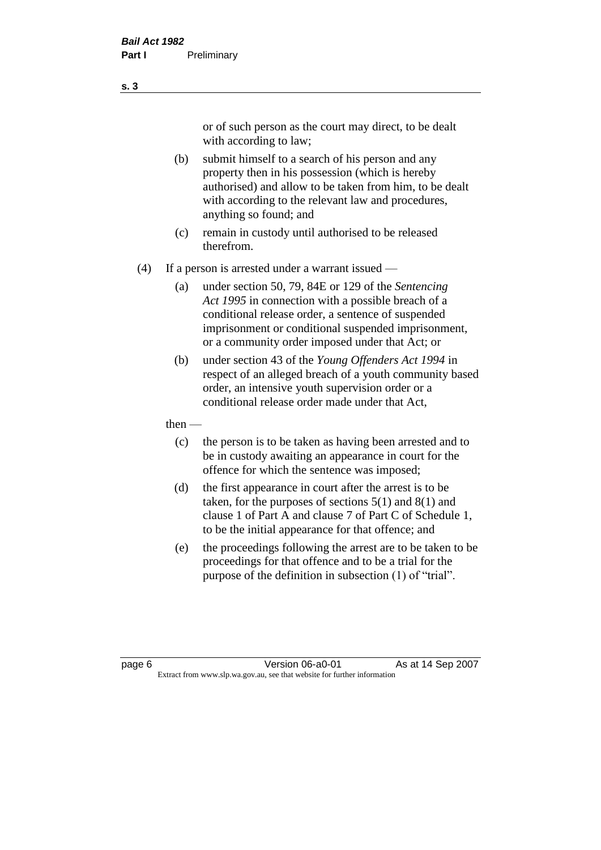or of such person as the court may direct, to be dealt with according to law;

(b) submit himself to a search of his person and any property then in his possession (which is hereby authorised) and allow to be taken from him, to be dealt with according to the relevant law and procedures, anything so found; and

- (c) remain in custody until authorised to be released therefrom.
- (4) If a person is arrested under a warrant issued
	- (a) under section 50, 79, 84E or 129 of the *Sentencing Act 1995* in connection with a possible breach of a conditional release order, a sentence of suspended imprisonment or conditional suspended imprisonment, or a community order imposed under that Act; or
	- (b) under section 43 of the *Young Offenders Act 1994* in respect of an alleged breach of a youth community based order, an intensive youth supervision order or a conditional release order made under that Act,
	- then
		- (c) the person is to be taken as having been arrested and to be in custody awaiting an appearance in court for the offence for which the sentence was imposed;
		- (d) the first appearance in court after the arrest is to be taken, for the purposes of sections  $5(1)$  and  $8(1)$  and clause 1 of Part A and clause 7 of Part C of Schedule 1, to be the initial appearance for that offence; and
		- (e) the proceedings following the arrest are to be taken to be proceedings for that offence and to be a trial for the purpose of the definition in subsection (1) of "trial".

page 6 **Version 06-a0-01** As at 14 Sep 2007 Extract from www.slp.wa.gov.au, see that website for further information

**s. 3**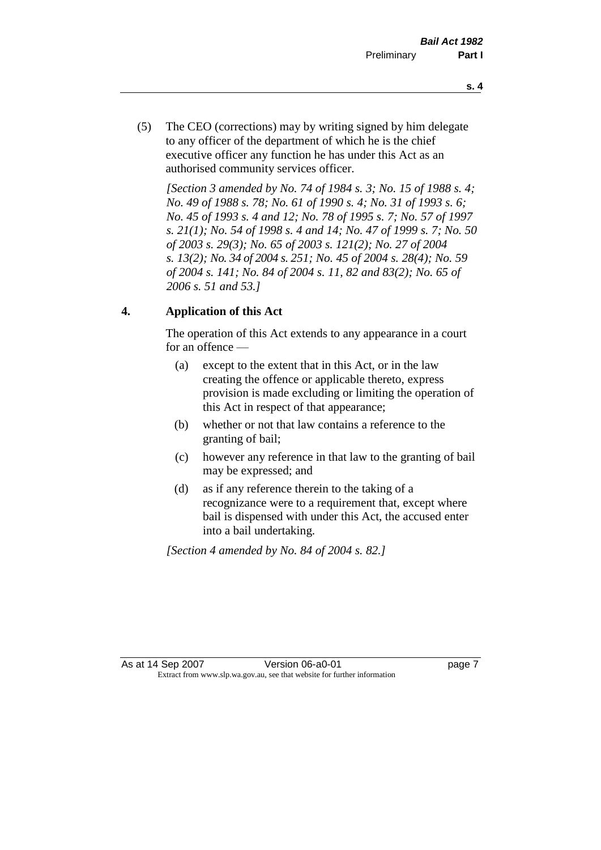- **s. 4**
- (5) The CEO (corrections) may by writing signed by him delegate to any officer of the department of which he is the chief executive officer any function he has under this Act as an authorised community services officer.

*[Section 3 amended by No. 74 of 1984 s. 3; No. 15 of 1988 s. 4; No. 49 of 1988 s. 78; No. 61 of 1990 s. 4; No. 31 of 1993 s. 6; No. 45 of 1993 s. 4 and 12; No. 78 of 1995 s. 7; No. 57 of 1997 s. 21(1); No. 54 of 1998 s. 4 and 14; No. 47 of 1999 s. 7; No. 50 of 2003 s. 29(3); No. 65 of 2003 s. 121(2); No. 27 of 2004 s. 13(2); No. 34 of 2004 s. 251; No. 45 of 2004 s. 28(4); No. 59 of 2004 s. 141; No. 84 of 2004 s. 11, 82 and 83(2); No. 65 of 2006 s. 51 and 53.]* 

# **4. Application of this Act**

The operation of this Act extends to any appearance in a court for an offence —

- (a) except to the extent that in this Act, or in the law creating the offence or applicable thereto, express provision is made excluding or limiting the operation of this Act in respect of that appearance;
- (b) whether or not that law contains a reference to the granting of bail;
- (c) however any reference in that law to the granting of bail may be expressed; and
- (d) as if any reference therein to the taking of a recognizance were to a requirement that, except where bail is dispensed with under this Act, the accused enter into a bail undertaking.

*[Section 4 amended by No. 84 of 2004 s. 82.]*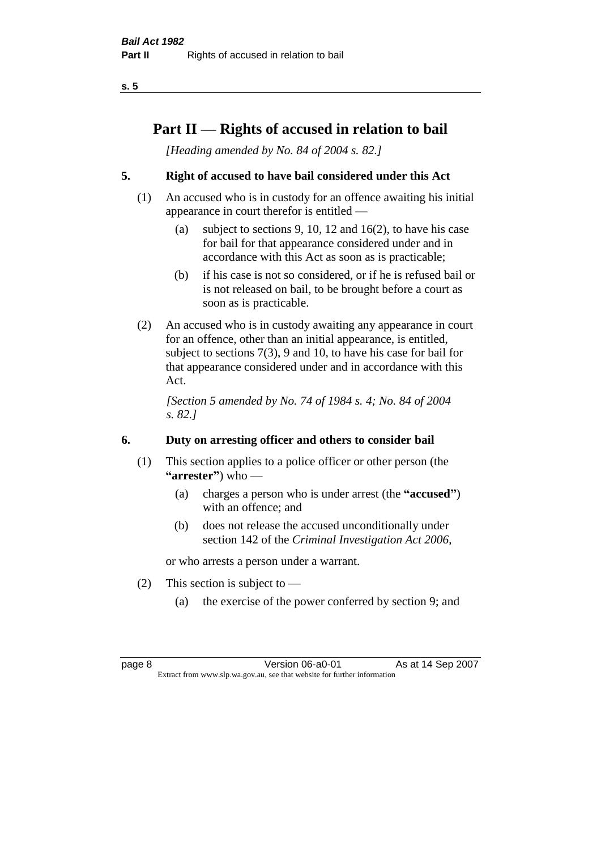# **Part II — Rights of accused in relation to bail**

*[Heading amended by No. 84 of 2004 s. 82.]* 

# **5. Right of accused to have bail considered under this Act**

- (1) An accused who is in custody for an offence awaiting his initial appearance in court therefor is entitled —
	- (a) subject to sections 9, 10, 12 and 16(2), to have his case for bail for that appearance considered under and in accordance with this Act as soon as is practicable;
	- (b) if his case is not so considered, or if he is refused bail or is not released on bail, to be brought before a court as soon as is practicable.
- (2) An accused who is in custody awaiting any appearance in court for an offence, other than an initial appearance, is entitled, subject to sections 7(3), 9 and 10, to have his case for bail for that appearance considered under and in accordance with this Act.

*[Section 5 amended by No. 74 of 1984 s. 4; No. 84 of 2004 s. 82.]* 

# **6. Duty on arresting officer and others to consider bail**

- (1) This section applies to a police officer or other person (the **"arrester"**) who —
	- (a) charges a person who is under arrest (the **"accused"**) with an offence; and
	- (b) does not release the accused unconditionally under section 142 of the *Criminal Investigation Act 2006*,

or who arrests a person under a warrant.

- (2) This section is subject to  $-$ 
	- (a) the exercise of the power conferred by section 9; and

page 8 **Version 06-a0-01** As at 14 Sep 2007 Extract from www.slp.wa.gov.au, see that website for further information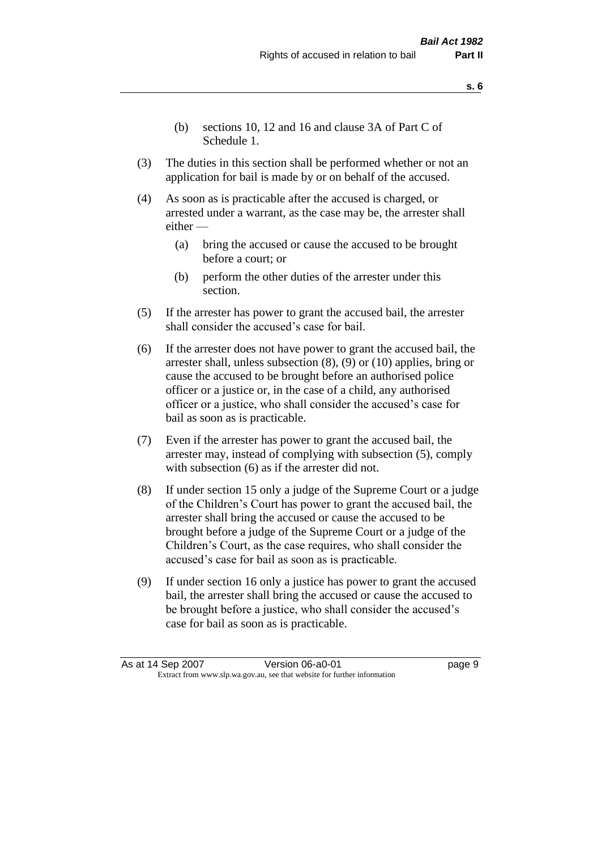- **s. 6**
- (b) sections 10, 12 and 16 and clause 3A of Part C of Schedule 1.
- (3) The duties in this section shall be performed whether or not an application for bail is made by or on behalf of the accused.
- (4) As soon as is practicable after the accused is charged, or arrested under a warrant, as the case may be, the arrester shall either —
	- (a) bring the accused or cause the accused to be brought before a court; or
	- (b) perform the other duties of the arrester under this section.
- (5) If the arrester has power to grant the accused bail, the arrester shall consider the accused's case for bail.
- (6) If the arrester does not have power to grant the accused bail, the arrester shall, unless subsection (8), (9) or (10) applies, bring or cause the accused to be brought before an authorised police officer or a justice or, in the case of a child, any authorised officer or a justice, who shall consider the accused's case for bail as soon as is practicable.
- (7) Even if the arrester has power to grant the accused bail, the arrester may, instead of complying with subsection (5), comply with subsection  $(6)$  as if the arrester did not.
- (8) If under section 15 only a judge of the Supreme Court or a judge of the Children's Court has power to grant the accused bail, the arrester shall bring the accused or cause the accused to be brought before a judge of the Supreme Court or a judge of the Children's Court, as the case requires, who shall consider the accused's case for bail as soon as is practicable.
- (9) If under section 16 only a justice has power to grant the accused bail, the arrester shall bring the accused or cause the accused to be brought before a justice, who shall consider the accused's case for bail as soon as is practicable.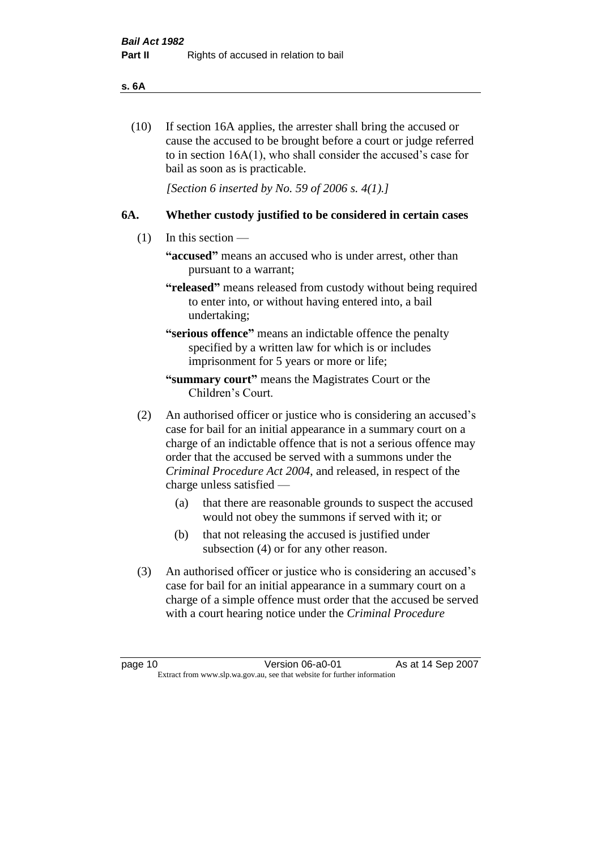#### **s. 6A**

(10) If section 16A applies, the arrester shall bring the accused or cause the accused to be brought before a court or judge referred to in section 16A(1), who shall consider the accused's case for bail as soon as is practicable.

*[Section 6 inserted by No. 59 of 2006 s. 4(1).]* 

#### **6A. Whether custody justified to be considered in certain cases**

- (1) In this section
	- **"accused"** means an accused who is under arrest, other than pursuant to a warrant;
	- **"released"** means released from custody without being required to enter into, or without having entered into, a bail undertaking;

**"serious offence"** means an indictable offence the penalty specified by a written law for which is or includes imprisonment for 5 years or more or life;

- **"summary court"** means the Magistrates Court or the Children's Court.
- (2) An authorised officer or justice who is considering an accused's case for bail for an initial appearance in a summary court on a charge of an indictable offence that is not a serious offence may order that the accused be served with a summons under the *Criminal Procedure Act 2004*, and released, in respect of the charge unless satisfied —
	- (a) that there are reasonable grounds to suspect the accused would not obey the summons if served with it; or
	- (b) that not releasing the accused is justified under subsection (4) or for any other reason.
- (3) An authorised officer or justice who is considering an accused's case for bail for an initial appearance in a summary court on a charge of a simple offence must order that the accused be served with a court hearing notice under the *Criminal Procedure*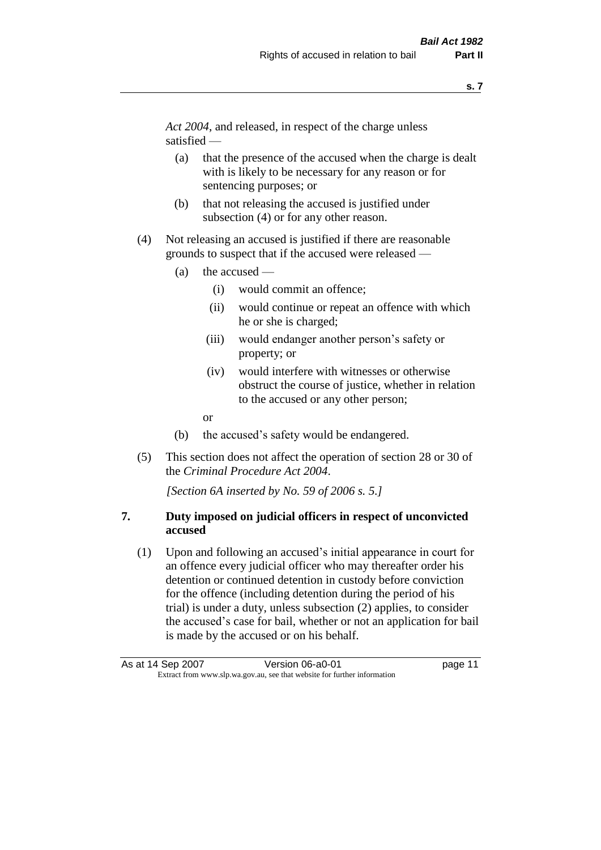*Act 2004*, and released, in respect of the charge unless satisfied —

- (a) that the presence of the accused when the charge is dealt with is likely to be necessary for any reason or for sentencing purposes; or
- (b) that not releasing the accused is justified under subsection (4) or for any other reason.
- (4) Not releasing an accused is justified if there are reasonable grounds to suspect that if the accused were released —
	- (a) the accused
		- (i) would commit an offence;
		- (ii) would continue or repeat an offence with which he or she is charged;
		- (iii) would endanger another person's safety or property; or
		- (iv) would interfere with witnesses or otherwise obstruct the course of justice, whether in relation to the accused or any other person;
		- or
	- (b) the accused's safety would be endangered.
- (5) This section does not affect the operation of section 28 or 30 of the *Criminal Procedure Act 2004*.

*[Section 6A inserted by No. 59 of 2006 s. 5.]* 

## **7. Duty imposed on judicial officers in respect of unconvicted accused**

(1) Upon and following an accused's initial appearance in court for an offence every judicial officer who may thereafter order his detention or continued detention in custody before conviction for the offence (including detention during the period of his trial) is under a duty, unless subsection (2) applies, to consider the accused's case for bail, whether or not an application for bail is made by the accused or on his behalf.

As at 14 Sep 2007 Version 06-a0-01 Page 11 Extract from www.slp.wa.gov.au, see that website for further information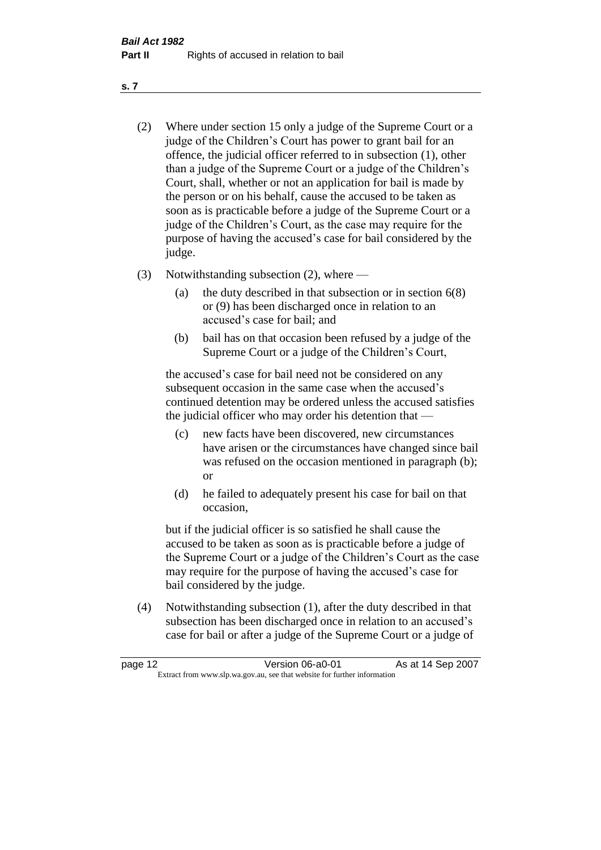- (2) Where under section 15 only a judge of the Supreme Court or a judge of the Children's Court has power to grant bail for an offence, the judicial officer referred to in subsection (1), other than a judge of the Supreme Court or a judge of the Children's Court, shall, whether or not an application for bail is made by the person or on his behalf, cause the accused to be taken as soon as is practicable before a judge of the Supreme Court or a judge of the Children's Court, as the case may require for the purpose of having the accused's case for bail considered by the judge.
- (3) Notwithstanding subsection (2), where
	- (a) the duty described in that subsection or in section 6(8) or (9) has been discharged once in relation to an accused's case for bail; and
	- (b) bail has on that occasion been refused by a judge of the Supreme Court or a judge of the Children's Court,

the accused's case for bail need not be considered on any subsequent occasion in the same case when the accused's continued detention may be ordered unless the accused satisfies the judicial officer who may order his detention that —

- (c) new facts have been discovered, new circumstances have arisen or the circumstances have changed since bail was refused on the occasion mentioned in paragraph (b); or
- (d) he failed to adequately present his case for bail on that occasion,

but if the judicial officer is so satisfied he shall cause the accused to be taken as soon as is practicable before a judge of the Supreme Court or a judge of the Children's Court as the case may require for the purpose of having the accused's case for bail considered by the judge.

(4) Notwithstanding subsection (1), after the duty described in that subsection has been discharged once in relation to an accused's case for bail or after a judge of the Supreme Court or a judge of

| page 12                                                                  | Version 06-a0-01 | As at 14 Sep 2007 |
|--------------------------------------------------------------------------|------------------|-------------------|
| Extract from www.slp.wa.gov.au, see that website for further information |                  |                   |

**s. 7**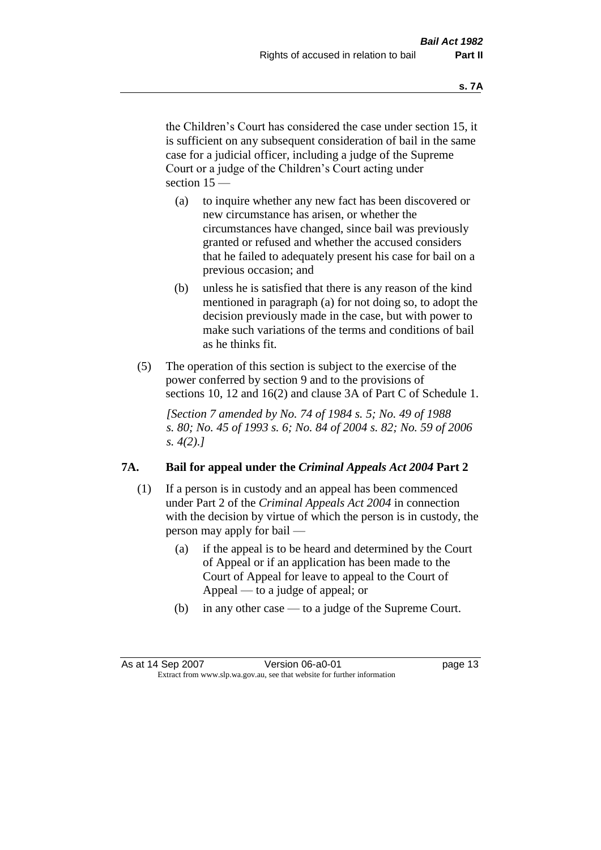the Children's Court has considered the case under section 15, it is sufficient on any subsequent consideration of bail in the same case for a judicial officer, including a judge of the Supreme Court or a judge of the Children's Court acting under section 15 —

- (a) to inquire whether any new fact has been discovered or new circumstance has arisen, or whether the circumstances have changed, since bail was previously granted or refused and whether the accused considers that he failed to adequately present his case for bail on a previous occasion; and
- (b) unless he is satisfied that there is any reason of the kind mentioned in paragraph (a) for not doing so, to adopt the decision previously made in the case, but with power to make such variations of the terms and conditions of bail as he thinks fit.
- (5) The operation of this section is subject to the exercise of the power conferred by section 9 and to the provisions of sections 10, 12 and 16(2) and clause 3A of Part C of Schedule 1.

*[Section 7 amended by No. 74 of 1984 s. 5; No. 49 of 1988 s. 80; No. 45 of 1993 s. 6; No. 84 of 2004 s. 82; No. 59 of 2006 s. 4(2).]* 

#### **7A. Bail for appeal under the** *Criminal Appeals Act 2004* **Part 2**

- (1) If a person is in custody and an appeal has been commenced under Part 2 of the *Criminal Appeals Act 2004* in connection with the decision by virtue of which the person is in custody, the person may apply for bail —
	- (a) if the appeal is to be heard and determined by the Court of Appeal or if an application has been made to the Court of Appeal for leave to appeal to the Court of Appeal — to a judge of appeal; or
	- (b) in any other case to a judge of the Supreme Court.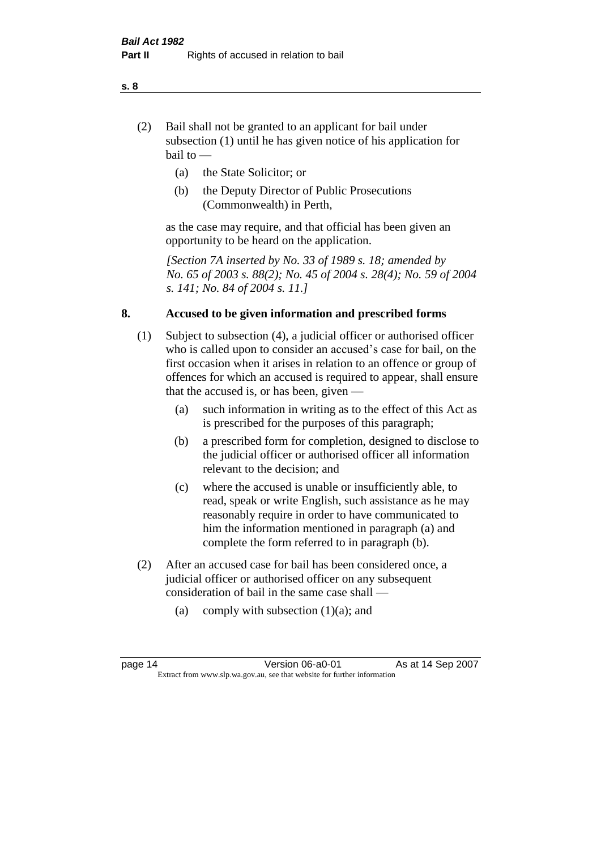- (2) Bail shall not be granted to an applicant for bail under subsection (1) until he has given notice of his application for bail to —
	- (a) the State Solicitor; or
	- (b) the Deputy Director of Public Prosecutions (Commonwealth) in Perth,

as the case may require, and that official has been given an opportunity to be heard on the application.

*[Section 7A inserted by No. 33 of 1989 s. 18; amended by No. 65 of 2003 s. 88(2); No. 45 of 2004 s. 28(4); No. 59 of 2004 s. 141; No. 84 of 2004 s. 11.]* 

#### **8. Accused to be given information and prescribed forms**

- (1) Subject to subsection (4), a judicial officer or authorised officer who is called upon to consider an accused's case for bail, on the first occasion when it arises in relation to an offence or group of offences for which an accused is required to appear, shall ensure that the accused is, or has been, given —
	- (a) such information in writing as to the effect of this Act as is prescribed for the purposes of this paragraph;
	- (b) a prescribed form for completion, designed to disclose to the judicial officer or authorised officer all information relevant to the decision; and
	- (c) where the accused is unable or insufficiently able, to read, speak or write English, such assistance as he may reasonably require in order to have communicated to him the information mentioned in paragraph (a) and complete the form referred to in paragraph (b).
- (2) After an accused case for bail has been considered once, a judicial officer or authorised officer on any subsequent consideration of bail in the same case shall —
	- (a) comply with subsection  $(1)(a)$ ; and

#### **s. 8**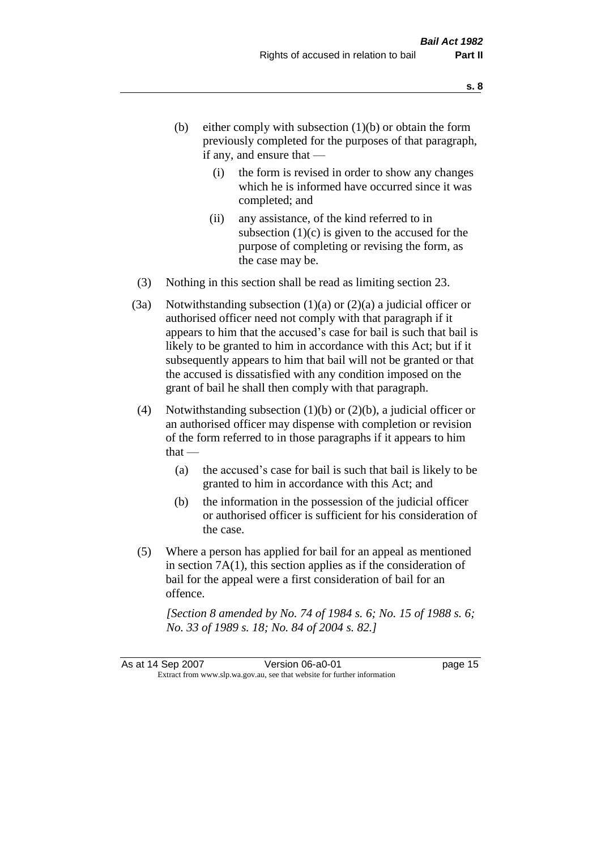- (b) either comply with subsection  $(1)(b)$  or obtain the form previously completed for the purposes of that paragraph, if any, and ensure that —
	- (i) the form is revised in order to show any changes which he is informed have occurred since it was completed; and
	- (ii) any assistance, of the kind referred to in subsection  $(1)(c)$  is given to the accused for the purpose of completing or revising the form, as the case may be.
- (3) Nothing in this section shall be read as limiting section 23.
- (3a) Notwithstanding subsection  $(1)(a)$  or  $(2)(a)$  a judicial officer or authorised officer need not comply with that paragraph if it appears to him that the accused's case for bail is such that bail is likely to be granted to him in accordance with this Act; but if it subsequently appears to him that bail will not be granted or that the accused is dissatisfied with any condition imposed on the grant of bail he shall then comply with that paragraph.
- (4) Notwithstanding subsection  $(1)(b)$  or  $(2)(b)$ , a judicial officer or an authorised officer may dispense with completion or revision of the form referred to in those paragraphs if it appears to him  $that -$ 
	- (a) the accused's case for bail is such that bail is likely to be granted to him in accordance with this Act; and
	- (b) the information in the possession of the judicial officer or authorised officer is sufficient for his consideration of the case.
- (5) Where a person has applied for bail for an appeal as mentioned in section 7A(1), this section applies as if the consideration of bail for the appeal were a first consideration of bail for an offence.

*[Section 8 amended by No. 74 of 1984 s. 6; No. 15 of 1988 s. 6; No. 33 of 1989 s. 18; No. 84 of 2004 s. 82.]*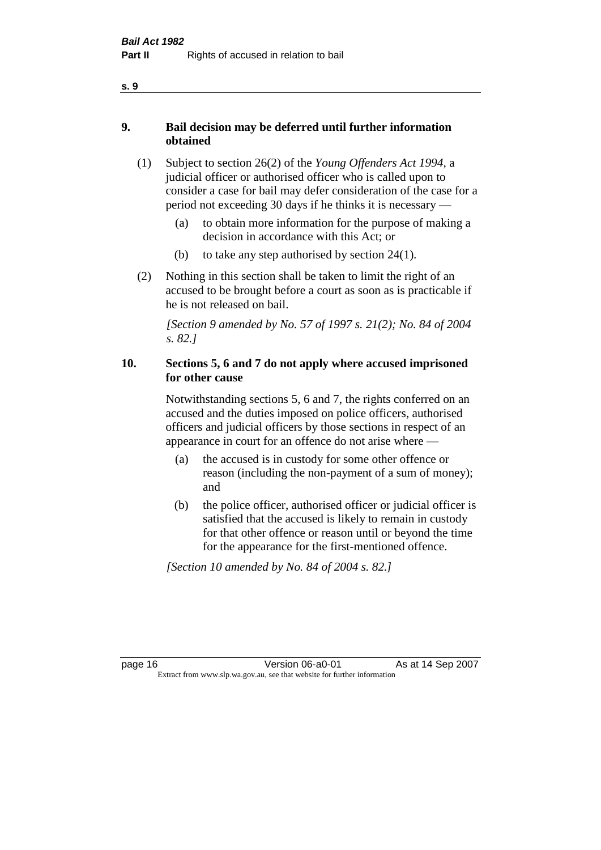- **9. Bail decision may be deferred until further information obtained** 
	- (1) Subject to section 26(2) of the *Young Offenders Act 1994*, a judicial officer or authorised officer who is called upon to consider a case for bail may defer consideration of the case for a period not exceeding 30 days if he thinks it is necessary —
		- (a) to obtain more information for the purpose of making a decision in accordance with this Act; or
		- (b) to take any step authorised by section  $24(1)$ .
	- (2) Nothing in this section shall be taken to limit the right of an accused to be brought before a court as soon as is practicable if he is not released on bail.

*[Section 9 amended by No. 57 of 1997 s. 21(2); No. 84 of 2004 s. 82.]*

## **10. Sections 5, 6 and 7 do not apply where accused imprisoned for other cause**

Notwithstanding sections 5, 6 and 7, the rights conferred on an accused and the duties imposed on police officers, authorised officers and judicial officers by those sections in respect of an appearance in court for an offence do not arise where —

- (a) the accused is in custody for some other offence or reason (including the non-payment of a sum of money); and
- (b) the police officer, authorised officer or judicial officer is satisfied that the accused is likely to remain in custody for that other offence or reason until or beyond the time for the appearance for the first-mentioned offence.

*[Section 10 amended by No. 84 of 2004 s. 82.]*

**s. 9**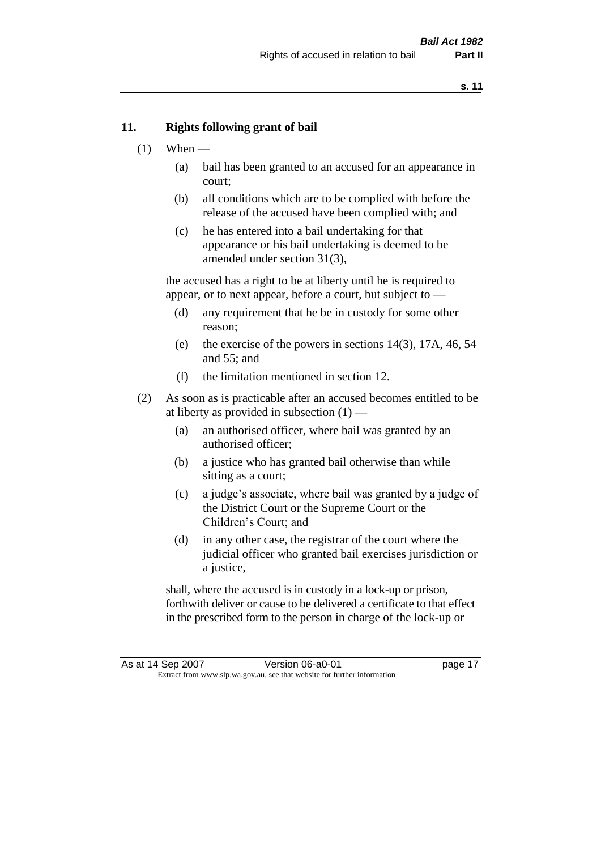#### **11. Rights following grant of bail**

- $(1)$  When
	- (a) bail has been granted to an accused for an appearance in court;
	- (b) all conditions which are to be complied with before the release of the accused have been complied with; and
	- (c) he has entered into a bail undertaking for that appearance or his bail undertaking is deemed to be amended under section 31(3),

the accused has a right to be at liberty until he is required to appear, or to next appear, before a court, but subject to —

- (d) any requirement that he be in custody for some other reason;
- (e) the exercise of the powers in sections 14(3), 17A, 46, 54 and 55; and
- (f) the limitation mentioned in section 12.
- (2) As soon as is practicable after an accused becomes entitled to be at liberty as provided in subsection  $(1)$  —
	- (a) an authorised officer, where bail was granted by an authorised officer;
	- (b) a justice who has granted bail otherwise than while sitting as a court;
	- (c) a judge's associate, where bail was granted by a judge of the District Court or the Supreme Court or the Children's Court; and
	- (d) in any other case, the registrar of the court where the judicial officer who granted bail exercises jurisdiction or a justice,

shall, where the accused is in custody in a lock-up or prison, forthwith deliver or cause to be delivered a certificate to that effect in the prescribed form to the person in charge of the lock-up or

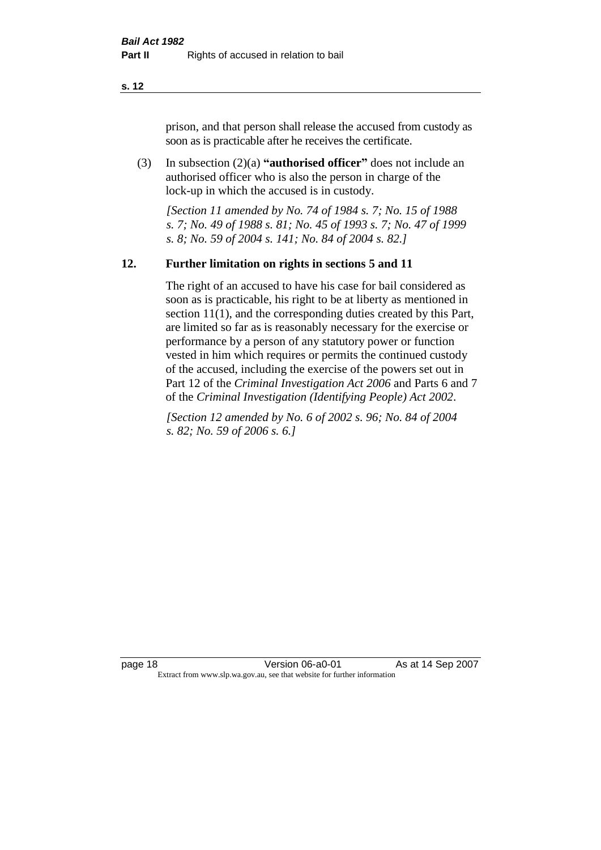prison, and that person shall release the accused from custody as soon as is practicable after he receives the certificate.

(3) In subsection (2)(a) **"authorised officer"** does not include an authorised officer who is also the person in charge of the lock-up in which the accused is in custody.

*[Section 11 amended by No. 74 of 1984 s. 7; No. 15 of 1988 s. 7; No. 49 of 1988 s. 81; No. 45 of 1993 s. 7; No. 47 of 1999 s. 8; No. 59 of 2004 s. 141; No. 84 of 2004 s. 82.]* 

#### **12. Further limitation on rights in sections 5 and 11**

The right of an accused to have his case for bail considered as soon as is practicable, his right to be at liberty as mentioned in section 11(1), and the corresponding duties created by this Part, are limited so far as is reasonably necessary for the exercise or performance by a person of any statutory power or function vested in him which requires or permits the continued custody of the accused, including the exercise of the powers set out in Part 12 of the *Criminal Investigation Act 2006* and Parts 6 and 7 of the *Criminal Investigation (Identifying People) Act 2002*.

*[Section 12 amended by No. 6 of 2002 s. 96; No. 84 of 2004 s. 82; No. 59 of 2006 s. 6.]*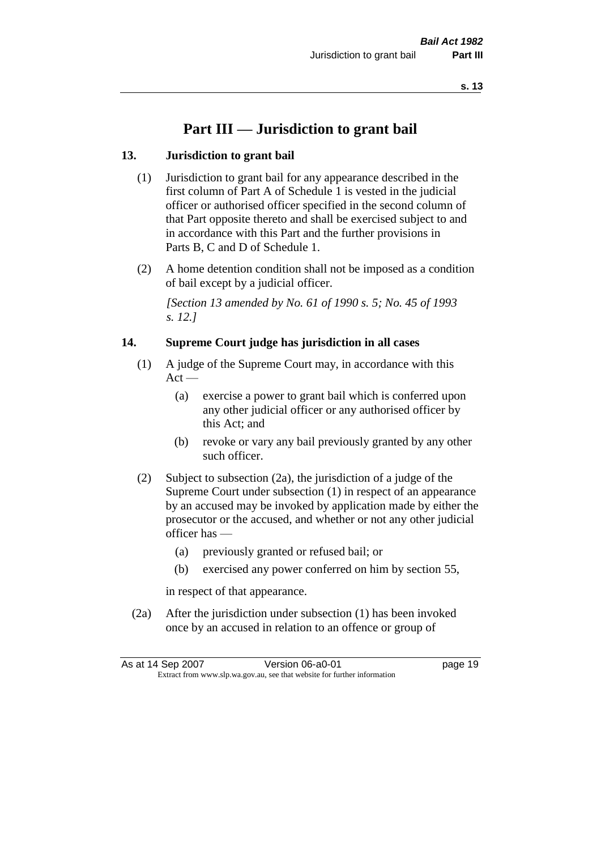# **Part III — Jurisdiction to grant bail**

## **13. Jurisdiction to grant bail**

- (1) Jurisdiction to grant bail for any appearance described in the first column of Part A of Schedule 1 is vested in the judicial officer or authorised officer specified in the second column of that Part opposite thereto and shall be exercised subject to and in accordance with this Part and the further provisions in Parts B, C and D of Schedule 1.
- (2) A home detention condition shall not be imposed as a condition of bail except by a judicial officer.

*[Section 13 amended by No. 61 of 1990 s. 5; No. 45 of 1993 s. 12.]* 

#### **14. Supreme Court judge has jurisdiction in all cases**

- (1) A judge of the Supreme Court may, in accordance with this  $Act -$ 
	- (a) exercise a power to grant bail which is conferred upon any other judicial officer or any authorised officer by this Act; and
	- (b) revoke or vary any bail previously granted by any other such officer.
- (2) Subject to subsection (2a), the jurisdiction of a judge of the Supreme Court under subsection (1) in respect of an appearance by an accused may be invoked by application made by either the prosecutor or the accused, and whether or not any other judicial officer has —
	- (a) previously granted or refused bail; or
	- (b) exercised any power conferred on him by section 55,

in respect of that appearance.

(2a) After the jurisdiction under subsection (1) has been invoked once by an accused in relation to an offence or group of

| As at 14 Sep 2007 | Version 06-a0-01                                                         | page 19 |
|-------------------|--------------------------------------------------------------------------|---------|
|                   | Extract from www.slp.wa.gov.au, see that website for further information |         |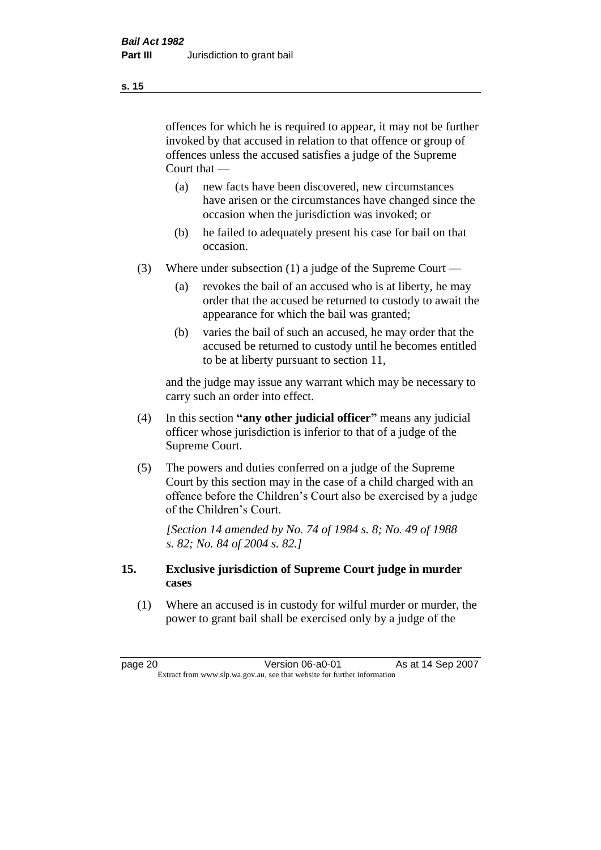offences for which he is required to appear, it may not be further invoked by that accused in relation to that offence or group of offences unless the accused satisfies a judge of the Supreme Court that —

- (a) new facts have been discovered, new circumstances have arisen or the circumstances have changed since the occasion when the jurisdiction was invoked; or
- (b) he failed to adequately present his case for bail on that occasion.
- (3) Where under subsection (1) a judge of the Supreme Court
	- (a) revokes the bail of an accused who is at liberty, he may order that the accused be returned to custody to await the appearance for which the bail was granted;
	- (b) varies the bail of such an accused, he may order that the accused be returned to custody until he becomes entitled to be at liberty pursuant to section 11,

and the judge may issue any warrant which may be necessary to carry such an order into effect.

- (4) In this section **"any other judicial officer"** means any judicial officer whose jurisdiction is inferior to that of a judge of the Supreme Court.
- (5) The powers and duties conferred on a judge of the Supreme Court by this section may in the case of a child charged with an offence before the Children's Court also be exercised by a judge of the Children's Court.

*[Section 14 amended by No. 74 of 1984 s. 8; No. 49 of 1988 s. 82; No. 84 of 2004 s. 82.]* 

#### **15. Exclusive jurisdiction of Supreme Court judge in murder cases**

(1) Where an accused is in custody for wilful murder or murder, the power to grant bail shall be exercised only by a judge of the

page 20 **Version 06-a0-01** As at 14 Sep 2007 Extract from www.slp.wa.gov.au, see that website for further information

**s. 15**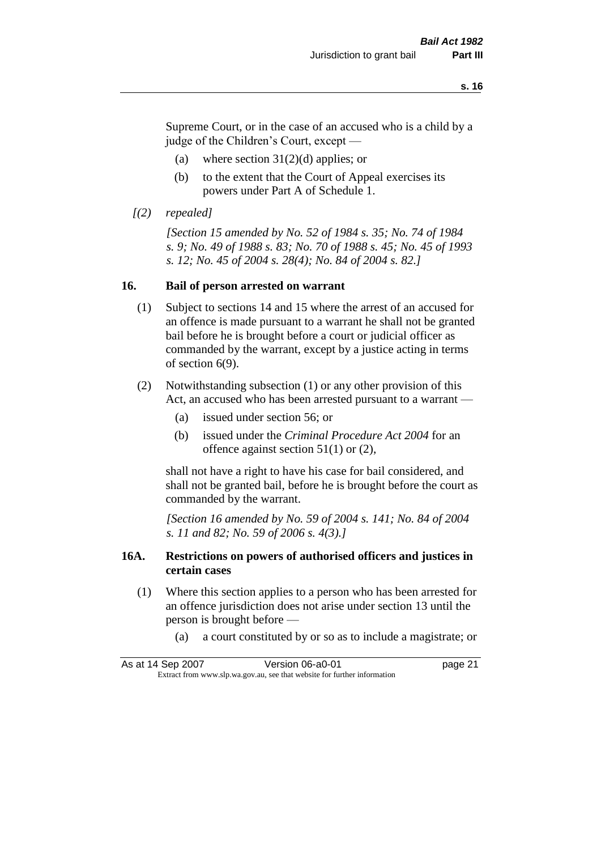Supreme Court, or in the case of an accused who is a child by a judge of the Children's Court, except —

- (a) where section  $31(2)(d)$  applies; or
- (b) to the extent that the Court of Appeal exercises its powers under Part A of Schedule 1.
- *[(2) repealed]*

*[Section 15 amended by No. 52 of 1984 s. 35; No. 74 of 1984 s. 9; No. 49 of 1988 s. 83; No. 70 of 1988 s. 45; No. 45 of 1993 s. 12; No. 45 of 2004 s. 28(4); No. 84 of 2004 s. 82.]* 

#### **16. Bail of person arrested on warrant**

- (1) Subject to sections 14 and 15 where the arrest of an accused for an offence is made pursuant to a warrant he shall not be granted bail before he is brought before a court or judicial officer as commanded by the warrant, except by a justice acting in terms of section 6(9).
- (2) Notwithstanding subsection (1) or any other provision of this Act, an accused who has been arrested pursuant to a warrant —
	- (a) issued under section 56; or
	- (b) issued under the *Criminal Procedure Act 2004* for an offence against section 51(1) or (2),

shall not have a right to have his case for bail considered, and shall not be granted bail, before he is brought before the court as commanded by the warrant.

*[Section 16 amended by No. 59 of 2004 s. 141; No. 84 of 2004 s. 11 and 82; No. 59 of 2006 s. 4(3).]*

#### **16A. Restrictions on powers of authorised officers and justices in certain cases**

- (1) Where this section applies to a person who has been arrested for an offence jurisdiction does not arise under section 13 until the person is brought before —
	- (a) a court constituted by or so as to include a magistrate; or

As at 14 Sep 2007 Version 06-a0-01 Page 21 Extract from www.slp.wa.gov.au, see that website for further information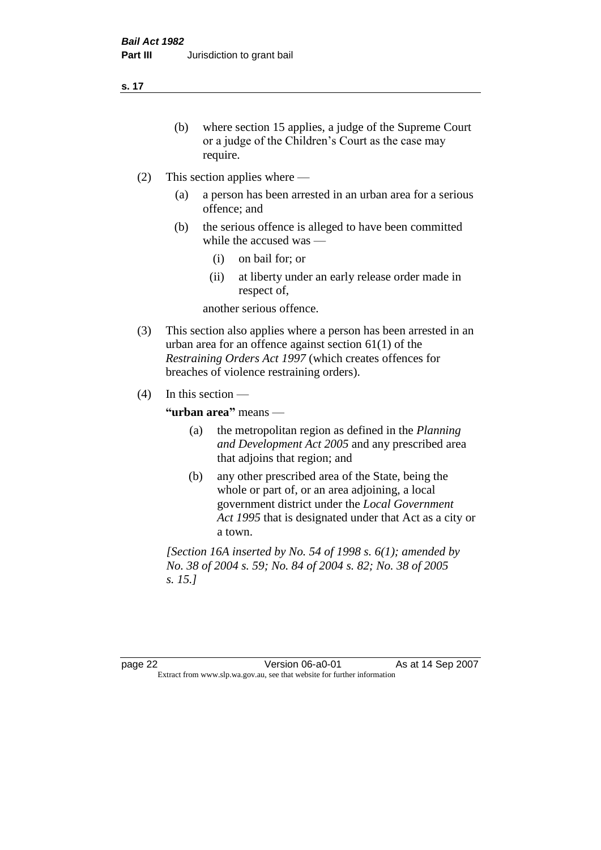- (b) where section 15 applies, a judge of the Supreme Court or a judge of the Children's Court as the case may require.
- (2) This section applies where
	- (a) a person has been arrested in an urban area for a serious offence; and
	- (b) the serious offence is alleged to have been committed while the accused was —
		- (i) on bail for; or
		- (ii) at liberty under an early release order made in respect of,

another serious offence.

- (3) This section also applies where a person has been arrested in an urban area for an offence against section 61(1) of the *Restraining Orders Act 1997* (which creates offences for breaches of violence restraining orders).
- (4) In this section —

**"urban area"** means —

- (a) the metropolitan region as defined in the *Planning and Development Act 2005* and any prescribed area that adjoins that region; and
- (b) any other prescribed area of the State, being the whole or part of, or an area adjoining, a local government district under the *Local Government Act 1995* that is designated under that Act as a city or a town.

*[Section 16A inserted by No. 54 of 1998 s. 6(1); amended by No. 38 of 2004 s. 59; No. 84 of 2004 s. 82; No. 38 of 2005 s. 15.]*

page 22 **Version 06-a0-01** As at 14 Sep 2007 Extract from www.slp.wa.gov.au, see that website for further information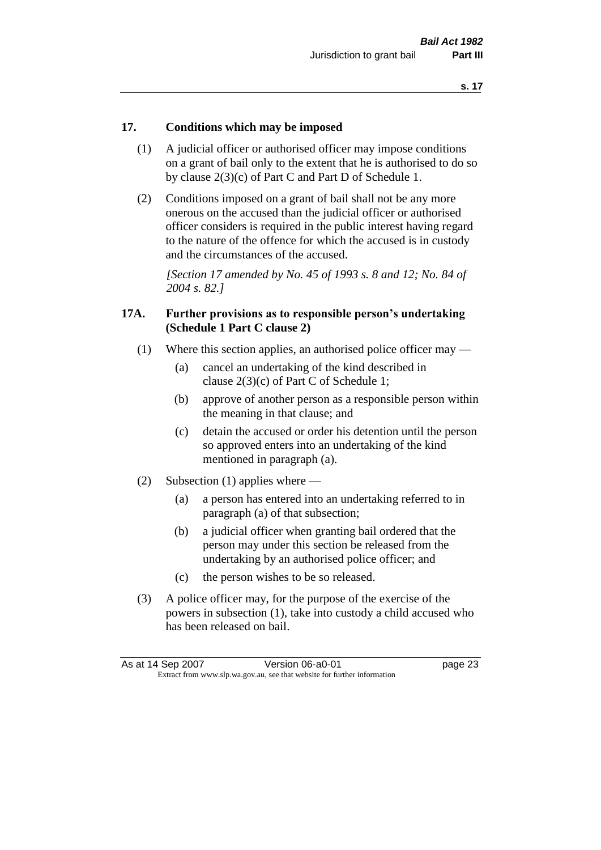#### **17. Conditions which may be imposed**

- (1) A judicial officer or authorised officer may impose conditions on a grant of bail only to the extent that he is authorised to do so by clause 2(3)(c) of Part C and Part D of Schedule 1.
- (2) Conditions imposed on a grant of bail shall not be any more onerous on the accused than the judicial officer or authorised officer considers is required in the public interest having regard to the nature of the offence for which the accused is in custody and the circumstances of the accused.

*[Section 17 amended by No. 45 of 1993 s. 8 and 12; No. 84 of 2004 s. 82.]* 

#### **17A. Further provisions as to responsible person's undertaking (Schedule 1 Part C clause 2)**

- (1) Where this section applies, an authorised police officer may
	- (a) cancel an undertaking of the kind described in clause 2(3)(c) of Part C of Schedule 1;
	- (b) approve of another person as a responsible person within the meaning in that clause; and
	- (c) detain the accused or order his detention until the person so approved enters into an undertaking of the kind mentioned in paragraph (a).
- (2) Subsection (1) applies where
	- (a) a person has entered into an undertaking referred to in paragraph (a) of that subsection;
	- (b) a judicial officer when granting bail ordered that the person may under this section be released from the undertaking by an authorised police officer; and
	- (c) the person wishes to be so released.
- (3) A police officer may, for the purpose of the exercise of the powers in subsection (1), take into custody a child accused who has been released on bail.

| As at 14 Sep 2007 | Version 06-a0-01                                                         | page 23 |
|-------------------|--------------------------------------------------------------------------|---------|
|                   | Extract from www.slp.wa.gov.au, see that website for further information |         |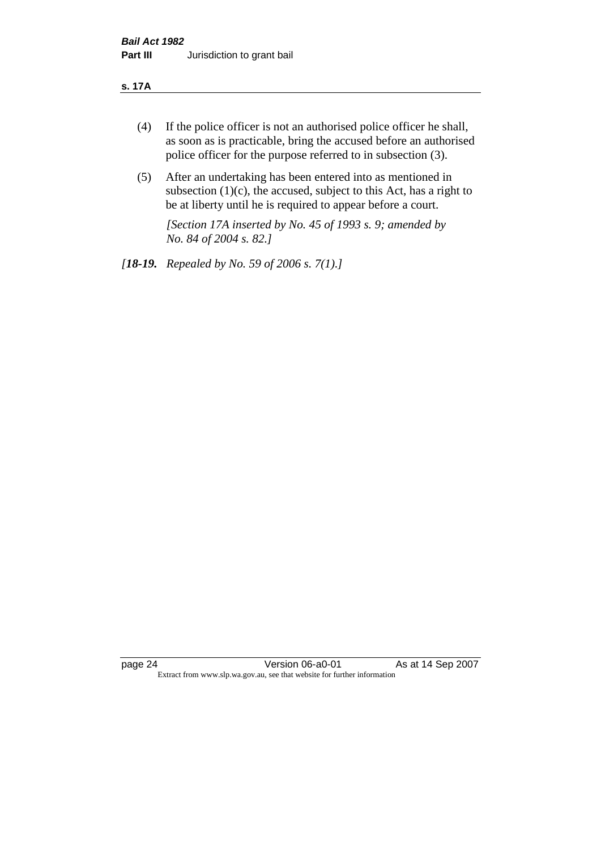#### **s. 17A**

- (4) If the police officer is not an authorised police officer he shall, as soon as is practicable, bring the accused before an authorised police officer for the purpose referred to in subsection (3).
- (5) After an undertaking has been entered into as mentioned in subsection  $(1)(c)$ , the accused, subject to this Act, has a right to be at liberty until he is required to appear before a court.

*[Section 17A inserted by No. 45 of 1993 s. 9; amended by No. 84 of 2004 s. 82.]* 

*[18-19. Repealed by No. 59 of 2006 s. 7(1).]*

page 24 Version 06-a0-01 As at 14 Sep 2007 Extract from www.slp.wa.gov.au, see that website for further information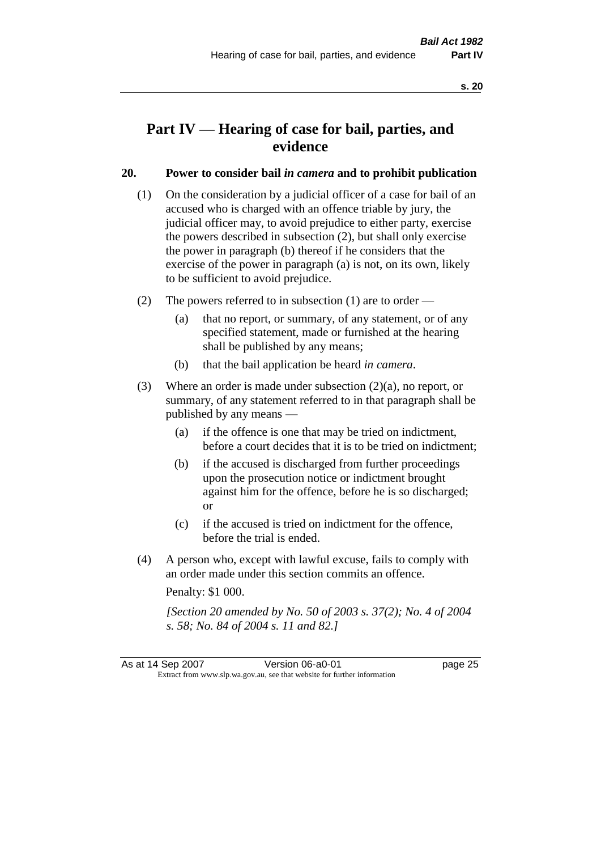# **Part IV — Hearing of case for bail, parties, and evidence**

#### **20. Power to consider bail** *in camera* **and to prohibit publication**

- (1) On the consideration by a judicial officer of a case for bail of an accused who is charged with an offence triable by jury, the judicial officer may, to avoid prejudice to either party, exercise the powers described in subsection (2), but shall only exercise the power in paragraph (b) thereof if he considers that the exercise of the power in paragraph (a) is not, on its own, likely to be sufficient to avoid prejudice.
- (2) The powers referred to in subsection (1) are to order
	- (a) that no report, or summary, of any statement, or of any specified statement, made or furnished at the hearing shall be published by any means;
	- (b) that the bail application be heard *in camera*.
- (3) Where an order is made under subsection (2)(a), no report, or summary, of any statement referred to in that paragraph shall be published by any means —
	- (a) if the offence is one that may be tried on indictment, before a court decides that it is to be tried on indictment;
	- (b) if the accused is discharged from further proceedings upon the prosecution notice or indictment brought against him for the offence, before he is so discharged; or
	- (c) if the accused is tried on indictment for the offence, before the trial is ended.
- (4) A person who, except with lawful excuse, fails to comply with an order made under this section commits an offence.

Penalty: \$1 000.

*[Section 20 amended by No. 50 of 2003 s. 37(2); No. 4 of 2004 s. 58; No. 84 of 2004 s. 11 and 82.]*

As at 14 Sep 2007 Version 06-a0-01 Page 25 Extract from www.slp.wa.gov.au, see that website for further information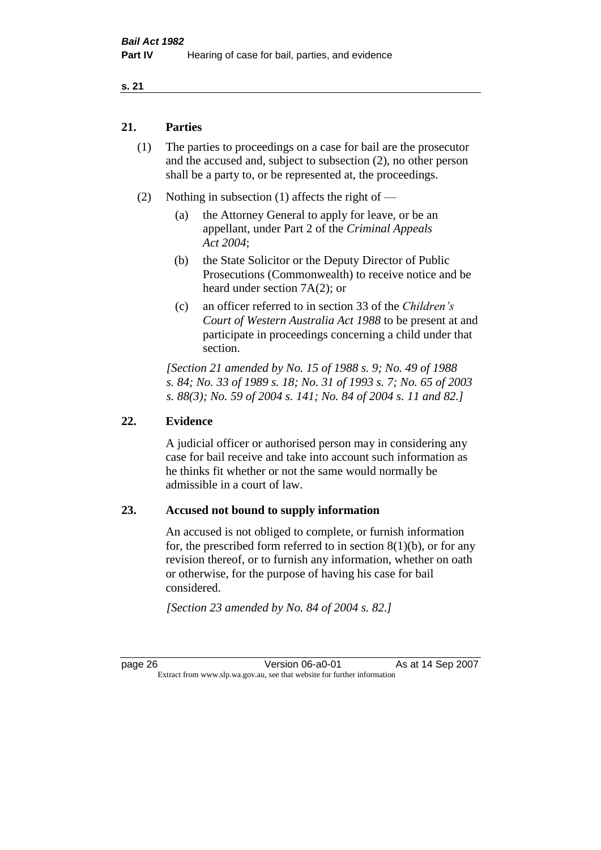#### **21. Parties**

- (1) The parties to proceedings on a case for bail are the prosecutor and the accused and, subject to subsection (2), no other person shall be a party to, or be represented at, the proceedings.
- (2) Nothing in subsection (1) affects the right of
	- (a) the Attorney General to apply for leave, or be an appellant, under Part 2 of the *Criminal Appeals Act 2004*;
	- (b) the State Solicitor or the Deputy Director of Public Prosecutions (Commonwealth) to receive notice and be heard under section 7A(2); or
	- (c) an officer referred to in section 33 of the *Children's Court of Western Australia Act 1988* to be present at and participate in proceedings concerning a child under that section.

*[Section 21 amended by No. 15 of 1988 s. 9; No. 49 of 1988 s. 84; No. 33 of 1989 s. 18; No. 31 of 1993 s. 7; No. 65 of 2003 s. 88(3); No. 59 of 2004 s. 141; No. 84 of 2004 s. 11 and 82.]* 

#### **22. Evidence**

A judicial officer or authorised person may in considering any case for bail receive and take into account such information as he thinks fit whether or not the same would normally be admissible in a court of law.

#### **23. Accused not bound to supply information**

An accused is not obliged to complete, or furnish information for, the prescribed form referred to in section  $8(1)(b)$ , or for any revision thereof, or to furnish any information, whether on oath or otherwise, for the purpose of having his case for bail considered.

*[Section 23 amended by No. 84 of 2004 s. 82.]* 

page 26 **Version 06-a0-01** As at 14 Sep 2007 Extract from www.slp.wa.gov.au, see that website for further information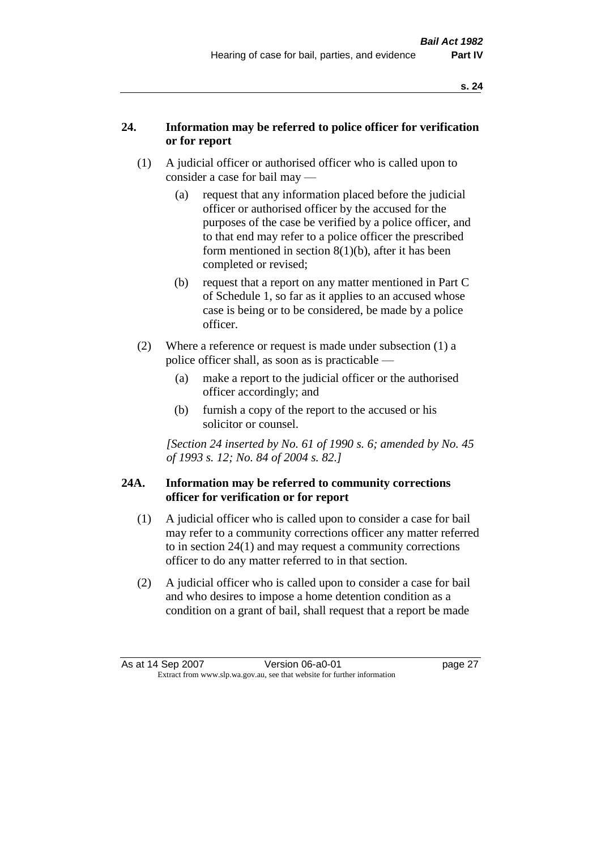## **24. Information may be referred to police officer for verification or for report**

- (1) A judicial officer or authorised officer who is called upon to consider a case for bail may —
	- (a) request that any information placed before the judicial officer or authorised officer by the accused for the purposes of the case be verified by a police officer, and to that end may refer to a police officer the prescribed form mentioned in section 8(1)(b), after it has been completed or revised;
	- (b) request that a report on any matter mentioned in Part C of Schedule 1, so far as it applies to an accused whose case is being or to be considered, be made by a police officer.
- (2) Where a reference or request is made under subsection (1) a police officer shall, as soon as is practicable —
	- (a) make a report to the judicial officer or the authorised officer accordingly; and
	- (b) furnish a copy of the report to the accused or his solicitor or counsel.

*[Section 24 inserted by No. 61 of 1990 s. 6; amended by No. 45 of 1993 s. 12; No. 84 of 2004 s. 82.]* 

#### **24A. Information may be referred to community corrections officer for verification or for report**

- (1) A judicial officer who is called upon to consider a case for bail may refer to a community corrections officer any matter referred to in section 24(1) and may request a community corrections officer to do any matter referred to in that section.
- (2) A judicial officer who is called upon to consider a case for bail and who desires to impose a home detention condition as a condition on a grant of bail, shall request that a report be made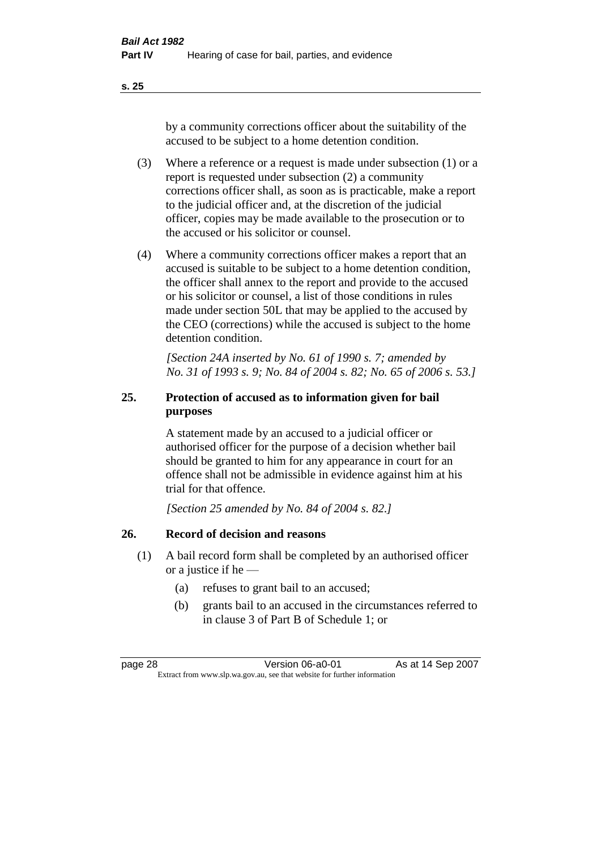by a community corrections officer about the suitability of the accused to be subject to a home detention condition.

- (3) Where a reference or a request is made under subsection (1) or a report is requested under subsection (2) a community corrections officer shall, as soon as is practicable, make a report to the judicial officer and, at the discretion of the judicial officer, copies may be made available to the prosecution or to the accused or his solicitor or counsel.
- (4) Where a community corrections officer makes a report that an accused is suitable to be subject to a home detention condition, the officer shall annex to the report and provide to the accused or his solicitor or counsel, a list of those conditions in rules made under section 50L that may be applied to the accused by the CEO (corrections) while the accused is subject to the home detention condition.

*[Section 24A inserted by No. 61 of 1990 s. 7; amended by No. 31 of 1993 s. 9; No. 84 of 2004 s. 82; No. 65 of 2006 s. 53.]* 

# **25. Protection of accused as to information given for bail purposes**

A statement made by an accused to a judicial officer or authorised officer for the purpose of a decision whether bail should be granted to him for any appearance in court for an offence shall not be admissible in evidence against him at his trial for that offence.

*[Section 25 amended by No. 84 of 2004 s. 82.]* 

# **26. Record of decision and reasons**

- (1) A bail record form shall be completed by an authorised officer or a justice if he —
	- (a) refuses to grant bail to an accused;
	- (b) grants bail to an accused in the circumstances referred to in clause 3 of Part B of Schedule 1; or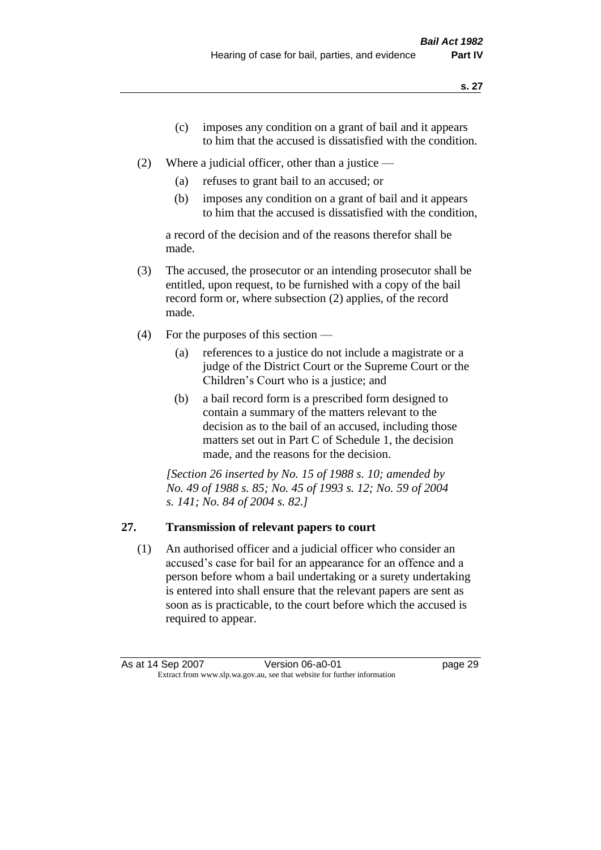- (c) imposes any condition on a grant of bail and it appears to him that the accused is dissatisfied with the condition.
- (2) Where a judicial officer, other than a justice
	- (a) refuses to grant bail to an accused; or
	- (b) imposes any condition on a grant of bail and it appears to him that the accused is dissatisfied with the condition,

a record of the decision and of the reasons therefor shall be made.

- (3) The accused, the prosecutor or an intending prosecutor shall be entitled, upon request, to be furnished with a copy of the bail record form or, where subsection (2) applies, of the record made.
- (4) For the purposes of this section
	- (a) references to a justice do not include a magistrate or a judge of the District Court or the Supreme Court or the Children's Court who is a justice; and
	- (b) a bail record form is a prescribed form designed to contain a summary of the matters relevant to the decision as to the bail of an accused, including those matters set out in Part C of Schedule 1, the decision made, and the reasons for the decision.

*[Section 26 inserted by No. 15 of 1988 s. 10; amended by No. 49 of 1988 s. 85; No. 45 of 1993 s. 12; No. 59 of 2004 s. 141; No. 84 of 2004 s. 82.]* 

# **27. Transmission of relevant papers to court**

(1) An authorised officer and a judicial officer who consider an accused's case for bail for an appearance for an offence and a person before whom a bail undertaking or a surety undertaking is entered into shall ensure that the relevant papers are sent as soon as is practicable, to the court before which the accused is required to appear.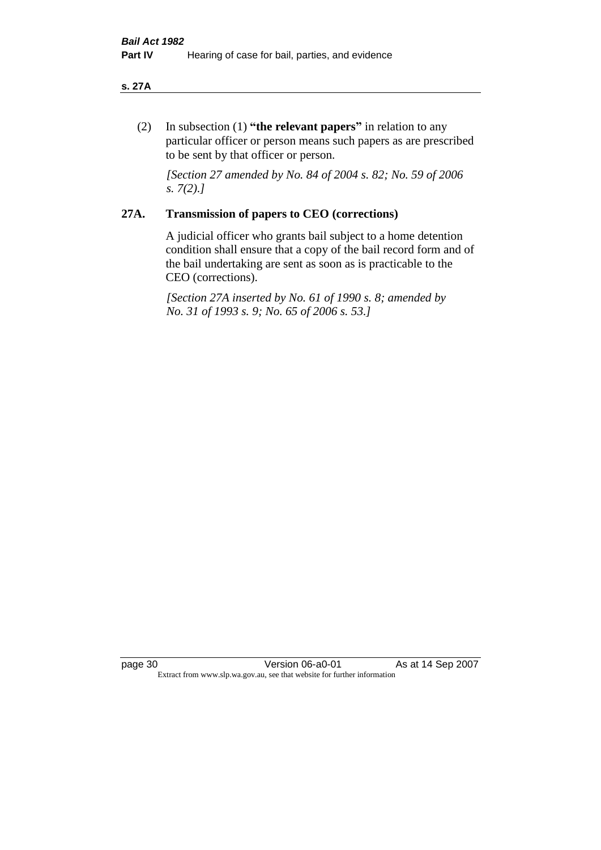#### **s. 27A**

(2) In subsection (1) **"the relevant papers"** in relation to any particular officer or person means such papers as are prescribed to be sent by that officer or person.

*[Section 27 amended by No. 84 of 2004 s. 82; No. 59 of 2006 s. 7(2).]* 

## **27A. Transmission of papers to CEO (corrections)**

A judicial officer who grants bail subject to a home detention condition shall ensure that a copy of the bail record form and of the bail undertaking are sent as soon as is practicable to the CEO (corrections).

*[Section 27A inserted by No. 61 of 1990 s. 8; amended by No. 31 of 1993 s. 9; No. 65 of 2006 s. 53.]* 

page 30 Version 06-a0-01 As at 14 Sep 2007 Extract from www.slp.wa.gov.au, see that website for further information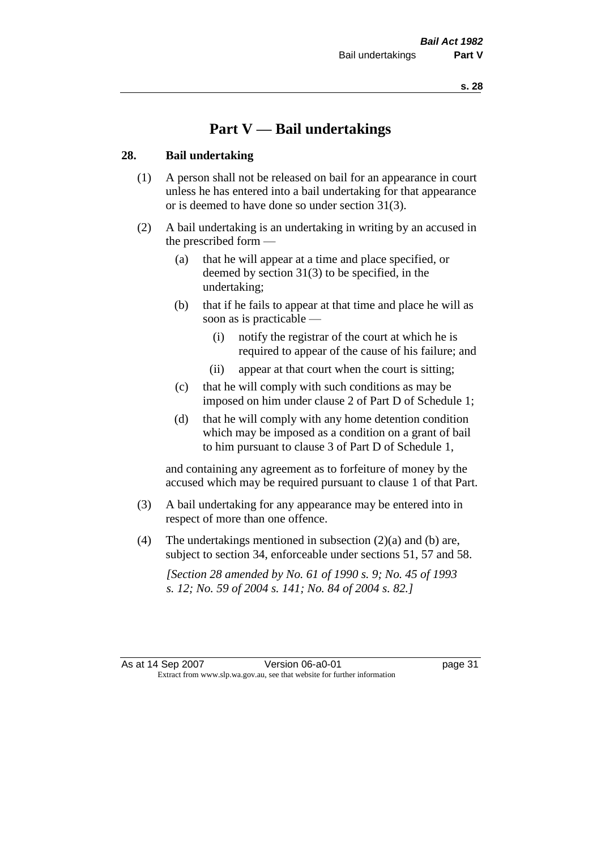# **Part V — Bail undertakings**

#### **28. Bail undertaking**

- (1) A person shall not be released on bail for an appearance in court unless he has entered into a bail undertaking for that appearance or is deemed to have done so under section 31(3).
- (2) A bail undertaking is an undertaking in writing by an accused in the prescribed form —
	- (a) that he will appear at a time and place specified, or deemed by section 31(3) to be specified, in the undertaking;
	- (b) that if he fails to appear at that time and place he will as soon as is practicable —
		- (i) notify the registrar of the court at which he is required to appear of the cause of his failure; and
		- (ii) appear at that court when the court is sitting;
	- (c) that he will comply with such conditions as may be imposed on him under clause 2 of Part D of Schedule 1;
	- (d) that he will comply with any home detention condition which may be imposed as a condition on a grant of bail to him pursuant to clause 3 of Part D of Schedule 1,

and containing any agreement as to forfeiture of money by the accused which may be required pursuant to clause 1 of that Part.

- (3) A bail undertaking for any appearance may be entered into in respect of more than one offence.
- (4) The undertakings mentioned in subsection  $(2)(a)$  and (b) are, subject to section 34, enforceable under sections 51, 57 and 58.

*[Section 28 amended by No. 61 of 1990 s. 9; No. 45 of 1993 s. 12; No. 59 of 2004 s. 141; No. 84 of 2004 s. 82.]*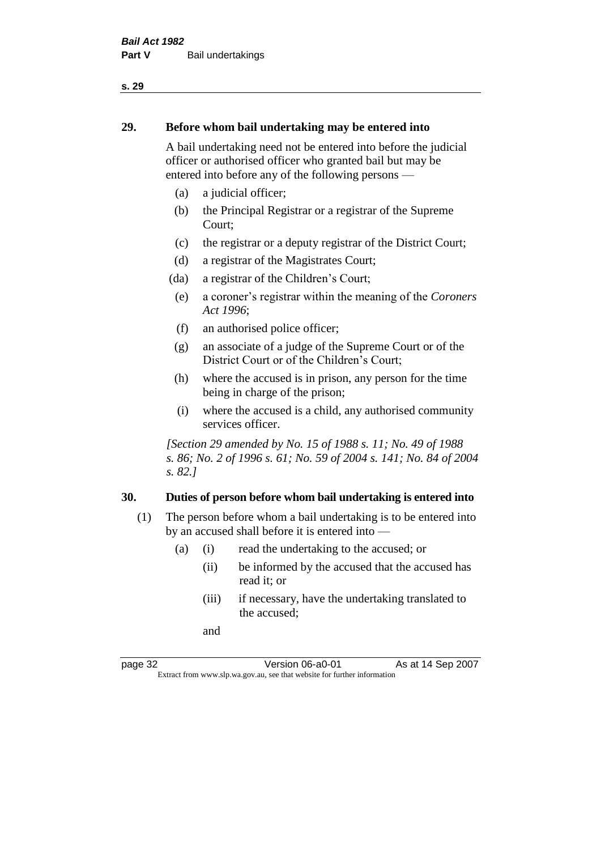#### **29. Before whom bail undertaking may be entered into**

A bail undertaking need not be entered into before the judicial officer or authorised officer who granted bail but may be entered into before any of the following persons —

- (a) a judicial officer;
- (b) the Principal Registrar or a registrar of the Supreme Court;
- (c) the registrar or a deputy registrar of the District Court;
- (d) a registrar of the Magistrates Court;
- (da) a registrar of the Children's Court;
- (e) a coroner's registrar within the meaning of the *Coroners Act 1996*;
- (f) an authorised police officer;
- (g) an associate of a judge of the Supreme Court or of the District Court or of the Children's Court;
- (h) where the accused is in prison, any person for the time being in charge of the prison;
- (i) where the accused is a child, any authorised community services officer.

*[Section 29 amended by No. 15 of 1988 s. 11; No. 49 of 1988 s. 86; No. 2 of 1996 s. 61; No. 59 of 2004 s. 141; No. 84 of 2004 s. 82.]* 

#### **30. Duties of person before whom bail undertaking is entered into**

- (1) The person before whom a bail undertaking is to be entered into by an accused shall before it is entered into —
	- (a) (i) read the undertaking to the accused; or
		- (ii) be informed by the accused that the accused has read it; or
		- (iii) if necessary, have the undertaking translated to the accused;

and

page 32 **Version 06-a0-01** As at 14 Sep 2007 Extract from www.slp.wa.gov.au, see that website for further information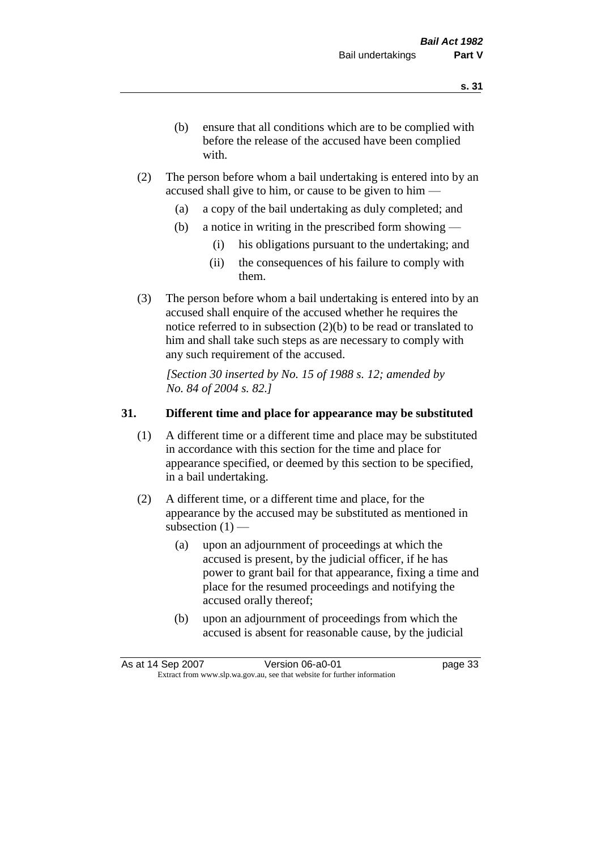- (b) ensure that all conditions which are to be complied with before the release of the accused have been complied with.
- (2) The person before whom a bail undertaking is entered into by an accused shall give to him, or cause to be given to him —
	- (a) a copy of the bail undertaking as duly completed; and
	- (b) a notice in writing in the prescribed form showing
		- (i) his obligations pursuant to the undertaking; and
		- (ii) the consequences of his failure to comply with them.
- (3) The person before whom a bail undertaking is entered into by an accused shall enquire of the accused whether he requires the notice referred to in subsection (2)(b) to be read or translated to him and shall take such steps as are necessary to comply with any such requirement of the accused.

*[Section 30 inserted by No. 15 of 1988 s. 12; amended by No. 84 of 2004 s. 82.]* 

# **31. Different time and place for appearance may be substituted**

- (1) A different time or a different time and place may be substituted in accordance with this section for the time and place for appearance specified, or deemed by this section to be specified, in a bail undertaking.
- (2) A different time, or a different time and place, for the appearance by the accused may be substituted as mentioned in subsection  $(1)$  —
	- (a) upon an adjournment of proceedings at which the accused is present, by the judicial officer, if he has power to grant bail for that appearance, fixing a time and place for the resumed proceedings and notifying the accused orally thereof;
	- (b) upon an adjournment of proceedings from which the accused is absent for reasonable cause, by the judicial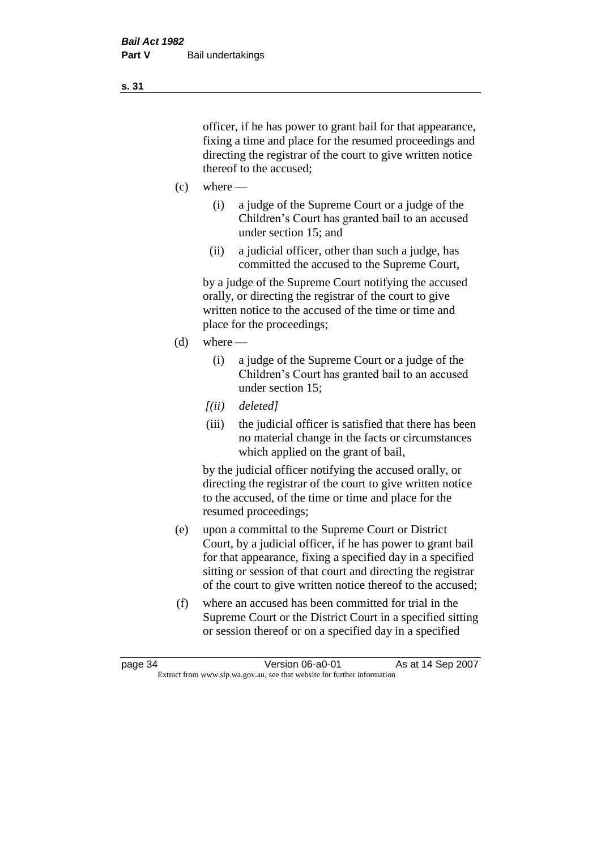officer, if he has power to grant bail for that appearance, fixing a time and place for the resumed proceedings and directing the registrar of the court to give written notice thereof to the accused;

- $(c)$  where
	- (i) a judge of the Supreme Court or a judge of the Children's Court has granted bail to an accused under section 15; and
	- (ii) a judicial officer, other than such a judge, has committed the accused to the Supreme Court,

by a judge of the Supreme Court notifying the accused orally, or directing the registrar of the court to give written notice to the accused of the time or time and place for the proceedings;

- (d) where
	- (i) a judge of the Supreme Court or a judge of the Children's Court has granted bail to an accused under section 15;
	- *[(ii) deleted]*
	- (iii) the judicial officer is satisfied that there has been no material change in the facts or circumstances which applied on the grant of bail,

by the judicial officer notifying the accused orally, or directing the registrar of the court to give written notice to the accused, of the time or time and place for the resumed proceedings;

- (e) upon a committal to the Supreme Court or District Court, by a judicial officer, if he has power to grant bail for that appearance, fixing a specified day in a specified sitting or session of that court and directing the registrar of the court to give written notice thereof to the accused;
- (f) where an accused has been committed for trial in the Supreme Court or the District Court in a specified sitting or session thereof or on a specified day in a specified

**s. 31**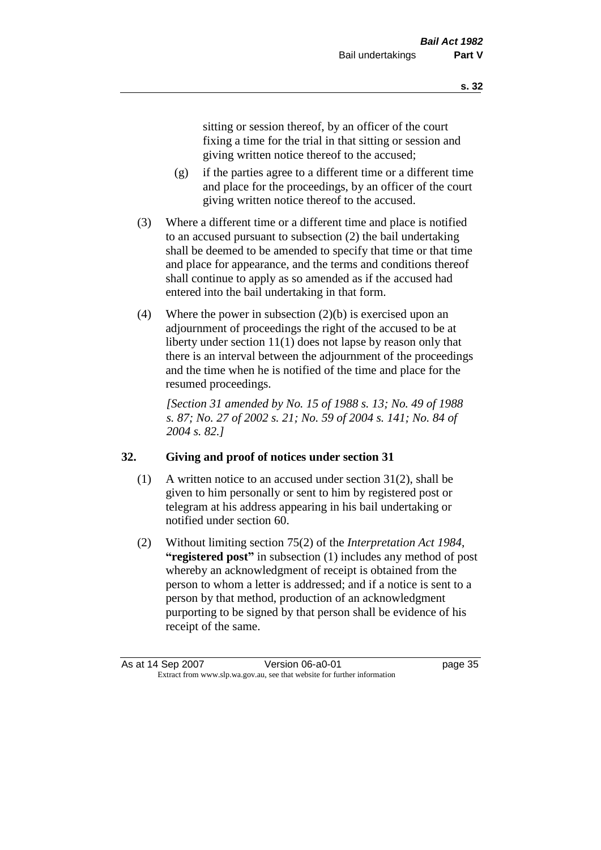sitting or session thereof, by an officer of the court fixing a time for the trial in that sitting or session and giving written notice thereof to the accused;

- (g) if the parties agree to a different time or a different time and place for the proceedings, by an officer of the court giving written notice thereof to the accused.
- (3) Where a different time or a different time and place is notified to an accused pursuant to subsection (2) the bail undertaking shall be deemed to be amended to specify that time or that time and place for appearance, and the terms and conditions thereof shall continue to apply as so amended as if the accused had entered into the bail undertaking in that form.
- (4) Where the power in subsection (2)(b) is exercised upon an adjournment of proceedings the right of the accused to be at liberty under section 11(1) does not lapse by reason only that there is an interval between the adjournment of the proceedings and the time when he is notified of the time and place for the resumed proceedings.

*[Section 31 amended by No. 15 of 1988 s. 13; No. 49 of 1988 s. 87; No. 27 of 2002 s. 21; No. 59 of 2004 s. 141; No. 84 of 2004 s. 82.]* 

# **32. Giving and proof of notices under section 31**

- (1) A written notice to an accused under section 31(2), shall be given to him personally or sent to him by registered post or telegram at his address appearing in his bail undertaking or notified under section 60.
- (2) Without limiting section 75(2) of the *Interpretation Act 1984*, **"registered post"** in subsection (1) includes any method of post whereby an acknowledgment of receipt is obtained from the person to whom a letter is addressed; and if a notice is sent to a person by that method, production of an acknowledgment purporting to be signed by that person shall be evidence of his receipt of the same.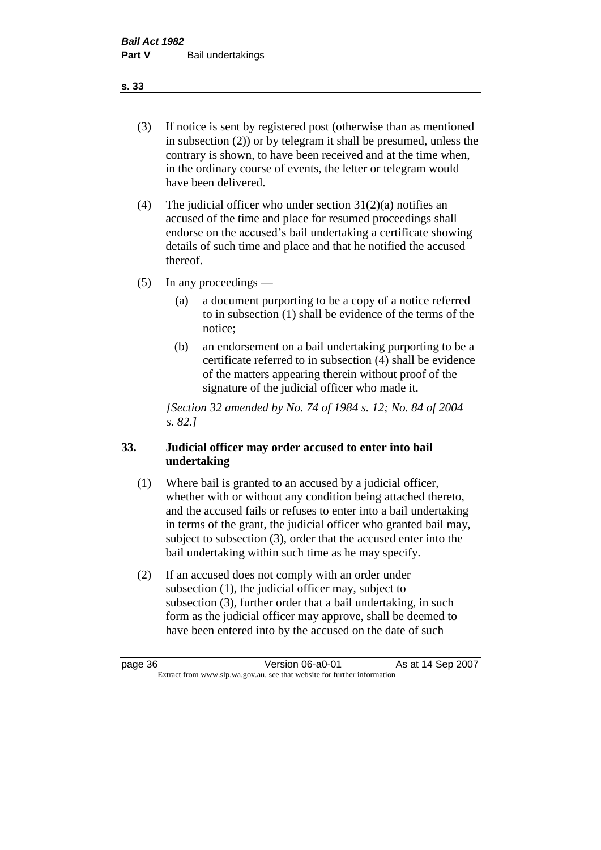(3) If notice is sent by registered post (otherwise than as mentioned in subsection (2)) or by telegram it shall be presumed, unless the contrary is shown, to have been received and at the time when, in the ordinary course of events, the letter or telegram would have been delivered.

(4) The judicial officer who under section  $31(2)(a)$  notifies an accused of the time and place for resumed proceedings shall endorse on the accused's bail undertaking a certificate showing details of such time and place and that he notified the accused thereof.

(5) In any proceedings —

- (a) a document purporting to be a copy of a notice referred to in subsection (1) shall be evidence of the terms of the notice;
- (b) an endorsement on a bail undertaking purporting to be a certificate referred to in subsection (4) shall be evidence of the matters appearing therein without proof of the signature of the judicial officer who made it.

*[Section 32 amended by No. 74 of 1984 s. 12; No. 84 of 2004 s. 82.]* 

# **33. Judicial officer may order accused to enter into bail undertaking**

- (1) Where bail is granted to an accused by a judicial officer, whether with or without any condition being attached thereto, and the accused fails or refuses to enter into a bail undertaking in terms of the grant, the judicial officer who granted bail may, subject to subsection (3), order that the accused enter into the bail undertaking within such time as he may specify.
- (2) If an accused does not comply with an order under subsection (1), the judicial officer may, subject to subsection (3), further order that a bail undertaking, in such form as the judicial officer may approve, shall be deemed to have been entered into by the accused on the date of such

**s. 33**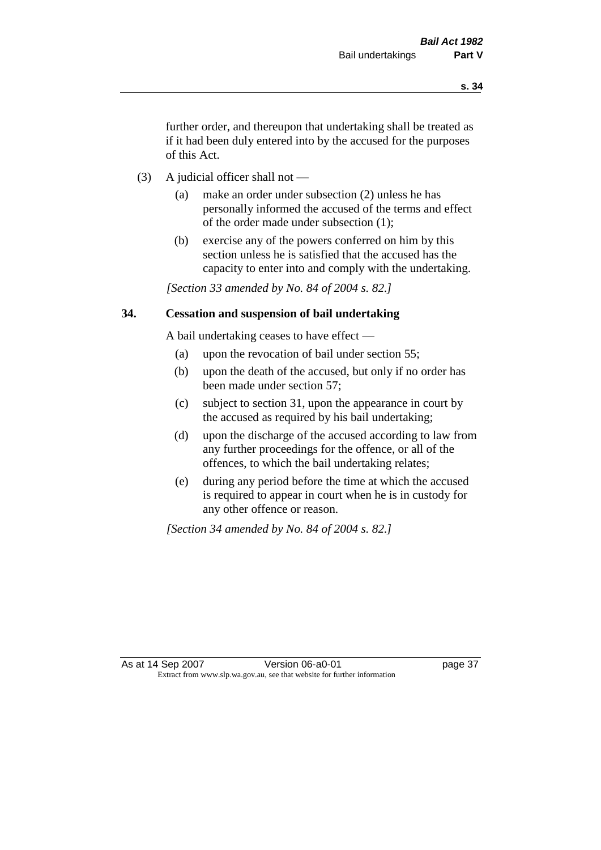further order, and thereupon that undertaking shall be treated as if it had been duly entered into by the accused for the purposes of this Act.

- (3) A judicial officer shall not
	- (a) make an order under subsection (2) unless he has personally informed the accused of the terms and effect of the order made under subsection (1);
	- (b) exercise any of the powers conferred on him by this section unless he is satisfied that the accused has the capacity to enter into and comply with the undertaking.

*[Section 33 amended by No. 84 of 2004 s. 82.]* 

## **34. Cessation and suspension of bail undertaking**

A bail undertaking ceases to have effect —

- (a) upon the revocation of bail under section 55;
- (b) upon the death of the accused, but only if no order has been made under section 57;
- (c) subject to section 31, upon the appearance in court by the accused as required by his bail undertaking;
- (d) upon the discharge of the accused according to law from any further proceedings for the offence, or all of the offences, to which the bail undertaking relates;
- (e) during any period before the time at which the accused is required to appear in court when he is in custody for any other offence or reason.

*[Section 34 amended by No. 84 of 2004 s. 82.]*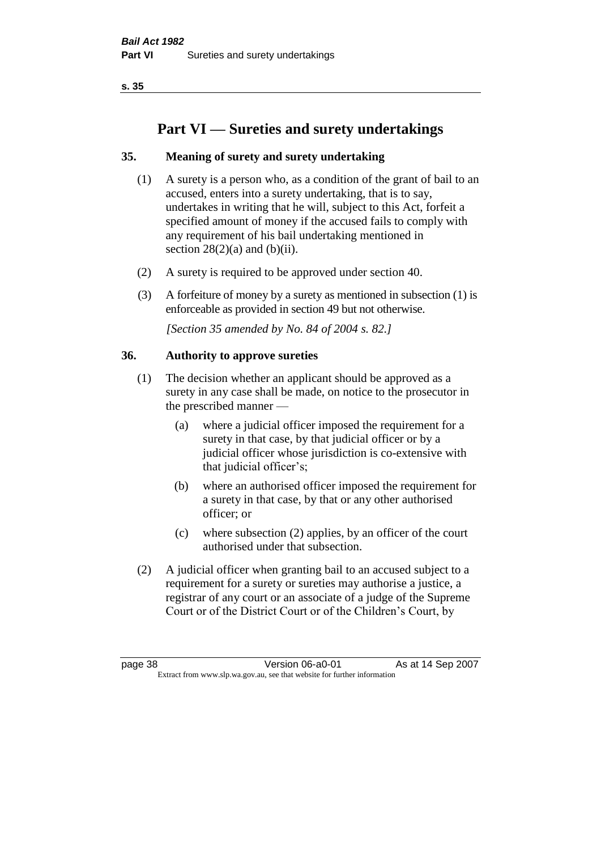# **Part VI — Sureties and surety undertakings**

# **35. Meaning of surety and surety undertaking**

- (1) A surety is a person who, as a condition of the grant of bail to an accused, enters into a surety undertaking, that is to say, undertakes in writing that he will, subject to this Act, forfeit a specified amount of money if the accused fails to comply with any requirement of his bail undertaking mentioned in section  $28(2)(a)$  and  $(b)(ii)$ .
- (2) A surety is required to be approved under section 40.
- (3) A forfeiture of money by a surety as mentioned in subsection (1) is enforceable as provided in section 49 but not otherwise.

*[Section 35 amended by No. 84 of 2004 s. 82.]* 

## **36. Authority to approve sureties**

- (1) The decision whether an applicant should be approved as a surety in any case shall be made, on notice to the prosecutor in the prescribed manner —
	- (a) where a judicial officer imposed the requirement for a surety in that case, by that judicial officer or by a judicial officer whose jurisdiction is co-extensive with that judicial officer's;
	- (b) where an authorised officer imposed the requirement for a surety in that case, by that or any other authorised officer; or
	- (c) where subsection (2) applies, by an officer of the court authorised under that subsection.
- (2) A judicial officer when granting bail to an accused subject to a requirement for a surety or sureties may authorise a justice, a registrar of any court or an associate of a judge of the Supreme Court or of the District Court or of the Children's Court, by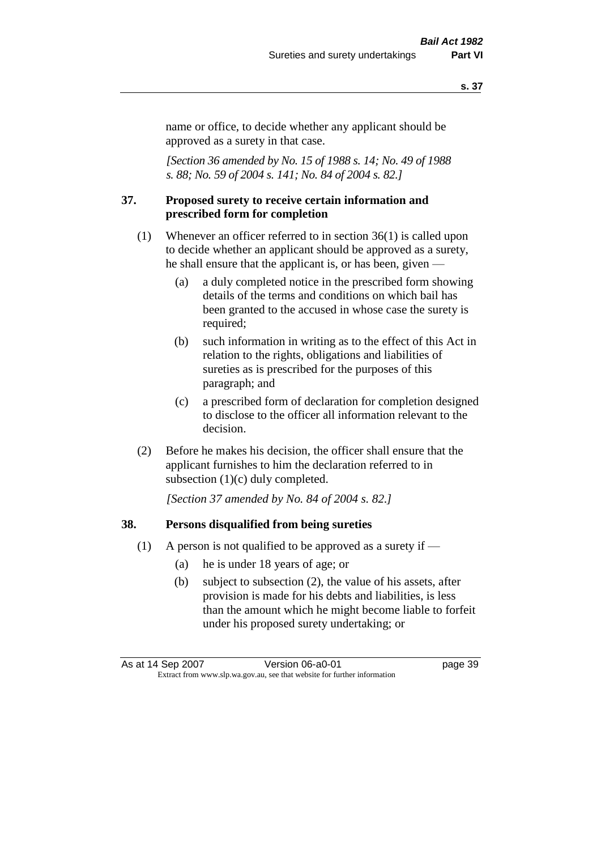name or office, to decide whether any applicant should be approved as a surety in that case.

*[Section 36 amended by No. 15 of 1988 s. 14; No. 49 of 1988 s. 88; No. 59 of 2004 s. 141; No. 84 of 2004 s. 82.]* 

#### **37. Proposed surety to receive certain information and prescribed form for completion**

- (1) Whenever an officer referred to in section 36(1) is called upon to decide whether an applicant should be approved as a surety, he shall ensure that the applicant is, or has been, given —
	- (a) a duly completed notice in the prescribed form showing details of the terms and conditions on which bail has been granted to the accused in whose case the surety is required;
	- (b) such information in writing as to the effect of this Act in relation to the rights, obligations and liabilities of sureties as is prescribed for the purposes of this paragraph; and
	- (c) a prescribed form of declaration for completion designed to disclose to the officer all information relevant to the decision.
- (2) Before he makes his decision, the officer shall ensure that the applicant furnishes to him the declaration referred to in subsection (1)(c) duly completed.

*[Section 37 amended by No. 84 of 2004 s. 82.]* 

#### **38. Persons disqualified from being sureties**

- (1) A person is not qualified to be approved as a surety if  $-$ 
	- (a) he is under 18 years of age; or
	- (b) subject to subsection (2), the value of his assets, after provision is made for his debts and liabilities, is less than the amount which he might become liable to forfeit under his proposed surety undertaking; or

As at 14 Sep 2007 Version 06-a0-01 page 39 Extract from www.slp.wa.gov.au, see that website for further information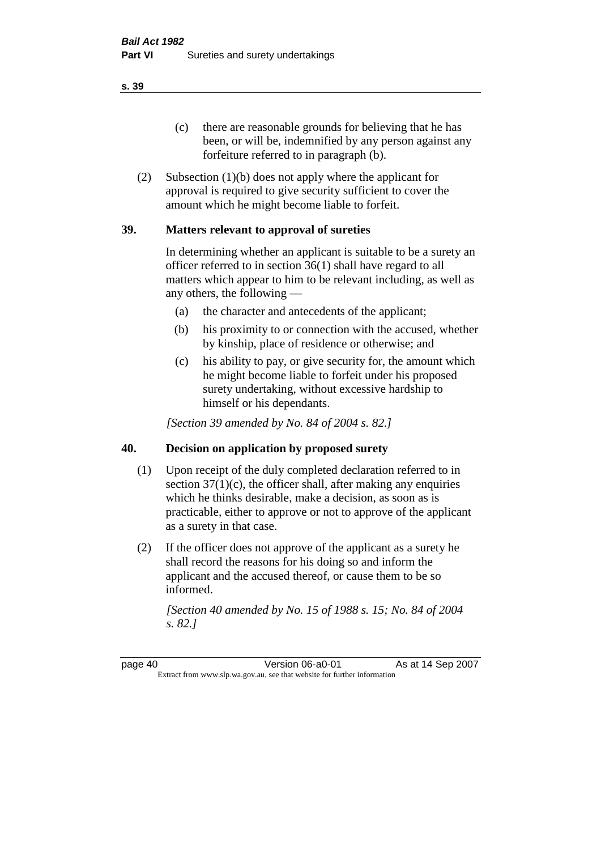(c) there are reasonable grounds for believing that he has been, or will be, indemnified by any person against any forfeiture referred to in paragraph (b).

(2) Subsection (1)(b) does not apply where the applicant for approval is required to give security sufficient to cover the amount which he might become liable to forfeit.

## **39. Matters relevant to approval of sureties**

In determining whether an applicant is suitable to be a surety an officer referred to in section 36(1) shall have regard to all matters which appear to him to be relevant including, as well as any others, the following —

- (a) the character and antecedents of the applicant;
- (b) his proximity to or connection with the accused, whether by kinship, place of residence or otherwise; and
- (c) his ability to pay, or give security for, the amount which he might become liable to forfeit under his proposed surety undertaking, without excessive hardship to himself or his dependants.

*[Section 39 amended by No. 84 of 2004 s. 82.]* 

## **40. Decision on application by proposed surety**

- (1) Upon receipt of the duly completed declaration referred to in section  $37(1)(c)$ , the officer shall, after making any enquiries which he thinks desirable, make a decision, as soon as is practicable, either to approve or not to approve of the applicant as a surety in that case.
- (2) If the officer does not approve of the applicant as a surety he shall record the reasons for his doing so and inform the applicant and the accused thereof, or cause them to be so informed.

*[Section 40 amended by No. 15 of 1988 s. 15; No. 84 of 2004 s. 82.]* 

page 40 **Version 06-a0-01** As at 14 Sep 2007 Extract from www.slp.wa.gov.au, see that website for further information

**s. 39**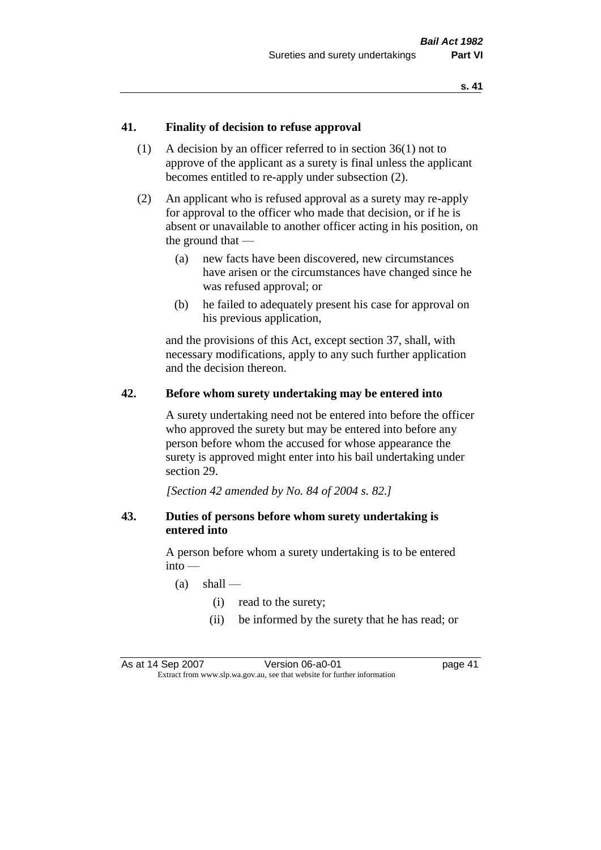## **41. Finality of decision to refuse approval**

- (1) A decision by an officer referred to in section 36(1) not to approve of the applicant as a surety is final unless the applicant becomes entitled to re-apply under subsection (2).
- (2) An applicant who is refused approval as a surety may re-apply for approval to the officer who made that decision, or if he is absent or unavailable to another officer acting in his position, on the ground that —
	- (a) new facts have been discovered, new circumstances have arisen or the circumstances have changed since he was refused approval; or
	- (b) he failed to adequately present his case for approval on his previous application,

and the provisions of this Act, except section 37, shall, with necessary modifications, apply to any such further application and the decision thereon.

#### **42. Before whom surety undertaking may be entered into**

A surety undertaking need not be entered into before the officer who approved the surety but may be entered into before any person before whom the accused for whose appearance the surety is approved might enter into his bail undertaking under section 29.

*[Section 42 amended by No. 84 of 2004 s. 82.]* 

## **43. Duties of persons before whom surety undertaking is entered into**

A person before whom a surety undertaking is to be entered into —

- $(a)$  shall
	- (i) read to the surety;
	- (ii) be informed by the surety that he has read; or

As at 14 Sep 2007 Version 06-a0-01 page 41 Extract from www.slp.wa.gov.au, see that website for further information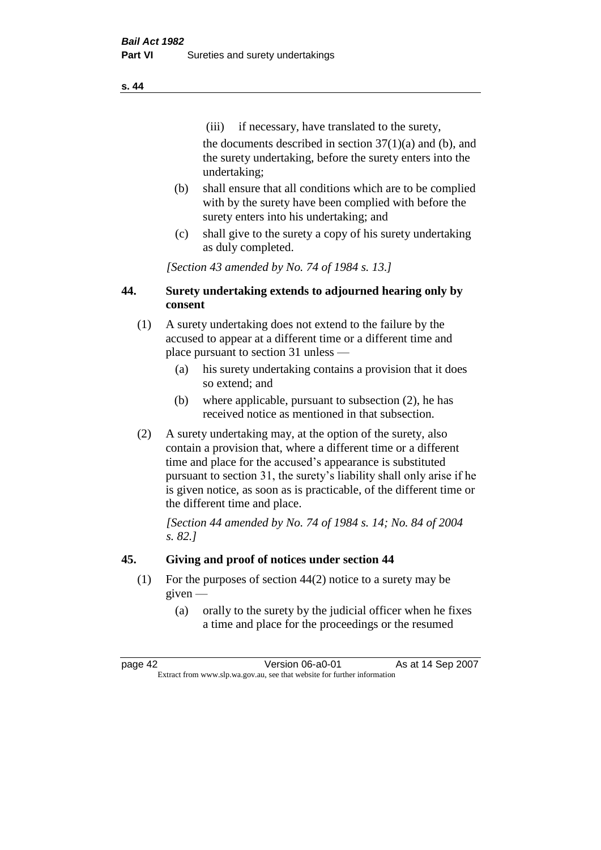(iii) if necessary, have translated to the surety, the documents described in section  $37(1)(a)$  and (b), and the surety undertaking, before the surety enters into the undertaking;

- (b) shall ensure that all conditions which are to be complied with by the surety have been complied with before the surety enters into his undertaking; and
- (c) shall give to the surety a copy of his surety undertaking as duly completed.

*[Section 43 amended by No. 74 of 1984 s. 13.]* 

# **44. Surety undertaking extends to adjourned hearing only by consent**

- (1) A surety undertaking does not extend to the failure by the accused to appear at a different time or a different time and place pursuant to section 31 unless —
	- (a) his surety undertaking contains a provision that it does so extend; and
	- (b) where applicable, pursuant to subsection (2), he has received notice as mentioned in that subsection.
- (2) A surety undertaking may, at the option of the surety, also contain a provision that, where a different time or a different time and place for the accused's appearance is substituted pursuant to section 31, the surety's liability shall only arise if he is given notice, as soon as is practicable, of the different time or the different time and place.

*[Section 44 amended by No. 74 of 1984 s. 14; No. 84 of 2004 s. 82.]* 

# **45. Giving and proof of notices under section 44**

- (1) For the purposes of section 44(2) notice to a surety may be given —
	- (a) orally to the surety by the judicial officer when he fixes a time and place for the proceedings or the resumed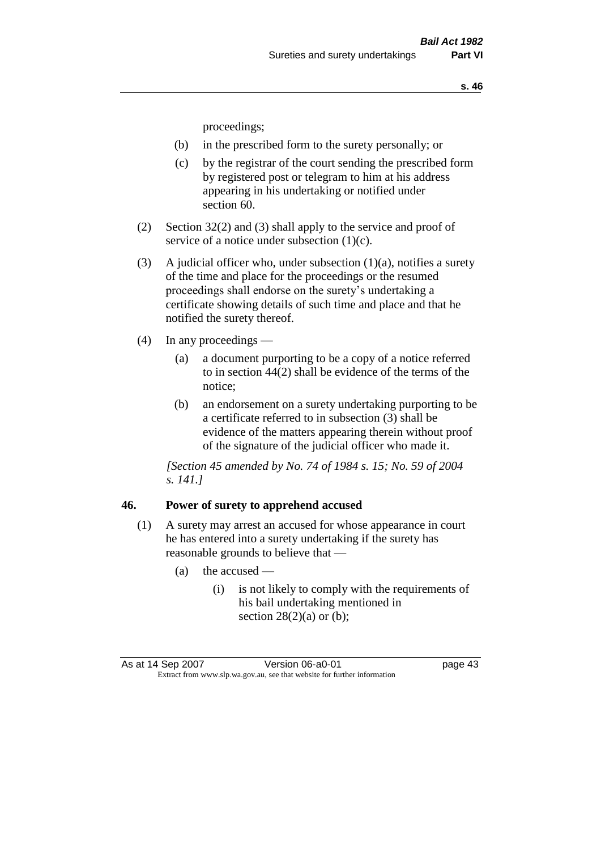proceedings;

- (b) in the prescribed form to the surety personally; or
- (c) by the registrar of the court sending the prescribed form by registered post or telegram to him at his address appearing in his undertaking or notified under section 60.
- (2) Section 32(2) and (3) shall apply to the service and proof of service of a notice under subsection (1)(c).
- (3) A judicial officer who, under subsection  $(1)(a)$ , notifies a surety of the time and place for the proceedings or the resumed proceedings shall endorse on the surety's undertaking a certificate showing details of such time and place and that he notified the surety thereof.
- (4) In any proceedings
	- (a) a document purporting to be a copy of a notice referred to in section 44(2) shall be evidence of the terms of the notice;
	- (b) an endorsement on a surety undertaking purporting to be a certificate referred to in subsection (3) shall be evidence of the matters appearing therein without proof of the signature of the judicial officer who made it.

*[Section 45 amended by No. 74 of 1984 s. 15; No. 59 of 2004 s. 141.]* 

#### **46. Power of surety to apprehend accused**

- (1) A surety may arrest an accused for whose appearance in court he has entered into a surety undertaking if the surety has reasonable grounds to believe that —
	- (a) the accused
		- (i) is not likely to comply with the requirements of his bail undertaking mentioned in section  $28(2)(a)$  or (b);

As at 14 Sep 2007 Version 06-a0-01 page 43 Extract from www.slp.wa.gov.au, see that website for further information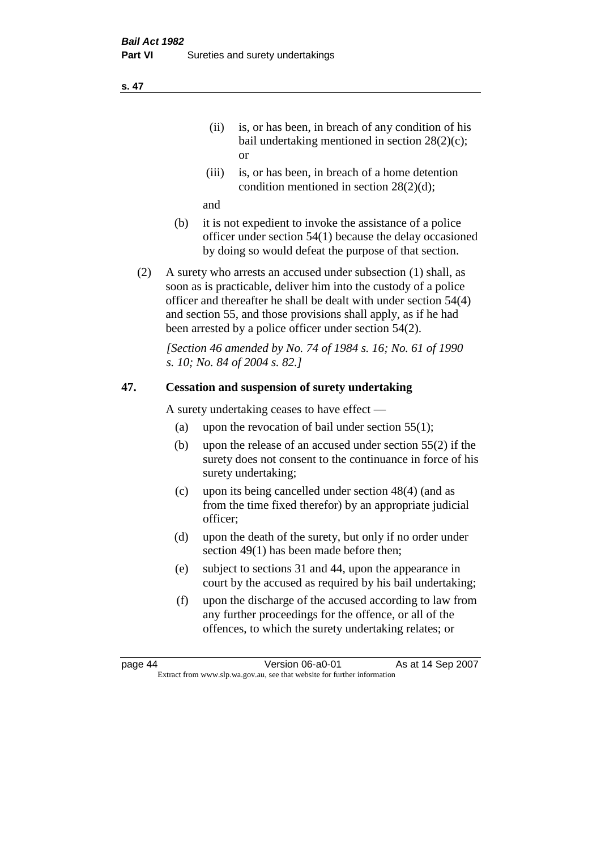- (ii) is, or has been, in breach of any condition of his bail undertaking mentioned in section 28(2)(c); or
- (iii) is, or has been, in breach of a home detention condition mentioned in section 28(2)(d);

and

- (b) it is not expedient to invoke the assistance of a police officer under section 54(1) because the delay occasioned by doing so would defeat the purpose of that section.
- (2) A surety who arrests an accused under subsection (1) shall, as soon as is practicable, deliver him into the custody of a police officer and thereafter he shall be dealt with under section 54(4) and section 55, and those provisions shall apply, as if he had been arrested by a police officer under section 54(2).

*[Section 46 amended by No. 74 of 1984 s. 16; No. 61 of 1990 s. 10; No. 84 of 2004 s. 82.]* 

## **47. Cessation and suspension of surety undertaking**

A surety undertaking ceases to have effect —

- (a) upon the revocation of bail under section  $55(1)$ ;
- (b) upon the release of an accused under section 55(2) if the surety does not consent to the continuance in force of his surety undertaking;
- (c) upon its being cancelled under section 48(4) (and as from the time fixed therefor) by an appropriate judicial officer;
- (d) upon the death of the surety, but only if no order under section 49(1) has been made before then;
- (e) subject to sections 31 and 44, upon the appearance in court by the accused as required by his bail undertaking;
- (f) upon the discharge of the accused according to law from any further proceedings for the offence, or all of the offences, to which the surety undertaking relates; or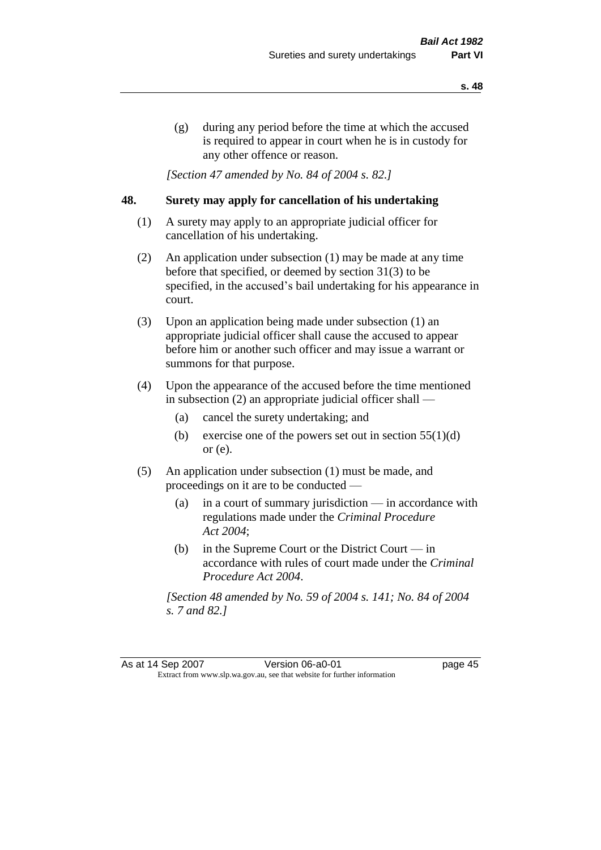(g) during any period before the time at which the accused is required to appear in court when he is in custody for any other offence or reason.

*[Section 47 amended by No. 84 of 2004 s. 82.]* 

## **48. Surety may apply for cancellation of his undertaking**

- (1) A surety may apply to an appropriate judicial officer for cancellation of his undertaking.
- (2) An application under subsection (1) may be made at any time before that specified, or deemed by section 31(3) to be specified, in the accused's bail undertaking for his appearance in court.
- (3) Upon an application being made under subsection (1) an appropriate judicial officer shall cause the accused to appear before him or another such officer and may issue a warrant or summons for that purpose.
- (4) Upon the appearance of the accused before the time mentioned in subsection (2) an appropriate judicial officer shall —
	- (a) cancel the surety undertaking; and
	- (b) exercise one of the powers set out in section  $55(1)(d)$ or (e).
- (5) An application under subsection (1) must be made, and proceedings on it are to be conducted —
	- (a) in a court of summary jurisdiction in accordance with regulations made under the *Criminal Procedure Act 2004*;
	- (b) in the Supreme Court or the District Court  $-\text{in}$ accordance with rules of court made under the *Criminal Procedure Act 2004*.

*[Section 48 amended by No. 59 of 2004 s. 141; No. 84 of 2004 s. 7 and 82.]* 

As at 14 Sep 2007 Version 06-a0-01 page 45 Extract from www.slp.wa.gov.au, see that website for further information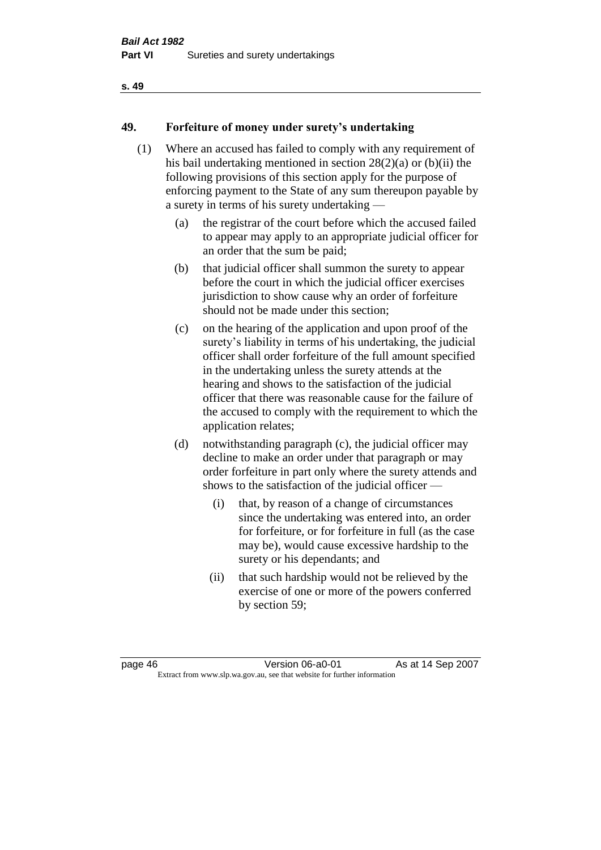# **49. Forfeiture of money under surety's undertaking**

- (1) Where an accused has failed to comply with any requirement of his bail undertaking mentioned in section 28(2)(a) or (b)(ii) the following provisions of this section apply for the purpose of enforcing payment to the State of any sum thereupon payable by a surety in terms of his surety undertaking —
	- (a) the registrar of the court before which the accused failed to appear may apply to an appropriate judicial officer for an order that the sum be paid;
	- (b) that judicial officer shall summon the surety to appear before the court in which the judicial officer exercises jurisdiction to show cause why an order of forfeiture should not be made under this section;
	- (c) on the hearing of the application and upon proof of the surety's liability in terms of his undertaking, the judicial officer shall order forfeiture of the full amount specified in the undertaking unless the surety attends at the hearing and shows to the satisfaction of the judicial officer that there was reasonable cause for the failure of the accused to comply with the requirement to which the application relates;
	- (d) notwithstanding paragraph (c), the judicial officer may decline to make an order under that paragraph or may order forfeiture in part only where the surety attends and shows to the satisfaction of the judicial officer —
		- (i) that, by reason of a change of circumstances since the undertaking was entered into, an order for forfeiture, or for forfeiture in full (as the case may be), would cause excessive hardship to the surety or his dependants; and
		- (ii) that such hardship would not be relieved by the exercise of one or more of the powers conferred by section 59;

page 46 **Version 06-a0-01** As at 14 Sep 2007 Extract from www.slp.wa.gov.au, see that website for further information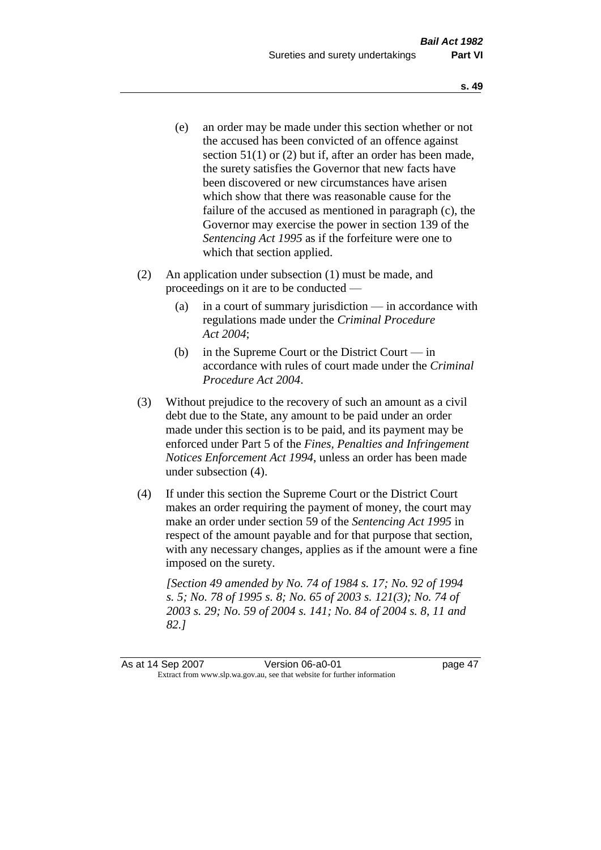- (e) an order may be made under this section whether or not the accused has been convicted of an offence against section 51(1) or (2) but if, after an order has been made, the surety satisfies the Governor that new facts have been discovered or new circumstances have arisen which show that there was reasonable cause for the failure of the accused as mentioned in paragraph (c), the Governor may exercise the power in section 139 of the *Sentencing Act 1995* as if the forfeiture were one to which that section applied.
- (2) An application under subsection (1) must be made, and proceedings on it are to be conducted —
	- (a) in a court of summary jurisdiction in accordance with regulations made under the *Criminal Procedure Act 2004*;
	- (b) in the Supreme Court or the District Court in accordance with rules of court made under the *Criminal Procedure Act 2004*.
- (3) Without prejudice to the recovery of such an amount as a civil debt due to the State, any amount to be paid under an order made under this section is to be paid, and its payment may be enforced under Part 5 of the *Fines, Penalties and Infringement Notices Enforcement Act 1994*, unless an order has been made under subsection (4).
- (4) If under this section the Supreme Court or the District Court makes an order requiring the payment of money, the court may make an order under section 59 of the *Sentencing Act 1995* in respect of the amount payable and for that purpose that section, with any necessary changes, applies as if the amount were a fine imposed on the surety.

*[Section 49 amended by No. 74 of 1984 s. 17; No. 92 of 1994 s. 5; No. 78 of 1995 s. 8; No. 65 of 2003 s. 121(3); No. 74 of 2003 s. 29; No. 59 of 2004 s. 141; No. 84 of 2004 s. 8, 11 and 82.]*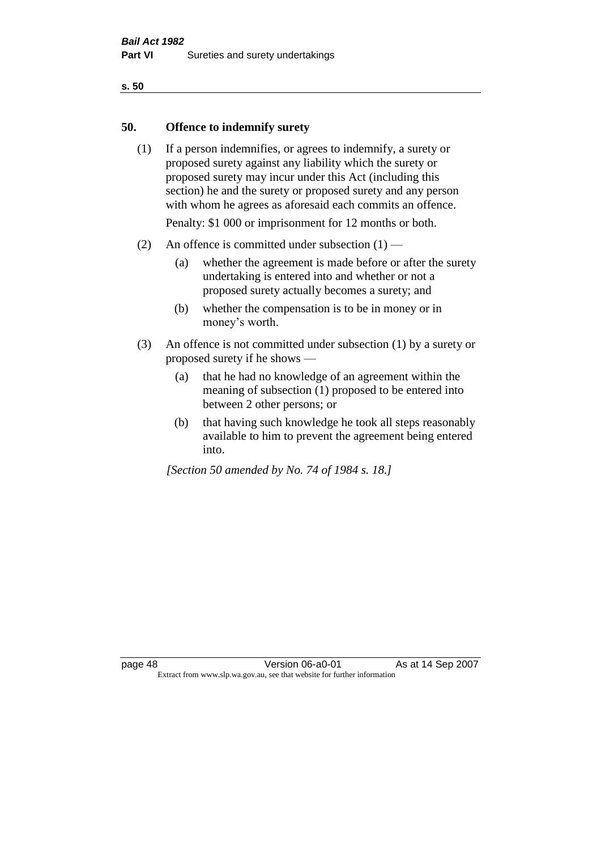#### **50. Offence to indemnify surety**

(1) If a person indemnifies, or agrees to indemnify, a surety or proposed surety against any liability which the surety or proposed surety may incur under this Act (including this section) he and the surety or proposed surety and any person with whom he agrees as aforesaid each commits an offence.

Penalty: \$1 000 or imprisonment for 12 months or both.

- (2) An offence is committed under subsection  $(1)$ 
	- (a) whether the agreement is made before or after the surety undertaking is entered into and whether or not a proposed surety actually becomes a surety; and
	- (b) whether the compensation is to be in money or in money's worth.
- (3) An offence is not committed under subsection (1) by a surety or proposed surety if he shows —
	- (a) that he had no knowledge of an agreement within the meaning of subsection (1) proposed to be entered into between 2 other persons; or
	- (b) that having such knowledge he took all steps reasonably available to him to prevent the agreement being entered into.

*[Section 50 amended by No. 74 of 1984 s. 18.]*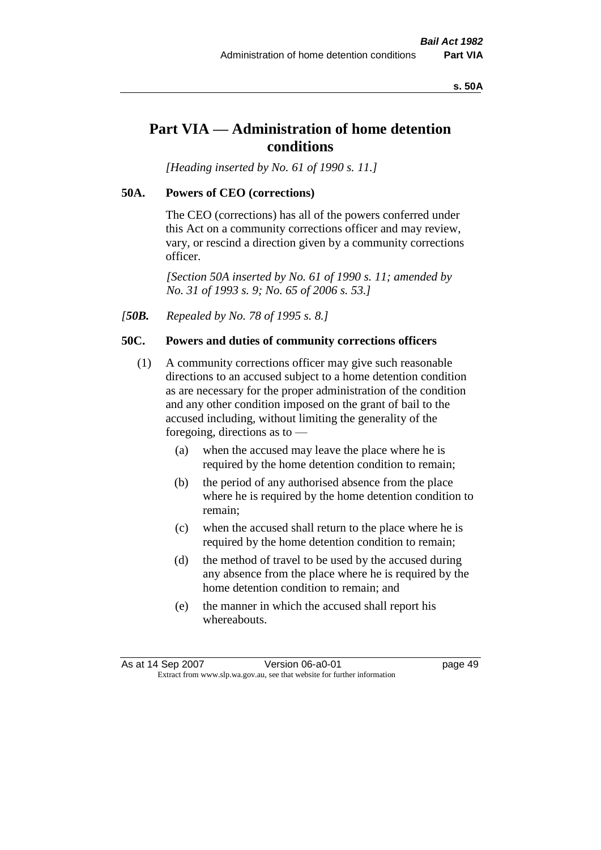#### **s. 50A**

# **Part VIA — Administration of home detention conditions**

*[Heading inserted by No. 61 of 1990 s. 11.]* 

#### **50A. Powers of CEO (corrections)**

The CEO (corrections) has all of the powers conferred under this Act on a community corrections officer and may review, vary, or rescind a direction given by a community corrections officer.

*[Section 50A inserted by No. 61 of 1990 s. 11; amended by No. 31 of 1993 s. 9; No. 65 of 2006 s. 53.]* 

*[50B. Repealed by No. 78 of 1995 s. 8.]* 

#### **50C. Powers and duties of community corrections officers**

- (1) A community corrections officer may give such reasonable directions to an accused subject to a home detention condition as are necessary for the proper administration of the condition and any other condition imposed on the grant of bail to the accused including, without limiting the generality of the foregoing, directions as to —
	- (a) when the accused may leave the place where he is required by the home detention condition to remain;
	- (b) the period of any authorised absence from the place where he is required by the home detention condition to remain;
	- (c) when the accused shall return to the place where he is required by the home detention condition to remain;
	- (d) the method of travel to be used by the accused during any absence from the place where he is required by the home detention condition to remain; and
	- (e) the manner in which the accused shall report his whereabouts.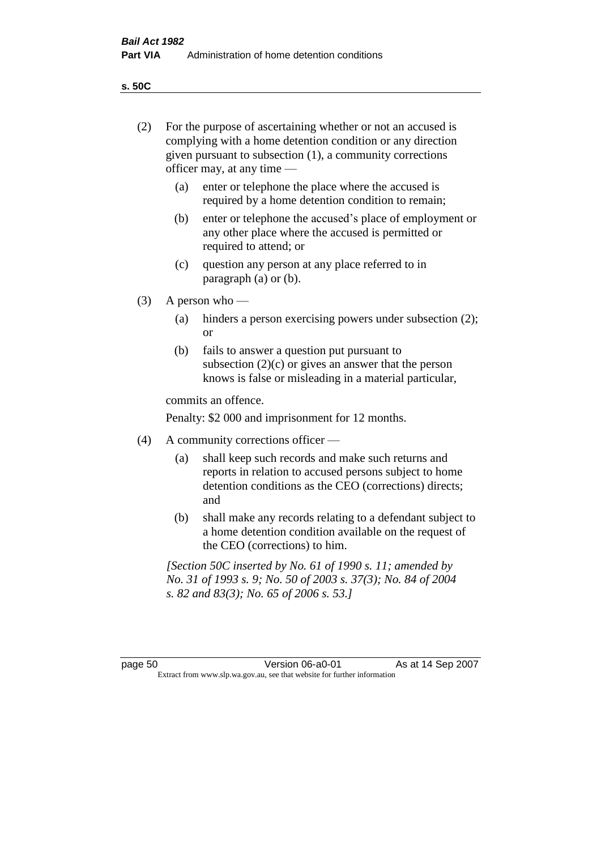**s. 50C**

| (2)     | For the purpose of ascertaining whether or not an accused is<br>complying with a home detention condition or any direction<br>given pursuant to subsection (1), a community corrections<br>officer may, at any time — |                                                                                                                                                                              |
|---------|-----------------------------------------------------------------------------------------------------------------------------------------------------------------------------------------------------------------------|------------------------------------------------------------------------------------------------------------------------------------------------------------------------------|
|         | (a)                                                                                                                                                                                                                   | enter or telephone the place where the accused is<br>required by a home detention condition to remain;                                                                       |
|         | (b)                                                                                                                                                                                                                   | enter or telephone the accused's place of employment or<br>any other place where the accused is permitted or<br>required to attend; or                                       |
|         | (c)                                                                                                                                                                                                                   | question any person at any place referred to in<br>paragraph $(a)$ or $(b)$ .                                                                                                |
| (3)     | A person who $-$                                                                                                                                                                                                      |                                                                                                                                                                              |
|         | (a)                                                                                                                                                                                                                   | hinders a person exercising powers under subsection (2);<br><sub>or</sub>                                                                                                    |
|         | (b)                                                                                                                                                                                                                   | fails to answer a question put pursuant to<br>subsection $(2)(c)$ or gives an answer that the person<br>knows is false or misleading in a material particular,               |
|         |                                                                                                                                                                                                                       | commits an offence.                                                                                                                                                          |
|         |                                                                                                                                                                                                                       | Penalty: \$2 000 and imprisonment for 12 months.                                                                                                                             |
| (4)     | A community corrections officer —                                                                                                                                                                                     |                                                                                                                                                                              |
|         | (a)                                                                                                                                                                                                                   | shall keep such records and make such returns and<br>reports in relation to accused persons subject to home<br>detention conditions as the CEO (corrections) directs;<br>and |
|         | (b)                                                                                                                                                                                                                   | shall make any records relating to a defendant subject to<br>a home detention condition available on the request of<br>the CEO (corrections) to him.                         |
|         |                                                                                                                                                                                                                       | [Section 50C inserted by No. 61 of 1990 s. 11; amended by<br>No. 31 of 1993 s. 9; No. 50 of 2003 s. 37(3); No. 84 of 2004<br>s. 82 and 83(3); No. 65 of 2006 s. 53.]         |
|         |                                                                                                                                                                                                                       |                                                                                                                                                                              |
| page 50 |                                                                                                                                                                                                                       | As at 14 Sep 2007<br>Version 06-a0-01<br>Extract from www.slp.wa.gov.au, see that website for further information                                                            |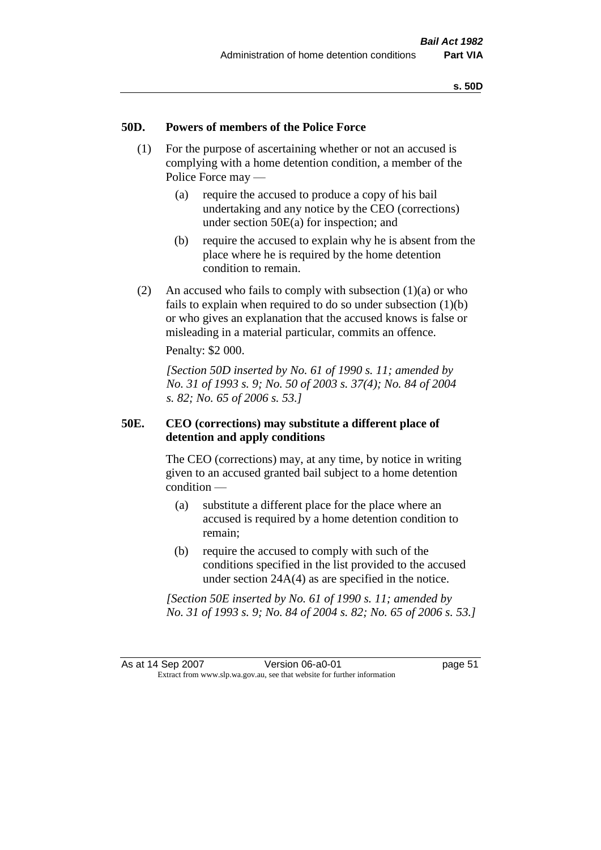#### **50D. Powers of members of the Police Force**

- (1) For the purpose of ascertaining whether or not an accused is complying with a home detention condition, a member of the Police Force may —
	- (a) require the accused to produce a copy of his bail undertaking and any notice by the CEO (corrections) under section 50E(a) for inspection; and
	- (b) require the accused to explain why he is absent from the place where he is required by the home detention condition to remain.
- (2) An accused who fails to comply with subsection  $(1)(a)$  or who fails to explain when required to do so under subsection  $(1)(b)$ or who gives an explanation that the accused knows is false or misleading in a material particular, commits an offence.

Penalty: \$2 000.

*[Section 50D inserted by No. 61 of 1990 s. 11; amended by No. 31 of 1993 s. 9; No. 50 of 2003 s. 37(4); No. 84 of 2004 s. 82; No. 65 of 2006 s. 53.]* 

### **50E. CEO (corrections) may substitute a different place of detention and apply conditions**

The CEO (corrections) may, at any time, by notice in writing given to an accused granted bail subject to a home detention condition —

- (a) substitute a different place for the place where an accused is required by a home detention condition to remain;
- (b) require the accused to comply with such of the conditions specified in the list provided to the accused under section 24A(4) as are specified in the notice.

*[Section 50E inserted by No. 61 of 1990 s. 11; amended by No. 31 of 1993 s. 9; No. 84 of 2004 s. 82; No. 65 of 2006 s. 53.]*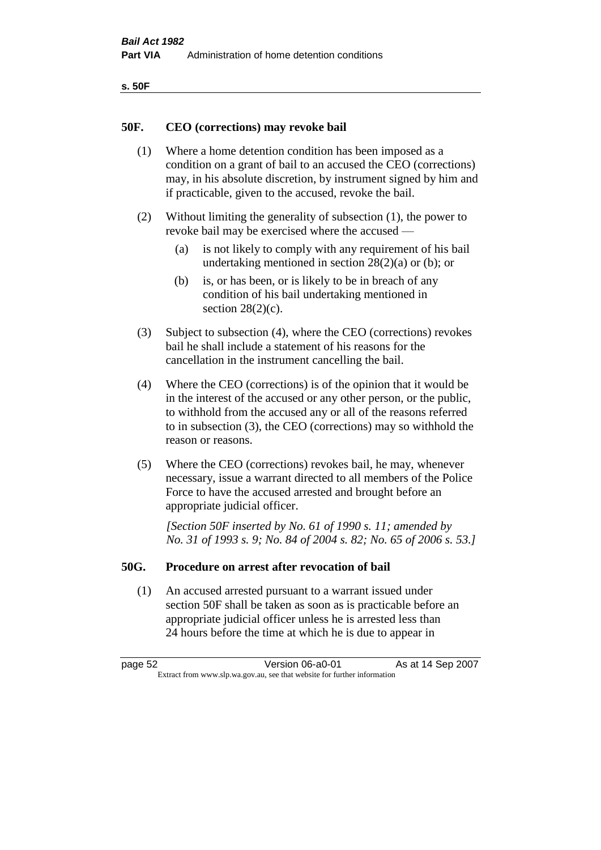```
s. 50F
```
## **50F. CEO (corrections) may revoke bail**

- (1) Where a home detention condition has been imposed as a condition on a grant of bail to an accused the CEO (corrections) may, in his absolute discretion, by instrument signed by him and if practicable, given to the accused, revoke the bail.
- (2) Without limiting the generality of subsection (1), the power to revoke bail may be exercised where the accused —
	- (a) is not likely to comply with any requirement of his bail undertaking mentioned in section  $28(2)(a)$  or (b); or
	- (b) is, or has been, or is likely to be in breach of any condition of his bail undertaking mentioned in section  $28(2)(c)$ .
- (3) Subject to subsection (4), where the CEO (corrections) revokes bail he shall include a statement of his reasons for the cancellation in the instrument cancelling the bail.
- (4) Where the CEO (corrections) is of the opinion that it would be in the interest of the accused or any other person, or the public, to withhold from the accused any or all of the reasons referred to in subsection (3), the CEO (corrections) may so withhold the reason or reasons.
- (5) Where the CEO (corrections) revokes bail, he may, whenever necessary, issue a warrant directed to all members of the Police Force to have the accused arrested and brought before an appropriate judicial officer.

*[Section 50F inserted by No. 61 of 1990 s. 11; amended by No. 31 of 1993 s. 9; No. 84 of 2004 s. 82; No. 65 of 2006 s. 53.]* 

## **50G. Procedure on arrest after revocation of bail**

(1) An accused arrested pursuant to a warrant issued under section 50F shall be taken as soon as is practicable before an appropriate judicial officer unless he is arrested less than 24 hours before the time at which he is due to appear in

page 52 **Version 06-a0-01** As at 14 Sep 2007 Extract from www.slp.wa.gov.au, see that website for further information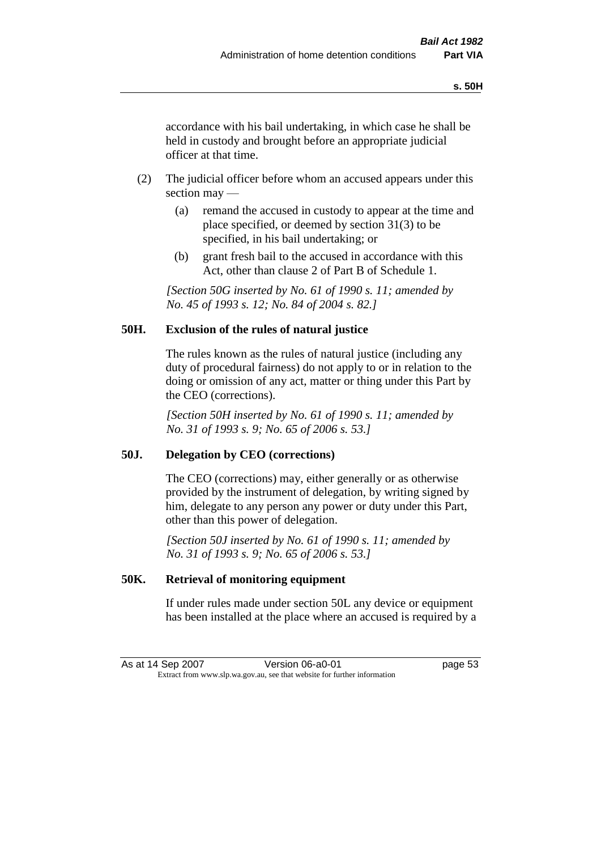accordance with his bail undertaking, in which case he shall be held in custody and brought before an appropriate judicial officer at that time.

- (2) The judicial officer before whom an accused appears under this section may —
	- (a) remand the accused in custody to appear at the time and place specified, or deemed by section 31(3) to be specified, in his bail undertaking; or
	- (b) grant fresh bail to the accused in accordance with this Act, other than clause 2 of Part B of Schedule 1.

*[Section 50G inserted by No. 61 of 1990 s. 11; amended by No. 45 of 1993 s. 12; No. 84 of 2004 s. 82.]* 

## **50H. Exclusion of the rules of natural justice**

The rules known as the rules of natural justice (including any duty of procedural fairness) do not apply to or in relation to the doing or omission of any act, matter or thing under this Part by the CEO (corrections).

*[Section 50H inserted by No. 61 of 1990 s. 11; amended by No. 31 of 1993 s. 9; No. 65 of 2006 s. 53.]* 

## **50J. Delegation by CEO (corrections)**

The CEO (corrections) may, either generally or as otherwise provided by the instrument of delegation, by writing signed by him, delegate to any person any power or duty under this Part, other than this power of delegation.

*[Section 50J inserted by No. 61 of 1990 s. 11; amended by No. 31 of 1993 s. 9; No. 65 of 2006 s. 53.]* 

## **50K. Retrieval of monitoring equipment**

If under rules made under section 50L any device or equipment has been installed at the place where an accused is required by a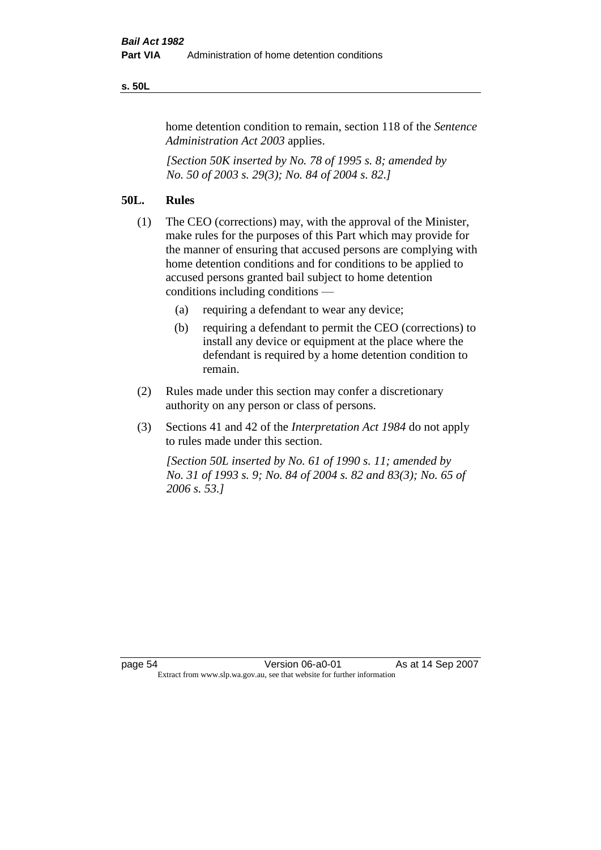#### **s. 50L**

home detention condition to remain, section 118 of the *Sentence Administration Act 2003* applies.

*[Section 50K inserted by No. 78 of 1995 s. 8; amended by No. 50 of 2003 s. 29(3); No. 84 of 2004 s. 82.]* 

# **50L. Rules**

- (1) The CEO (corrections) may, with the approval of the Minister, make rules for the purposes of this Part which may provide for the manner of ensuring that accused persons are complying with home detention conditions and for conditions to be applied to accused persons granted bail subject to home detention conditions including conditions —
	- (a) requiring a defendant to wear any device;
	- (b) requiring a defendant to permit the CEO (corrections) to install any device or equipment at the place where the defendant is required by a home detention condition to remain.
- (2) Rules made under this section may confer a discretionary authority on any person or class of persons.
- (3) Sections 41 and 42 of the *Interpretation Act 1984* do not apply to rules made under this section.

*[Section 50L inserted by No. 61 of 1990 s. 11; amended by No. 31 of 1993 s. 9; No. 84 of 2004 s. 82 and 83(3); No. 65 of 2006 s. 53.]*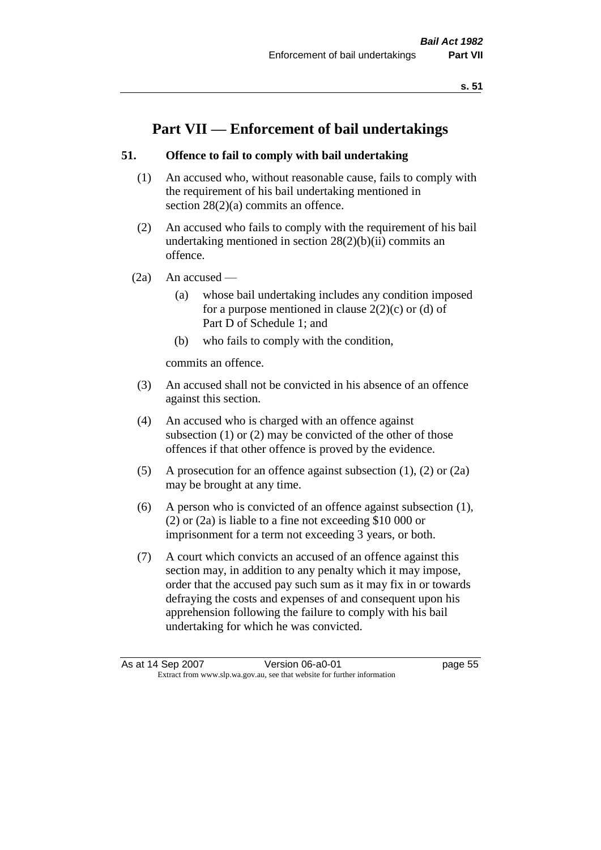# **Part VII — Enforcement of bail undertakings**

# **51. Offence to fail to comply with bail undertaking**

- (1) An accused who, without reasonable cause, fails to comply with the requirement of his bail undertaking mentioned in section  $28(2)(a)$  commits an offence.
- (2) An accused who fails to comply with the requirement of his bail undertaking mentioned in section  $28(2)(b)(ii)$  commits an offence.
- $(2a)$  An accused
	- (a) whose bail undertaking includes any condition imposed for a purpose mentioned in clause  $2(2)(c)$  or (d) of Part D of Schedule 1; and
	- (b) who fails to comply with the condition,

commits an offence.

- (3) An accused shall not be convicted in his absence of an offence against this section.
- (4) An accused who is charged with an offence against subsection (1) or (2) may be convicted of the other of those offences if that other offence is proved by the evidence.
- (5) A prosecution for an offence against subsection (1), (2) or (2a) may be brought at any time.
- (6) A person who is convicted of an offence against subsection (1), (2) or (2a) is liable to a fine not exceeding \$10 000 or imprisonment for a term not exceeding 3 years, or both.
- (7) A court which convicts an accused of an offence against this section may, in addition to any penalty which it may impose, order that the accused pay such sum as it may fix in or towards defraying the costs and expenses of and consequent upon his apprehension following the failure to comply with his bail undertaking for which he was convicted.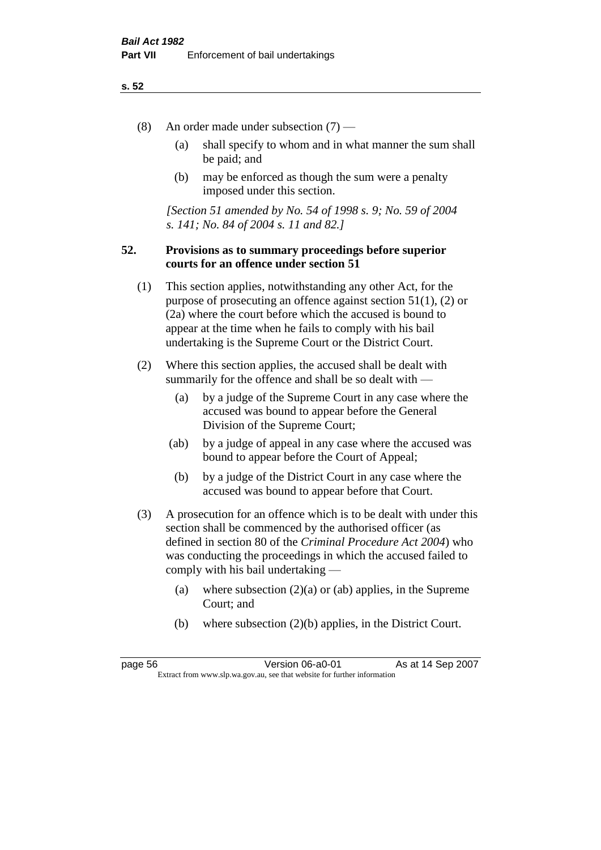- (8) An order made under subsection (7)
	- (a) shall specify to whom and in what manner the sum shall be paid; and
	- (b) may be enforced as though the sum were a penalty imposed under this section.

*[Section 51 amended by No. 54 of 1998 s. 9; No. 59 of 2004 s. 141; No. 84 of 2004 s. 11 and 82.]*

## **52. Provisions as to summary proceedings before superior courts for an offence under section 51**

- (1) This section applies, notwithstanding any other Act, for the purpose of prosecuting an offence against section 51(1), (2) or (2a) where the court before which the accused is bound to appear at the time when he fails to comply with his bail undertaking is the Supreme Court or the District Court.
- (2) Where this section applies, the accused shall be dealt with summarily for the offence and shall be so dealt with —
	- (a) by a judge of the Supreme Court in any case where the accused was bound to appear before the General Division of the Supreme Court;
	- (ab) by a judge of appeal in any case where the accused was bound to appear before the Court of Appeal;
	- (b) by a judge of the District Court in any case where the accused was bound to appear before that Court.
- (3) A prosecution for an offence which is to be dealt with under this section shall be commenced by the authorised officer (as defined in section 80 of the *Criminal Procedure Act 2004*) who was conducting the proceedings in which the accused failed to comply with his bail undertaking —
	- (a) where subsection  $(2)(a)$  or (ab) applies, in the Supreme Court; and
	- (b) where subsection (2)(b) applies, in the District Court.

page 56 **Version 06-a0-01** As at 14 Sep 2007 Extract from www.slp.wa.gov.au, see that website for further information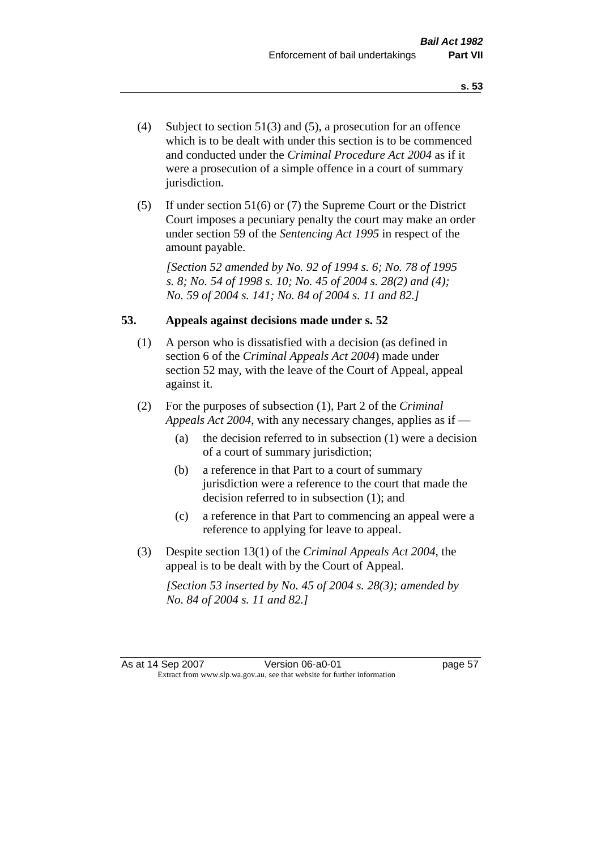- (4) Subject to section 51(3) and (5), a prosecution for an offence which is to be dealt with under this section is to be commenced and conducted under the *Criminal Procedure Act 2004* as if it were a prosecution of a simple offence in a court of summary jurisdiction.
- (5) If under section 51(6) or (7) the Supreme Court or the District Court imposes a pecuniary penalty the court may make an order under section 59 of the *Sentencing Act 1995* in respect of the amount payable.

*[Section 52 amended by No. 92 of 1994 s. 6; No. 78 of 1995 s. 8; No. 54 of 1998 s. 10; No. 45 of 2004 s. 28(2) and (4); No. 59 of 2004 s. 141; No. 84 of 2004 s. 11 and 82.]* 

## **53. Appeals against decisions made under s. 52**

- (1) A person who is dissatisfied with a decision (as defined in section 6 of the *Criminal Appeals Act 2004*) made under section 52 may, with the leave of the Court of Appeal, appeal against it.
- (2) For the purposes of subsection (1), Part 2 of the *Criminal Appeals Act 2004*, with any necessary changes, applies as if —
	- (a) the decision referred to in subsection (1) were a decision of a court of summary jurisdiction;
	- (b) a reference in that Part to a court of summary jurisdiction were a reference to the court that made the decision referred to in subsection (1); and
	- (c) a reference in that Part to commencing an appeal were a reference to applying for leave to appeal.
- (3) Despite section 13(1) of the *Criminal Appeals Act 2004*, the appeal is to be dealt with by the Court of Appeal.

*[Section 53 inserted by No. 45 of 2004 s. 28(3); amended by No. 84 of 2004 s. 11 and 82.]*

As at 14 Sep 2007 Version 06-a0-01 Page 57 Extract from www.slp.wa.gov.au, see that website for further information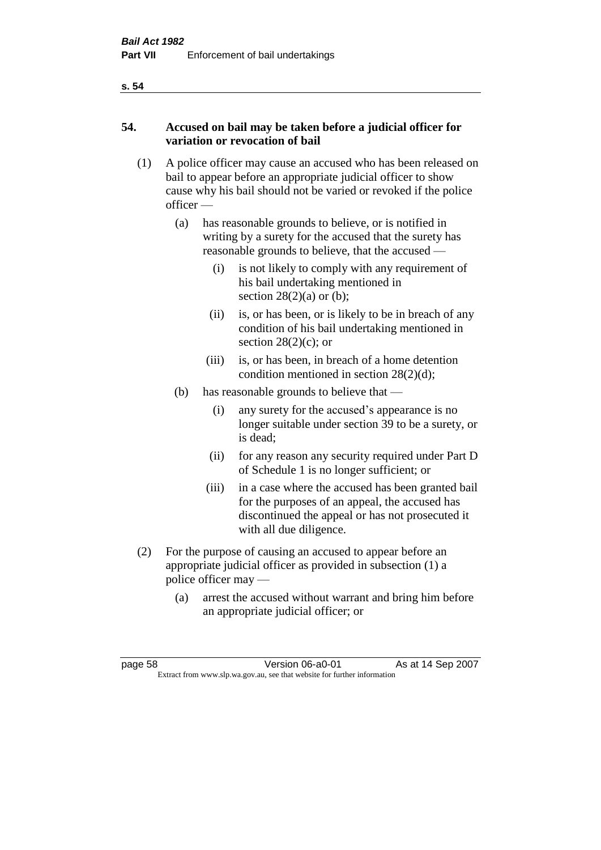# **54. Accused on bail may be taken before a judicial officer for variation or revocation of bail**

- (1) A police officer may cause an accused who has been released on bail to appear before an appropriate judicial officer to show cause why his bail should not be varied or revoked if the police officer —
	- (a) has reasonable grounds to believe, or is notified in writing by a surety for the accused that the surety has reasonable grounds to believe, that the accused —
		- (i) is not likely to comply with any requirement of his bail undertaking mentioned in section  $28(2)(a)$  or (b);
		- (ii) is, or has been, or is likely to be in breach of any condition of his bail undertaking mentioned in section  $28(2)(c)$ ; or
		- (iii) is, or has been, in breach of a home detention condition mentioned in section 28(2)(d);
	- (b) has reasonable grounds to believe that
		- (i) any surety for the accused's appearance is no longer suitable under section 39 to be a surety, or is dead;
		- (ii) for any reason any security required under Part D of Schedule 1 is no longer sufficient; or
		- (iii) in a case where the accused has been granted bail for the purposes of an appeal, the accused has discontinued the appeal or has not prosecuted it with all due diligence.
- (2) For the purpose of causing an accused to appear before an appropriate judicial officer as provided in subsection (1) a police officer may —
	- (a) arrest the accused without warrant and bring him before an appropriate judicial officer; or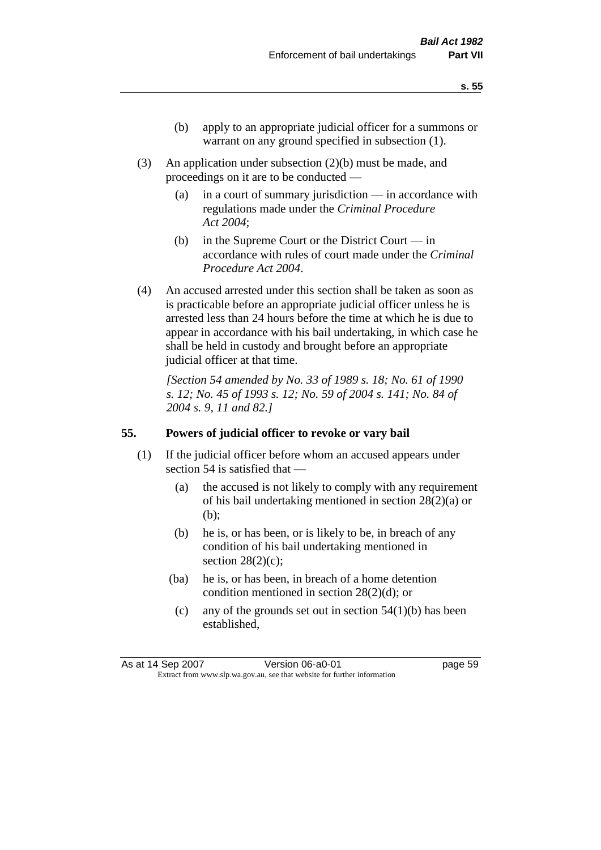- (b) apply to an appropriate judicial officer for a summons or warrant on any ground specified in subsection  $(1)$ .
- (3) An application under subsection (2)(b) must be made, and proceedings on it are to be conducted —
	- (a) in a court of summary jurisdiction in accordance with regulations made under the *Criminal Procedure Act 2004*;
	- (b) in the Supreme Court or the District Court in accordance with rules of court made under the *Criminal Procedure Act 2004*.
- (4) An accused arrested under this section shall be taken as soon as is practicable before an appropriate judicial officer unless he is arrested less than 24 hours before the time at which he is due to appear in accordance with his bail undertaking, in which case he shall be held in custody and brought before an appropriate judicial officer at that time.

*[Section 54 amended by No. 33 of 1989 s. 18; No. 61 of 1990 s. 12; No. 45 of 1993 s. 12; No. 59 of 2004 s. 141; No. 84 of 2004 s. 9, 11 and 82.]* 

## **55. Powers of judicial officer to revoke or vary bail**

- (1) If the judicial officer before whom an accused appears under section 54 is satisfied that —
	- (a) the accused is not likely to comply with any requirement of his bail undertaking mentioned in section 28(2)(a) or (b);
	- (b) he is, or has been, or is likely to be, in breach of any condition of his bail undertaking mentioned in section  $28(2)(c)$ ;
	- (ba) he is, or has been, in breach of a home detention condition mentioned in section 28(2)(d); or
		- (c) any of the grounds set out in section  $54(1)(b)$  has been established,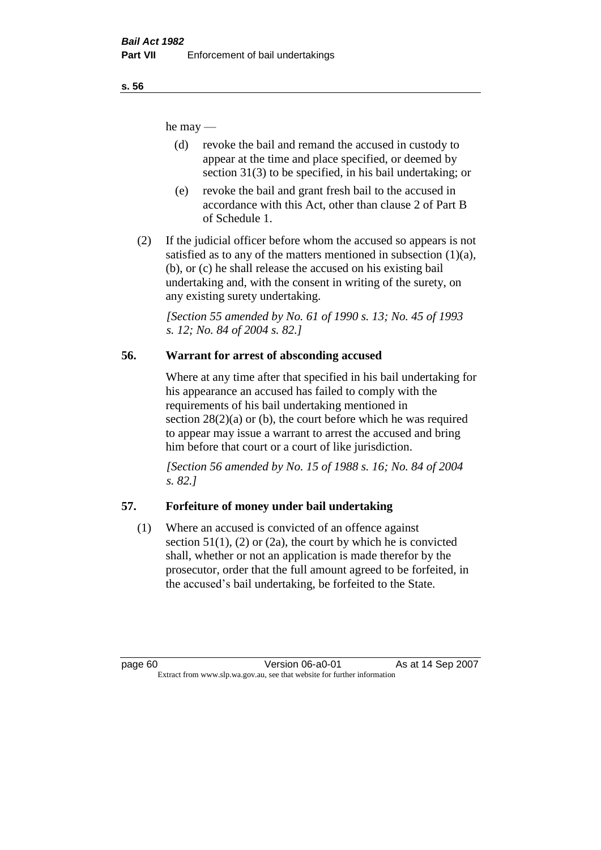he may —

- (d) revoke the bail and remand the accused in custody to appear at the time and place specified, or deemed by section 31(3) to be specified, in his bail undertaking; or
- (e) revoke the bail and grant fresh bail to the accused in accordance with this Act, other than clause 2 of Part B of Schedule 1.
- (2) If the judicial officer before whom the accused so appears is not satisfied as to any of the matters mentioned in subsection  $(1)(a)$ , (b), or (c) he shall release the accused on his existing bail undertaking and, with the consent in writing of the surety, on any existing surety undertaking.

*[Section 55 amended by No. 61 of 1990 s. 13; No. 45 of 1993 s. 12; No. 84 of 2004 s. 82.]* 

# **56. Warrant for arrest of absconding accused**

Where at any time after that specified in his bail undertaking for his appearance an accused has failed to comply with the requirements of his bail undertaking mentioned in section  $28(2)(a)$  or (b), the court before which he was required to appear may issue a warrant to arrest the accused and bring him before that court or a court of like jurisdiction.

*[Section 56 amended by No. 15 of 1988 s. 16; No. 84 of 2004 s. 82.]* 

# **57. Forfeiture of money under bail undertaking**

(1) Where an accused is convicted of an offence against section  $51(1)$ ,  $(2)$  or  $(2a)$ , the court by which he is convicted shall, whether or not an application is made therefor by the prosecutor, order that the full amount agreed to be forfeited, in the accused's bail undertaking, be forfeited to the State.

page 60 **Version 06-a0-01** As at 14 Sep 2007 Extract from www.slp.wa.gov.au, see that website for further information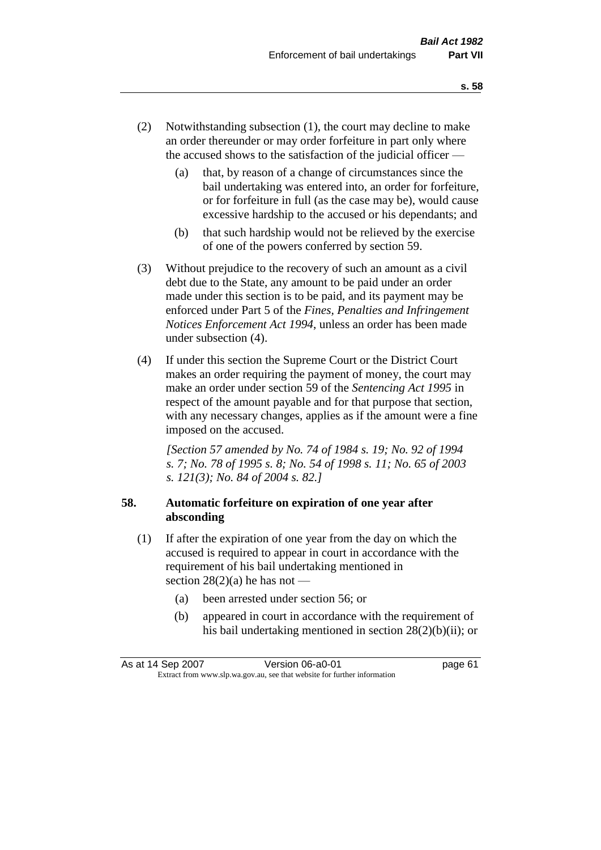- (2) Notwithstanding subsection (1), the court may decline to make an order thereunder or may order forfeiture in part only where the accused shows to the satisfaction of the judicial officer —
	- (a) that, by reason of a change of circumstances since the bail undertaking was entered into, an order for forfeiture, or for forfeiture in full (as the case may be), would cause excessive hardship to the accused or his dependants; and
	- (b) that such hardship would not be relieved by the exercise of one of the powers conferred by section 59.
- (3) Without prejudice to the recovery of such an amount as a civil debt due to the State, any amount to be paid under an order made under this section is to be paid, and its payment may be enforced under Part 5 of the *Fines, Penalties and Infringement Notices Enforcement Act 1994*, unless an order has been made under subsection (4).
- (4) If under this section the Supreme Court or the District Court makes an order requiring the payment of money, the court may make an order under section 59 of the *Sentencing Act 1995* in respect of the amount payable and for that purpose that section, with any necessary changes, applies as if the amount were a fine imposed on the accused.

*[Section 57 amended by No. 74 of 1984 s. 19; No. 92 of 1994 s. 7; No. 78 of 1995 s. 8; No. 54 of 1998 s. 11; No. 65 of 2003 s. 121(3); No. 84 of 2004 s. 82.]* 

# **58. Automatic forfeiture on expiration of one year after absconding**

- (1) If after the expiration of one year from the day on which the accused is required to appear in court in accordance with the requirement of his bail undertaking mentioned in section  $28(2)(a)$  he has not —
	- (a) been arrested under section 56; or
	- (b) appeared in court in accordance with the requirement of his bail undertaking mentioned in section 28(2)(b)(ii); or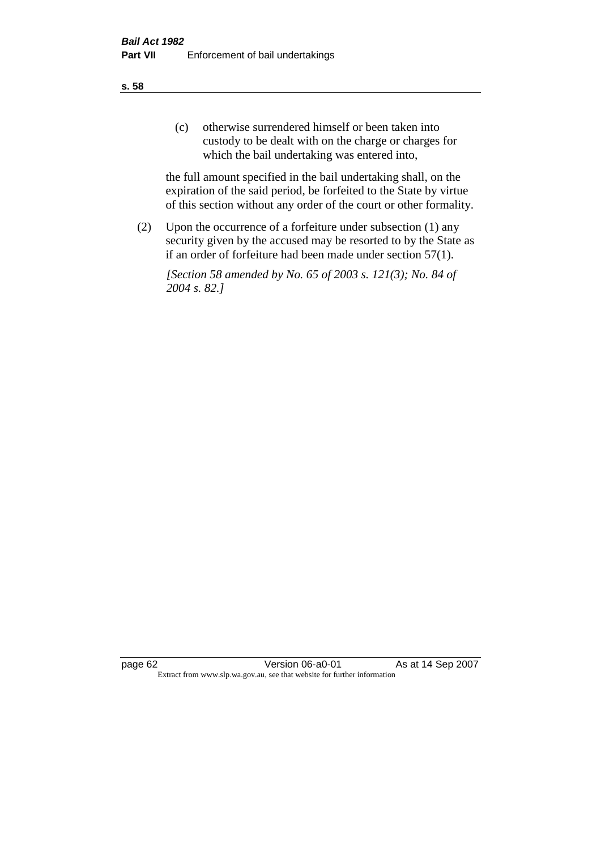(c) otherwise surrendered himself or been taken into custody to be dealt with on the charge or charges for which the bail undertaking was entered into,

the full amount specified in the bail undertaking shall, on the expiration of the said period, be forfeited to the State by virtue of this section without any order of the court or other formality.

(2) Upon the occurrence of a forfeiture under subsection (1) any security given by the accused may be resorted to by the State as if an order of forfeiture had been made under section 57(1).

*[Section 58 amended by No. 65 of 2003 s. 121(3); No. 84 of 2004 s. 82.]*

page 62 Version 06-a0-01 As at 14 Sep 2007 Extract from www.slp.wa.gov.au, see that website for further information

#### **s. 58**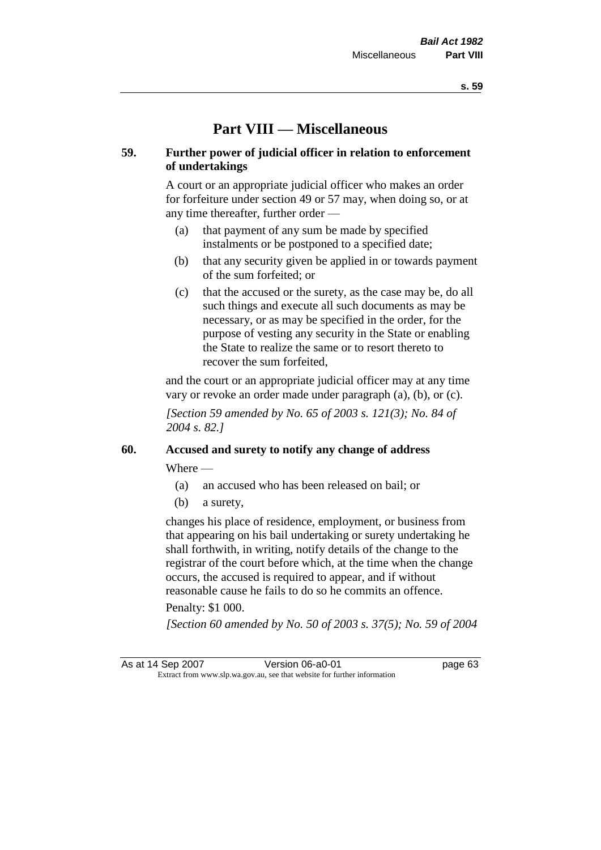# **Part VIII — Miscellaneous**

## **59. Further power of judicial officer in relation to enforcement of undertakings**

A court or an appropriate judicial officer who makes an order for forfeiture under section 49 or 57 may, when doing so, or at any time thereafter, further order —

- (a) that payment of any sum be made by specified instalments or be postponed to a specified date;
- (b) that any security given be applied in or towards payment of the sum forfeited; or
- (c) that the accused or the surety, as the case may be, do all such things and execute all such documents as may be necessary, or as may be specified in the order, for the purpose of vesting any security in the State or enabling the State to realize the same or to resort thereto to recover the sum forfeited,

and the court or an appropriate judicial officer may at any time vary or revoke an order made under paragraph (a), (b), or (c).

*[Section 59 amended by No. 65 of 2003 s. 121(3); No. 84 of 2004 s. 82.]*

# **60. Accused and surety to notify any change of address**

Where —

- (a) an accused who has been released on bail; or
- (b) a surety,

changes his place of residence, employment, or business from that appearing on his bail undertaking or surety undertaking he shall forthwith, in writing, notify details of the change to the registrar of the court before which, at the time when the change occurs, the accused is required to appear, and if without reasonable cause he fails to do so he commits an offence.

#### Penalty: \$1 000.

*[Section 60 amended by No. 50 of 2003 s. 37(5); No. 59 of 2004* 

As at 14 Sep 2007 Version 06-a0-01 page 63 Extract from www.slp.wa.gov.au, see that website for further information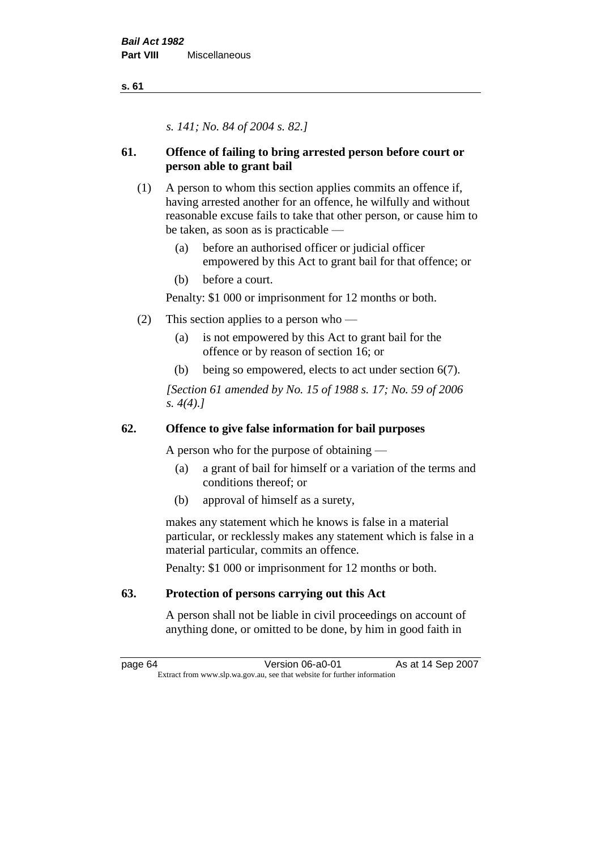*s. 141; No. 84 of 2004 s. 82.]*

# **61. Offence of failing to bring arrested person before court or person able to grant bail**

- (1) A person to whom this section applies commits an offence if, having arrested another for an offence, he wilfully and without reasonable excuse fails to take that other person, or cause him to be taken, as soon as is practicable —
	- (a) before an authorised officer or judicial officer empowered by this Act to grant bail for that offence; or
	- (b) before a court.

Penalty: \$1 000 or imprisonment for 12 months or both.

- (2) This section applies to a person who
	- (a) is not empowered by this Act to grant bail for the offence or by reason of section 16; or
	- (b) being so empowered, elects to act under section 6(7).

*[Section 61 amended by No. 15 of 1988 s. 17; No. 59 of 2006 s. 4(4).]* 

# **62. Offence to give false information for bail purposes**

A person who for the purpose of obtaining —

- (a) a grant of bail for himself or a variation of the terms and conditions thereof; or
- (b) approval of himself as a surety,

makes any statement which he knows is false in a material particular, or recklessly makes any statement which is false in a material particular, commits an offence.

Penalty: \$1 000 or imprisonment for 12 months or both.

# **63. Protection of persons carrying out this Act**

A person shall not be liable in civil proceedings on account of anything done, or omitted to be done, by him in good faith in

page 64 Version 06-a0-01 As at 14 Sep 2007 Extract from www.slp.wa.gov.au, see that website for further information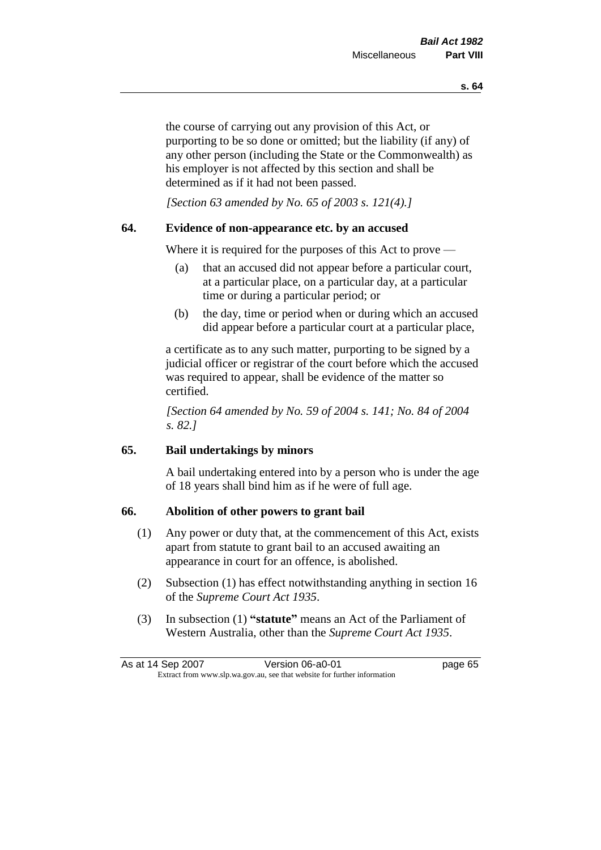the course of carrying out any provision of this Act, or purporting to be so done or omitted; but the liability (if any) of any other person (including the State or the Commonwealth) as his employer is not affected by this section and shall be determined as if it had not been passed.

*[Section 63 amended by No. 65 of 2003 s. 121(4).]*

## **64. Evidence of non-appearance etc. by an accused**

Where it is required for the purposes of this Act to prove —

- (a) that an accused did not appear before a particular court, at a particular place, on a particular day, at a particular time or during a particular period; or
- (b) the day, time or period when or during which an accused did appear before a particular court at a particular place,

a certificate as to any such matter, purporting to be signed by a judicial officer or registrar of the court before which the accused was required to appear, shall be evidence of the matter so certified.

*[Section 64 amended by No. 59 of 2004 s. 141; No. 84 of 2004 s. 82.]* 

## **65. Bail undertakings by minors**

A bail undertaking entered into by a person who is under the age of 18 years shall bind him as if he were of full age.

## **66. Abolition of other powers to grant bail**

- (1) Any power or duty that, at the commencement of this Act, exists apart from statute to grant bail to an accused awaiting an appearance in court for an offence, is abolished.
- (2) Subsection (1) has effect notwithstanding anything in section 16 of the *Supreme Court Act 1935*.
- (3) In subsection (1) **"statute"** means an Act of the Parliament of Western Australia, other than the *Supreme Court Act 1935*.

| As at 14 Sep 2007 | Version 06-a0-01                                                         | page 65 |
|-------------------|--------------------------------------------------------------------------|---------|
|                   | Extract from www.slp.wa.gov.au, see that website for further information |         |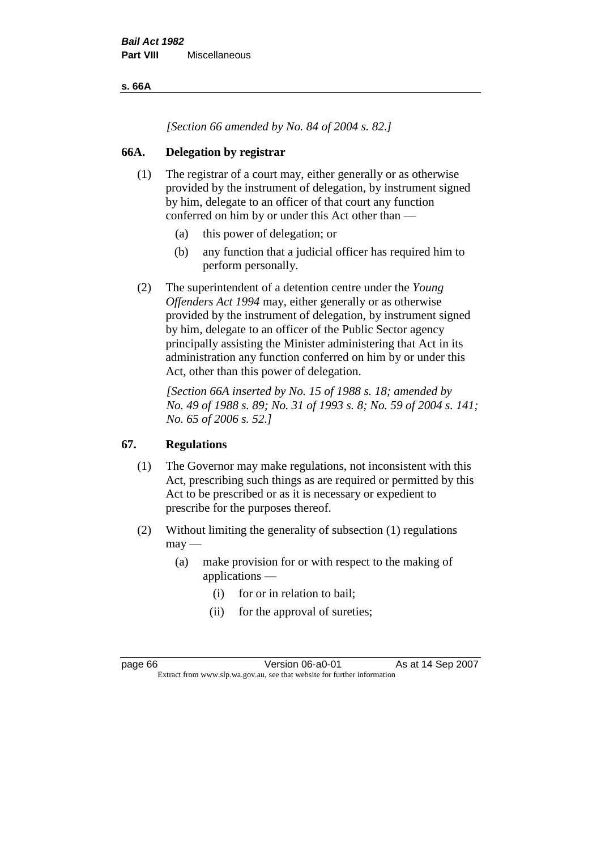**s. 66A**

*[Section 66 amended by No. 84 of 2004 s. 82.]*

## **66A. Delegation by registrar**

- (1) The registrar of a court may, either generally or as otherwise provided by the instrument of delegation, by instrument signed by him, delegate to an officer of that court any function conferred on him by or under this Act other than —
	- (a) this power of delegation; or
	- (b) any function that a judicial officer has required him to perform personally.
- (2) The superintendent of a detention centre under the *Young Offenders Act 1994* may, either generally or as otherwise provided by the instrument of delegation, by instrument signed by him, delegate to an officer of the Public Sector agency principally assisting the Minister administering that Act in its administration any function conferred on him by or under this Act, other than this power of delegation.

*[Section 66A inserted by No. 15 of 1988 s. 18; amended by No. 49 of 1988 s. 89; No. 31 of 1993 s. 8; No. 59 of 2004 s. 141; No. 65 of 2006 s. 52.]* 

# **67. Regulations**

- (1) The Governor may make regulations, not inconsistent with this Act, prescribing such things as are required or permitted by this Act to be prescribed or as it is necessary or expedient to prescribe for the purposes thereof.
- (2) Without limiting the generality of subsection (1) regulations  $may -$ 
	- (a) make provision for or with respect to the making of applications —
		- (i) for or in relation to bail;
		- (ii) for the approval of sureties;

page 66 **Version 06-a0-01** As at 14 Sep 2007 Extract from www.slp.wa.gov.au, see that website for further information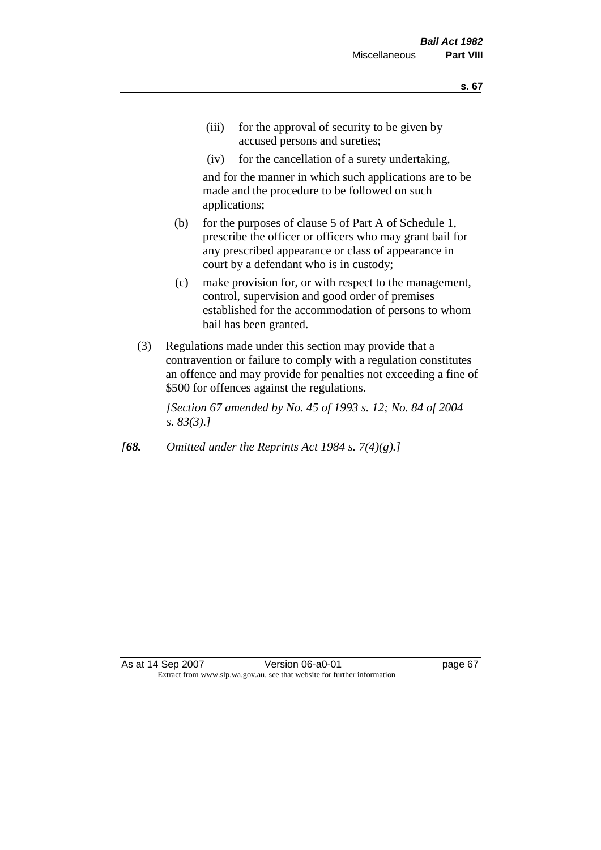- (iii) for the approval of security to be given by accused persons and sureties;
- (iv) for the cancellation of a surety undertaking,

and for the manner in which such applications are to be made and the procedure to be followed on such applications;

- (b) for the purposes of clause 5 of Part A of Schedule 1, prescribe the officer or officers who may grant bail for any prescribed appearance or class of appearance in court by a defendant who is in custody;
- (c) make provision for, or with respect to the management, control, supervision and good order of premises established for the accommodation of persons to whom bail has been granted.
- (3) Regulations made under this section may provide that a contravention or failure to comply with a regulation constitutes an offence and may provide for penalties not exceeding a fine of \$500 for offences against the regulations.

*[Section 67 amended by No. 45 of 1993 s. 12; No. 84 of 2004 s. 83(3).]* 

*[68. Omitted under the Reprints Act 1984 s. 7(4)(g).]*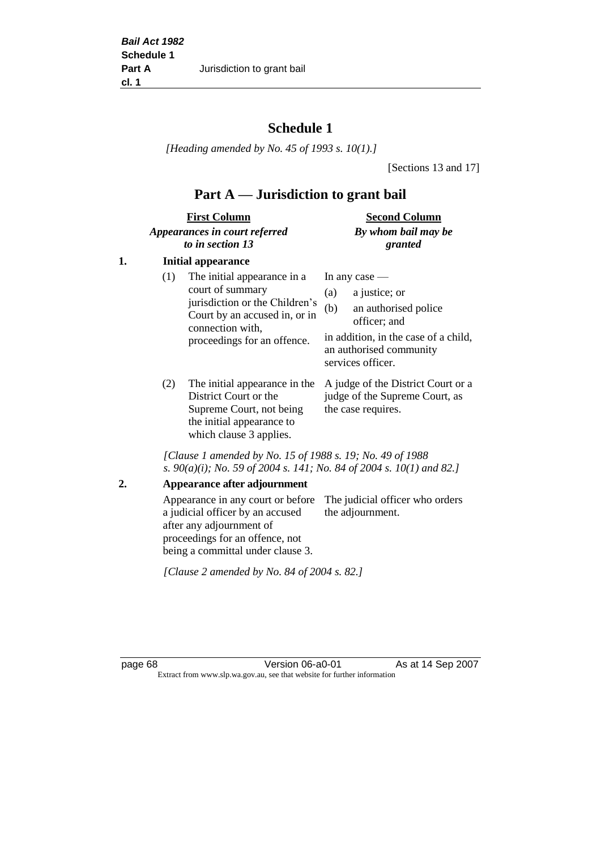# **Schedule 1**

*[Heading amended by No. 45 of 1993 s. 10(1).]*

[Sections 13 and 17]

# **Part A — Jurisdiction to grant bail**

| <b>First Column</b>           | <b>Second Column</b> |
|-------------------------------|----------------------|
| Appearances in court referred | By whom bail may be  |
| to in section 13              | granted              |

## **1. Initial appearance**

| (1) | The initial appearance in a<br>court of summary<br>jurisdiction or the Children's<br>Court by an accused in, or in<br>connection with,<br>proceedings for an offence. | In any case $-$<br>a justice; or<br>(a)<br>an authorised police<br>(b)<br>officer; and<br>in addition, in the case of a child, |
|-----|-----------------------------------------------------------------------------------------------------------------------------------------------------------------------|--------------------------------------------------------------------------------------------------------------------------------|
|     |                                                                                                                                                                       | an authorised community<br>services officer.                                                                                   |
|     |                                                                                                                                                                       |                                                                                                                                |

District Court or the Supreme Court, not being the initial appearance to which clause 3 applies.

(2) The initial appearance in the A judge of the District Court or a judge of the Supreme Court, as the case requires.

*[Clause 1 amended by No. 15 of 1988 s. 19; No. 49 of 1988 s. 90(a)(i); No. 59 of 2004 s. 141; No. 84 of 2004 s. 10(1) and 82.]*

#### **2. Appearance after adjournment**

Appearance in any court or before The judicial officer who orders a judicial officer by an accused after any adjournment of proceedings for an offence, not being a committal under clause 3. the adjournment.

*[Clause 2 amended by No. 84 of 2004 s. 82.]*

page 68 Version 06-a0-01 As at 14 Sep 2007 Extract from www.slp.wa.gov.au, see that website for further information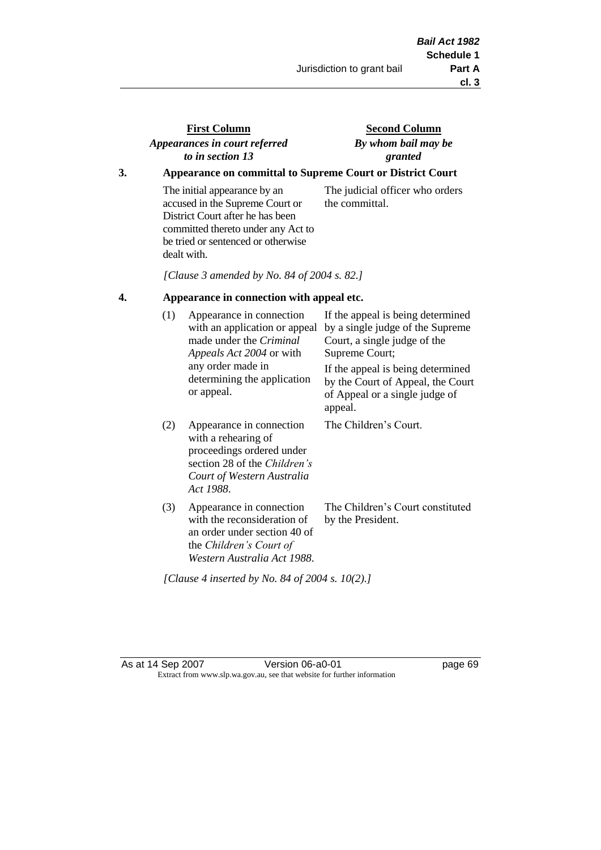# **First Column** *Appearances in court referred to in section 13*

**Second Column** *By whom bail may be granted*

## **3. Appearance on committal to Supreme Court or District Court**

The initial appearance by an accused in the Supreme Court or District Court after he has been committed thereto under any Act to be tried or sentenced or otherwise dealt with.

The judicial officer who orders the committal.

*[Clause 3 amended by No. 84 of 2004 s. 82.]*

#### **4. Appearance in connection with appeal etc.**

| (1) | Appearance in connection<br>with an application or appeal<br>made under the <i>Criminal</i><br><i>Appeals Act 2004</i> or with<br>any order made in<br>determining the application<br>or appeal. | If the appeal is being determined<br>by a single judge of the Supreme<br>Court, a single judge of the<br>Supreme Court;<br>If the appeal is being determined<br>by the Court of Appeal, the Court<br>of Appeal or a single judge of<br>appeal. |
|-----|--------------------------------------------------------------------------------------------------------------------------------------------------------------------------------------------------|------------------------------------------------------------------------------------------------------------------------------------------------------------------------------------------------------------------------------------------------|
| (2) | Appearance in connection<br>with a rehearing of<br>proceedings ordered under<br>section 28 of the Children's<br>Court of Western Australia<br>Act 1988.                                          | The Children's Court.                                                                                                                                                                                                                          |
| (3) | Appearance in connection<br>with the reconsideration of<br>an order under section 40 of<br>the Children's Court of<br>Western Australia Act 1988.                                                | The Children's Court constituted<br>by the President.                                                                                                                                                                                          |

*[Clause 4 inserted by No. 84 of 2004 s. 10(2).]*

As at 14 Sep 2007 Version 06-a0-01 Page 69 Extract from www.slp.wa.gov.au, see that website for further information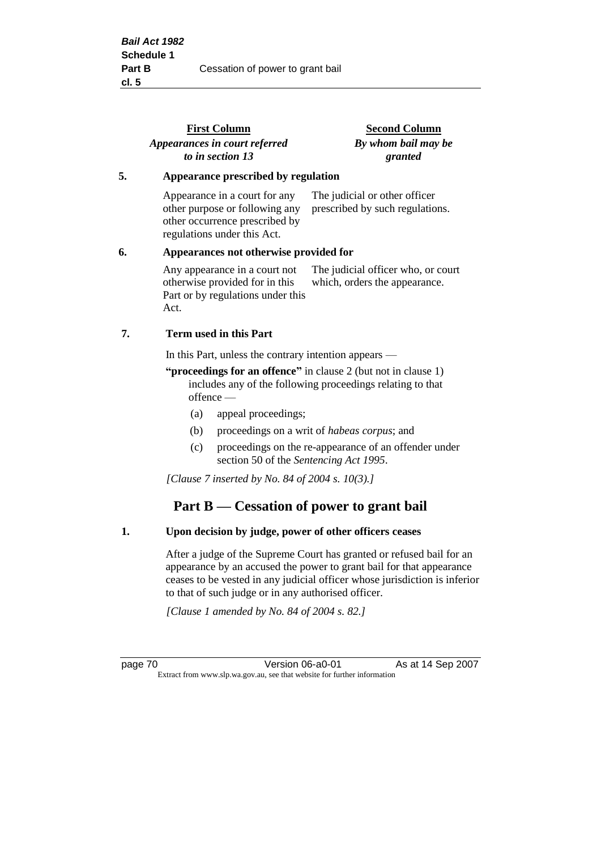|                                              | <b>First Column</b><br>Appearances in court referred                                                                             | <b>Second Column</b><br>By whom bail may be                         |
|----------------------------------------------|----------------------------------------------------------------------------------------------------------------------------------|---------------------------------------------------------------------|
|                                              | to in section 13                                                                                                                 | granted                                                             |
| 5.                                           | Appearance prescribed by regulation                                                                                              |                                                                     |
|                                              | Appearance in a court for any<br>other purpose or following any<br>other occurrence prescribed by<br>regulations under this Act. | The judicial or other officer<br>prescribed by such regulations.    |
| 6.<br>Appearances not otherwise provided for |                                                                                                                                  |                                                                     |
|                                              | Any appearance in a court not<br>otherwise provided for in this<br>Part or by regulations under this<br>Act.                     | The judicial officer who, or court<br>which, orders the appearance. |
| 7.                                           | Term used in this Part                                                                                                           |                                                                     |
|                                              | In this Part, unless the contrary intention appears —                                                                            |                                                                     |

**"proceedings for an offence"** in clause 2 (but not in clause 1) includes any of the following proceedings relating to that offence —

- (a) appeal proceedings;
- (b) proceedings on a writ of *habeas corpus*; and
- (c) proceedings on the re-appearance of an offender under section 50 of the *Sentencing Act 1995*.

*[Clause 7 inserted by No. 84 of 2004 s. 10(3).]*

# **Part B — Cessation of power to grant bail**

#### **1. Upon decision by judge, power of other officers ceases**

After a judge of the Supreme Court has granted or refused bail for an appearance by an accused the power to grant bail for that appearance ceases to be vested in any judicial officer whose jurisdiction is inferior to that of such judge or in any authorised officer.

*[Clause 1 amended by No. 84 of 2004 s. 82.]*

page 70 **Version 06-a0-01** As at 14 Sep 2007 Extract from www.slp.wa.gov.au, see that website for further information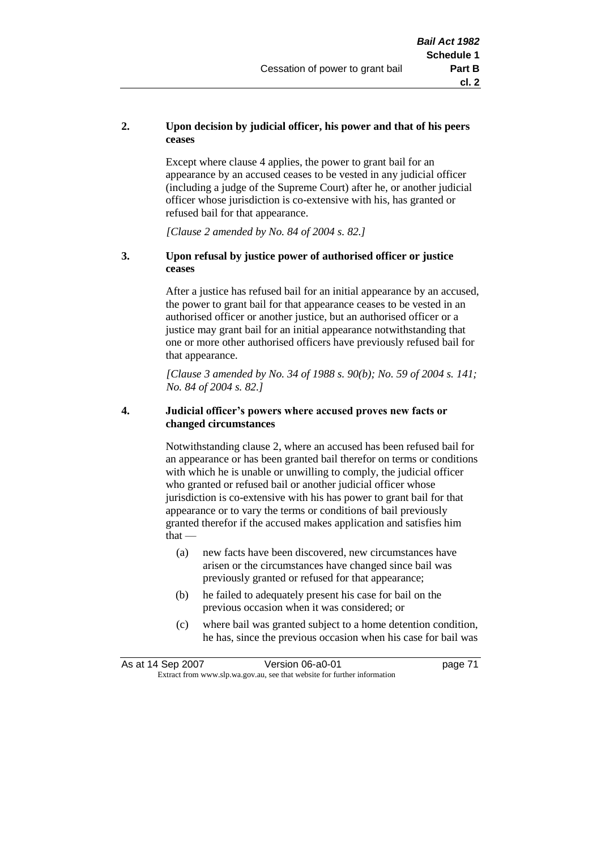#### **2. Upon decision by judicial officer, his power and that of his peers ceases**

Except where clause 4 applies, the power to grant bail for an appearance by an accused ceases to be vested in any judicial officer (including a judge of the Supreme Court) after he, or another judicial officer whose jurisdiction is co-extensive with his, has granted or refused bail for that appearance.

*[Clause 2 amended by No. 84 of 2004 s. 82.]*

#### **3. Upon refusal by justice power of authorised officer or justice ceases**

After a justice has refused bail for an initial appearance by an accused, the power to grant bail for that appearance ceases to be vested in an authorised officer or another justice, but an authorised officer or a justice may grant bail for an initial appearance notwithstanding that one or more other authorised officers have previously refused bail for that appearance.

*[Clause 3 amended by No. 34 of 1988 s. 90(b); No. 59 of 2004 s. 141; No. 84 of 2004 s. 82.]*

#### **4. Judicial officer's powers where accused proves new facts or changed circumstances**

Notwithstanding clause 2, where an accused has been refused bail for an appearance or has been granted bail therefor on terms or conditions with which he is unable or unwilling to comply, the judicial officer who granted or refused bail or another judicial officer whose jurisdiction is co-extensive with his has power to grant bail for that appearance or to vary the terms or conditions of bail previously granted therefor if the accused makes application and satisfies him  $that -$ 

- (a) new facts have been discovered, new circumstances have arisen or the circumstances have changed since bail was previously granted or refused for that appearance;
- (b) he failed to adequately present his case for bail on the previous occasion when it was considered; or
- (c) where bail was granted subject to a home detention condition, he has, since the previous occasion when his case for bail was

As at 14 Sep 2007 Version 06-a0-01 page 71 Extract from www.slp.wa.gov.au, see that website for further information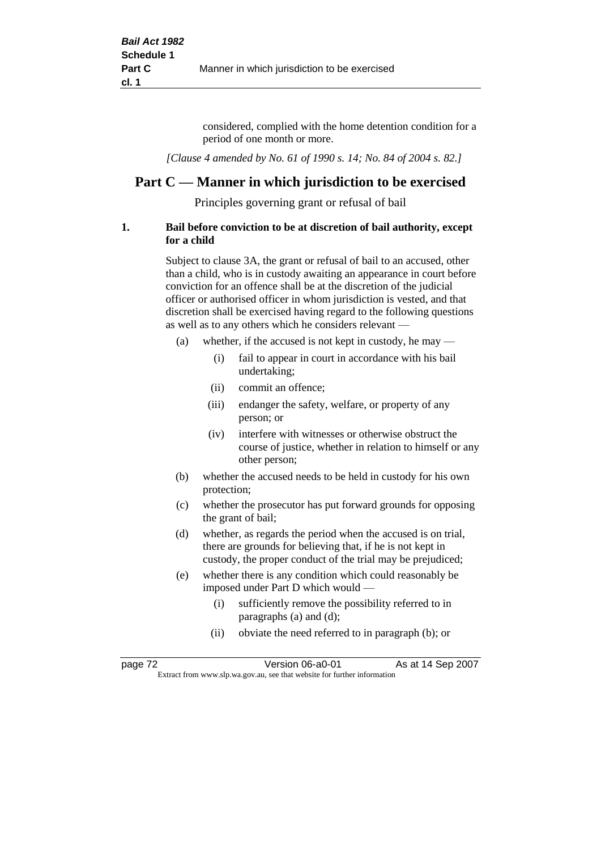considered, complied with the home detention condition for a period of one month or more.

*[Clause 4 amended by No. 61 of 1990 s. 14; No. 84 of 2004 s. 82.]*

# **Part C — Manner in which jurisdiction to be exercised**

Principles governing grant or refusal of bail

#### **1. Bail before conviction to be at discretion of bail authority, except for a child**

Subject to clause 3A, the grant or refusal of bail to an accused, other than a child, who is in custody awaiting an appearance in court before conviction for an offence shall be at the discretion of the judicial officer or authorised officer in whom jurisdiction is vested, and that discretion shall be exercised having regard to the following questions as well as to any others which he considers relevant —

- (a) whether, if the accused is not kept in custody, he may  $-$ 
	- (i) fail to appear in court in accordance with his bail undertaking;
	- (ii) commit an offence;
	- (iii) endanger the safety, welfare, or property of any person; or
	- (iv) interfere with witnesses or otherwise obstruct the course of justice, whether in relation to himself or any other person;
- (b) whether the accused needs to be held in custody for his own protection;
- (c) whether the prosecutor has put forward grounds for opposing the grant of bail;
- (d) whether, as regards the period when the accused is on trial, there are grounds for believing that, if he is not kept in custody, the proper conduct of the trial may be prejudiced;
- (e) whether there is any condition which could reasonably be imposed under Part D which would —
	- (i) sufficiently remove the possibility referred to in paragraphs (a) and (d);
	- (ii) obviate the need referred to in paragraph (b); or

| page 72 | Version 06-a0-01                                                         | As at 14 Sep 2007 |
|---------|--------------------------------------------------------------------------|-------------------|
|         | Extract from www.slp.wa.gov.au, see that website for further information |                   |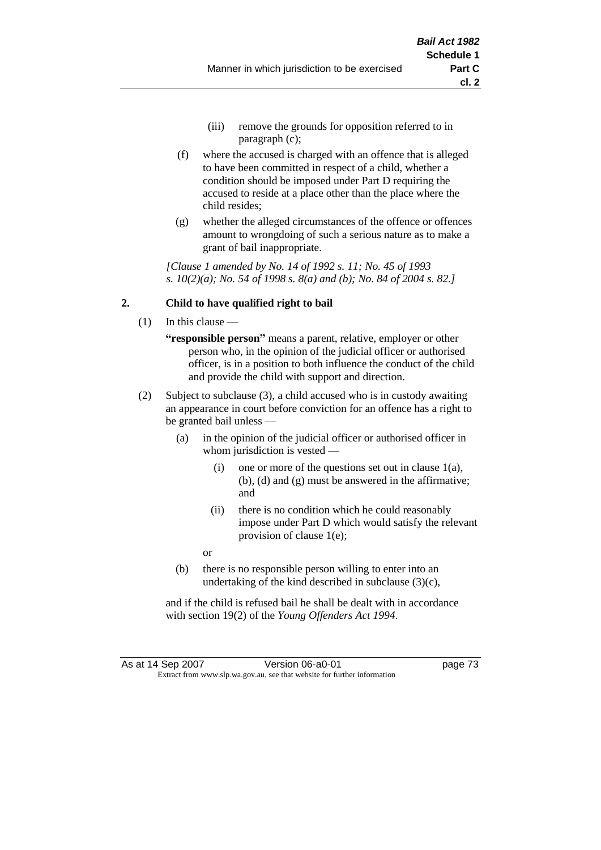- (iii) remove the grounds for opposition referred to in paragraph (c);
- (f) where the accused is charged with an offence that is alleged to have been committed in respect of a child, whether a condition should be imposed under Part D requiring the accused to reside at a place other than the place where the child resides;
- (g) whether the alleged circumstances of the offence or offences amount to wrongdoing of such a serious nature as to make a grant of bail inappropriate.

*[Clause 1 amended by No. 14 of 1992 s. 11; No. 45 of 1993 s. 10(2)(a); No. 54 of 1998 s. 8(a) and (b); No. 84 of 2004 s. 82.]*

## **2. Child to have qualified right to bail**

- (1) In this clause
	- **"responsible person"** means a parent, relative, employer or other person who, in the opinion of the judicial officer or authorised officer, is in a position to both influence the conduct of the child and provide the child with support and direction.
- (2) Subject to subclause (3), a child accused who is in custody awaiting an appearance in court before conviction for an offence has a right to be granted bail unless —
	- (a) in the opinion of the judicial officer or authorised officer in whom jurisdiction is vested —
		- (i) one or more of the questions set out in clause  $1(a)$ , (b), (d) and (g) must be answered in the affirmative; and
		- (ii) there is no condition which he could reasonably impose under Part D which would satisfy the relevant provision of clause 1(e);
		- or
	- (b) there is no responsible person willing to enter into an undertaking of the kind described in subclause (3)(c),

and if the child is refused bail he shall be dealt with in accordance with section 19(2) of the *Young Offenders Act 1994*.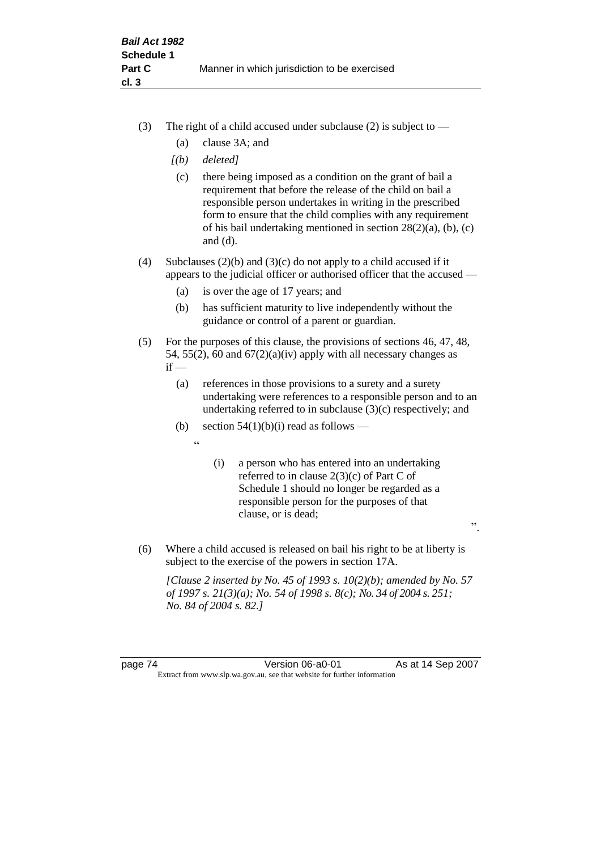- (3) The right of a child accused under subclause (2) is subject to  $-$ 
	- (a) clause 3A; and
	- *[(b) deleted]*
	- (c) there being imposed as a condition on the grant of bail a requirement that before the release of the child on bail a responsible person undertakes in writing in the prescribed form to ensure that the child complies with any requirement of his bail undertaking mentioned in section 28(2)(a), (b), (c) and (d).
- (4) Subclauses (2)(b) and (3)(c) do not apply to a child accused if it appears to the judicial officer or authorised officer that the accused —
	- (a) is over the age of 17 years; and
	- (b) has sufficient maturity to live independently without the guidance or control of a parent or guardian.
- (5) For the purposes of this clause, the provisions of sections 46, 47, 48, 54, 55(2), 60 and  $67(2)(a)(iv)$  apply with all necessary changes as  $if -$ 
	- (a) references in those provisions to a surety and a surety undertaking were references to a responsible person and to an undertaking referred to in subclause (3)(c) respectively; and
	- (b) section  $54(1)(b)(i)$  read as follows
		- $\epsilon$
- (i) a person who has entered into an undertaking referred to in clause 2(3)(c) of Part C of Schedule 1 should no longer be regarded as a responsible person for the purposes of that clause, or is dead;

".

(6) Where a child accused is released on bail his right to be at liberty is subject to the exercise of the powers in section 17A.

*[Clause 2 inserted by No. 45 of 1993 s. 10(2)(b); amended by No. 57 of 1997 s. 21(3)(a); No. 54 of 1998 s. 8(c); No. 34 of 2004 s. 251; No. 84 of 2004 s. 82.]*

page 74 Version 06-a0-01 As at 14 Sep 2007 Extract from www.slp.wa.gov.au, see that website for further information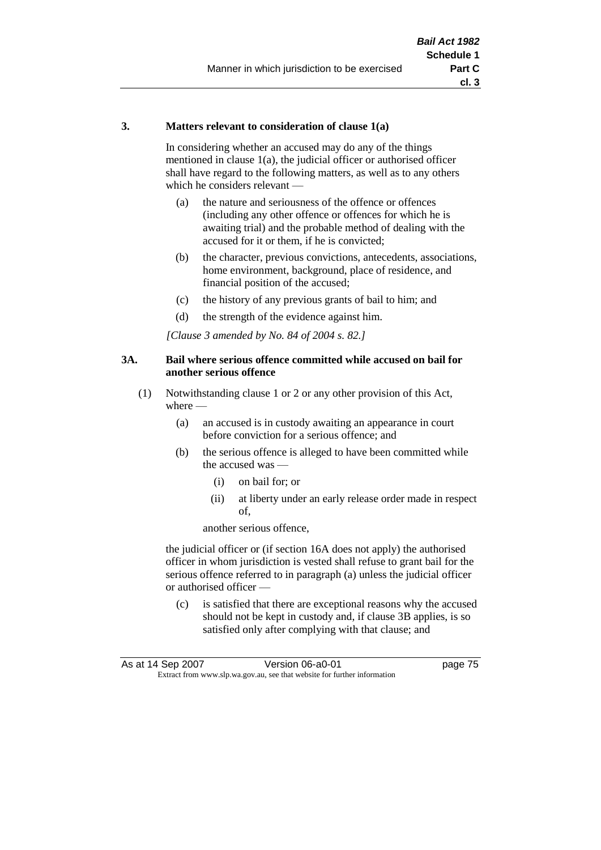#### **3. Matters relevant to consideration of clause 1(a)**

In considering whether an accused may do any of the things mentioned in clause 1(a), the judicial officer or authorised officer shall have regard to the following matters, as well as to any others which he considers relevant —

- (a) the nature and seriousness of the offence or offences (including any other offence or offences for which he is awaiting trial) and the probable method of dealing with the accused for it or them, if he is convicted;
- (b) the character, previous convictions, antecedents, associations, home environment, background, place of residence, and financial position of the accused;
- (c) the history of any previous grants of bail to him; and
- (d) the strength of the evidence against him.

*[Clause 3 amended by No. 84 of 2004 s. 82.]*

#### **3A. Bail where serious offence committed while accused on bail for another serious offence**

- (1) Notwithstanding clause 1 or 2 or any other provision of this Act, where —
	- (a) an accused is in custody awaiting an appearance in court before conviction for a serious offence; and
	- (b) the serious offence is alleged to have been committed while the accused was —
		- (i) on bail for; or
		- (ii) at liberty under an early release order made in respect of,

another serious offence,

the judicial officer or (if section 16A does not apply) the authorised officer in whom jurisdiction is vested shall refuse to grant bail for the serious offence referred to in paragraph (a) unless the judicial officer or authorised officer —

(c) is satisfied that there are exceptional reasons why the accused should not be kept in custody and, if clause 3B applies, is so satisfied only after complying with that clause; and

| As at 14 Sep 2007 | Version 06-a0-01                                                         | page 75 |
|-------------------|--------------------------------------------------------------------------|---------|
|                   | Extract from www.slp.wa.gov.au, see that website for further information |         |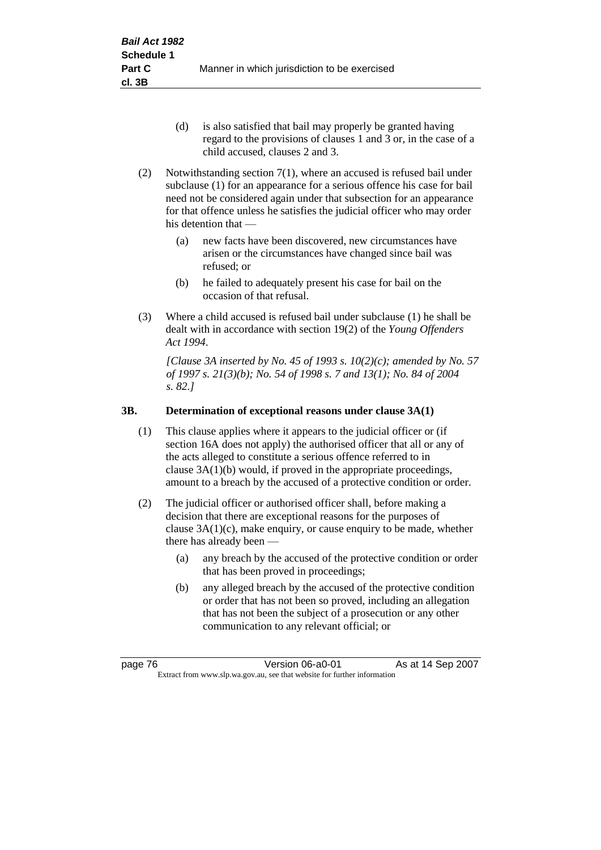- (d) is also satisfied that bail may properly be granted having regard to the provisions of clauses 1 and 3 or, in the case of a child accused, clauses 2 and 3.
- (2) Notwithstanding section 7(1), where an accused is refused bail under subclause (1) for an appearance for a serious offence his case for bail need not be considered again under that subsection for an appearance for that offence unless he satisfies the judicial officer who may order his detention that —
	- (a) new facts have been discovered, new circumstances have arisen or the circumstances have changed since bail was refused; or
	- (b) he failed to adequately present his case for bail on the occasion of that refusal.
- (3) Where a child accused is refused bail under subclause (1) he shall be dealt with in accordance with section 19(2) of the *Young Offenders Act 1994*.

*[Clause 3A inserted by No. 45 of 1993 s. 10(2)(c); amended by No. 57 of 1997 s. 21(3)(b); No. 54 of 1998 s. 7 and 13(1); No. 84 of 2004 s. 82.]*

## **3B. Determination of exceptional reasons under clause 3A(1)**

- (1) This clause applies where it appears to the judicial officer or (if section 16A does not apply) the authorised officer that all or any of the acts alleged to constitute a serious offence referred to in clause 3A(1)(b) would, if proved in the appropriate proceedings, amount to a breach by the accused of a protective condition or order.
- (2) The judicial officer or authorised officer shall, before making a decision that there are exceptional reasons for the purposes of clause  $3A(1)(c)$ , make enquiry, or cause enquiry to be made, whether there has already been -
	- (a) any breach by the accused of the protective condition or order that has been proved in proceedings;
	- (b) any alleged breach by the accused of the protective condition or order that has not been so proved, including an allegation that has not been the subject of a prosecution or any other communication to any relevant official; or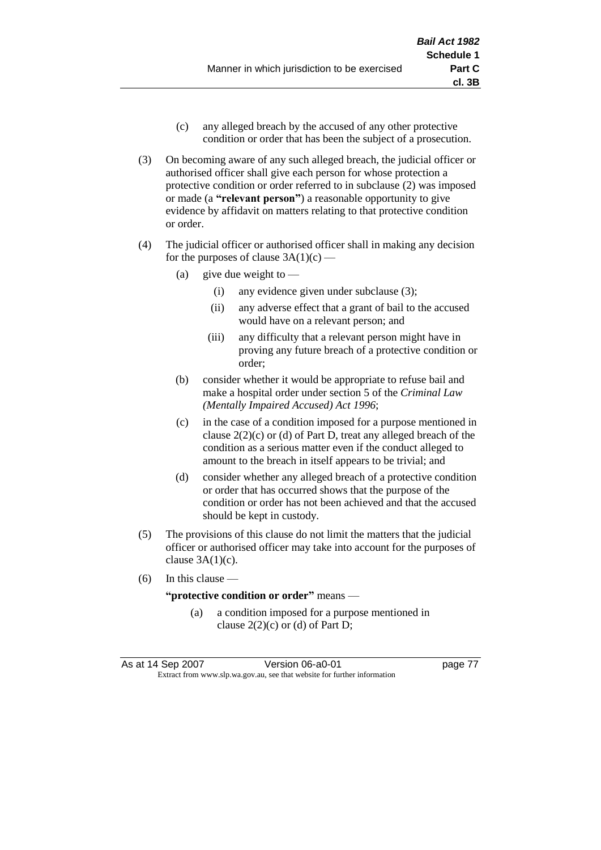- (c) any alleged breach by the accused of any other protective condition or order that has been the subject of a prosecution.
- (3) On becoming aware of any such alleged breach, the judicial officer or authorised officer shall give each person for whose protection a protective condition or order referred to in subclause (2) was imposed or made (a **"relevant person"**) a reasonable opportunity to give evidence by affidavit on matters relating to that protective condition or order.
- (4) The judicial officer or authorised officer shall in making any decision for the purposes of clause  $3A(1)(c)$  —
	- (a) give due weight to  $-$ 
		- (i) any evidence given under subclause (3);
		- (ii) any adverse effect that a grant of bail to the accused would have on a relevant person; and
		- (iii) any difficulty that a relevant person might have in proving any future breach of a protective condition or order;
	- (b) consider whether it would be appropriate to refuse bail and make a hospital order under section 5 of the *Criminal Law (Mentally Impaired Accused) Act 1996*;
	- (c) in the case of a condition imposed for a purpose mentioned in clause  $2(2)(c)$  or (d) of Part D, treat any alleged breach of the condition as a serious matter even if the conduct alleged to amount to the breach in itself appears to be trivial; and
	- (d) consider whether any alleged breach of a protective condition or order that has occurred shows that the purpose of the condition or order has not been achieved and that the accused should be kept in custody.
- (5) The provisions of this clause do not limit the matters that the judicial officer or authorised officer may take into account for the purposes of clause  $3A(1)(c)$ .
- (6) In this clause —

#### **"protective condition or order"** means —

(a) a condition imposed for a purpose mentioned in clause  $2(2)(c)$  or (d) of Part D;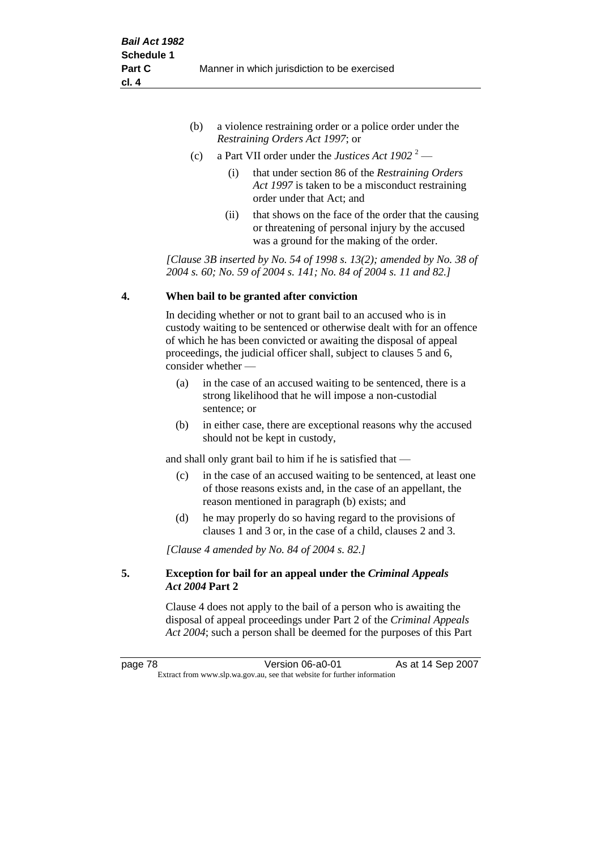| (b) | a violence restraining order or a police order under the |
|-----|----------------------------------------------------------|
|     | <i>Restraining Orders Act 1997; or</i>                   |

- (c) a Part VII order under the *Justices Act 1902* <sup>2</sup>
	- (i) that under section 86 of the *Restraining Orders Act 1997* is taken to be a misconduct restraining order under that Act; and
	- (ii) that shows on the face of the order that the causing or threatening of personal injury by the accused was a ground for the making of the order.

*[Clause 3B inserted by No. 54 of 1998 s. 13(2); amended by No. 38 of 2004 s. 60; No. 59 of 2004 s. 141; No. 84 of 2004 s. 11 and 82.]*

#### **4. When bail to be granted after conviction**

In deciding whether or not to grant bail to an accused who is in custody waiting to be sentenced or otherwise dealt with for an offence of which he has been convicted or awaiting the disposal of appeal proceedings, the judicial officer shall, subject to clauses 5 and 6, consider whether —

- (a) in the case of an accused waiting to be sentenced, there is a strong likelihood that he will impose a non-custodial sentence; or
- (b) in either case, there are exceptional reasons why the accused should not be kept in custody,

and shall only grant bail to him if he is satisfied that —

- (c) in the case of an accused waiting to be sentenced, at least one of those reasons exists and, in the case of an appellant, the reason mentioned in paragraph (b) exists; and
- (d) he may properly do so having regard to the provisions of clauses 1 and 3 or, in the case of a child, clauses 2 and 3.

*[Clause 4 amended by No. 84 of 2004 s. 82.]*

#### **5. Exception for bail for an appeal under the** *Criminal Appeals Act 2004* **Part 2**

Clause 4 does not apply to the bail of a person who is awaiting the disposal of appeal proceedings under Part 2 of the *Criminal Appeals Act 2004*; such a person shall be deemed for the purposes of this Part

page 78 **Version 06-a0-01** As at 14 Sep 2007 Extract from www.slp.wa.gov.au, see that website for further information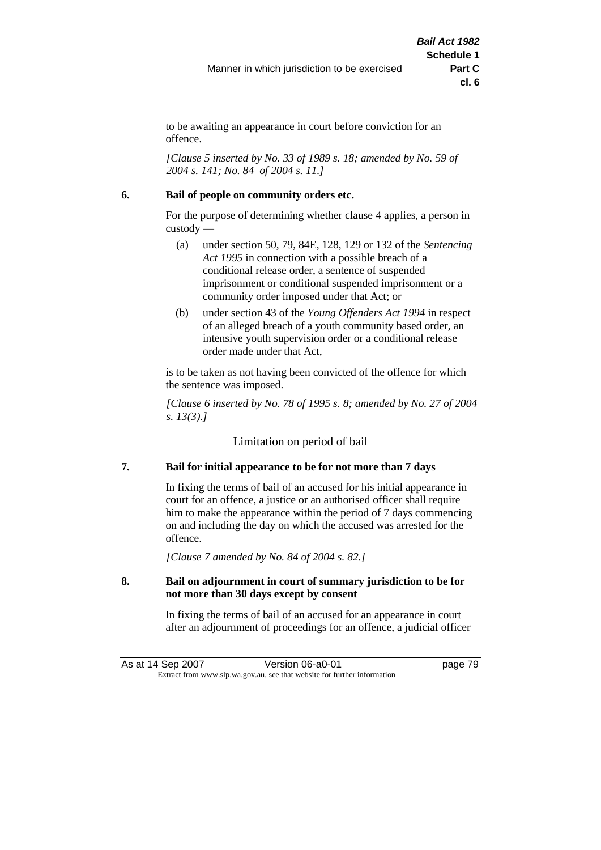to be awaiting an appearance in court before conviction for an offence.

*[Clause 5 inserted by No. 33 of 1989 s. 18; amended by No. 59 of 2004 s. 141; No. 84 of 2004 s. 11.]*

#### **6. Bail of people on community orders etc.**

For the purpose of determining whether clause 4 applies, a person in custody —

- (a) under section 50, 79, 84E, 128, 129 or 132 of the *Sentencing Act 1995* in connection with a possible breach of a conditional release order, a sentence of suspended imprisonment or conditional suspended imprisonment or a community order imposed under that Act; or
- (b) under section 43 of the *Young Offenders Act 1994* in respect of an alleged breach of a youth community based order, an intensive youth supervision order or a conditional release order made under that Act,

is to be taken as not having been convicted of the offence for which the sentence was imposed.

*[Clause 6 inserted by No. 78 of 1995 s. 8; amended by No. 27 of 2004 s. 13(3).]*

Limitation on period of bail

## **7. Bail for initial appearance to be for not more than 7 days**

In fixing the terms of bail of an accused for his initial appearance in court for an offence, a justice or an authorised officer shall require him to make the appearance within the period of 7 days commencing on and including the day on which the accused was arrested for the offence.

*[Clause 7 amended by No. 84 of 2004 s. 82.]*

#### **8. Bail on adjournment in court of summary jurisdiction to be for not more than 30 days except by consent**

In fixing the terms of bail of an accused for an appearance in court after an adjournment of proceedings for an offence, a judicial officer

As at 14 Sep 2007 Version 06-a0-01 page 79 Extract from www.slp.wa.gov.au, see that website for further information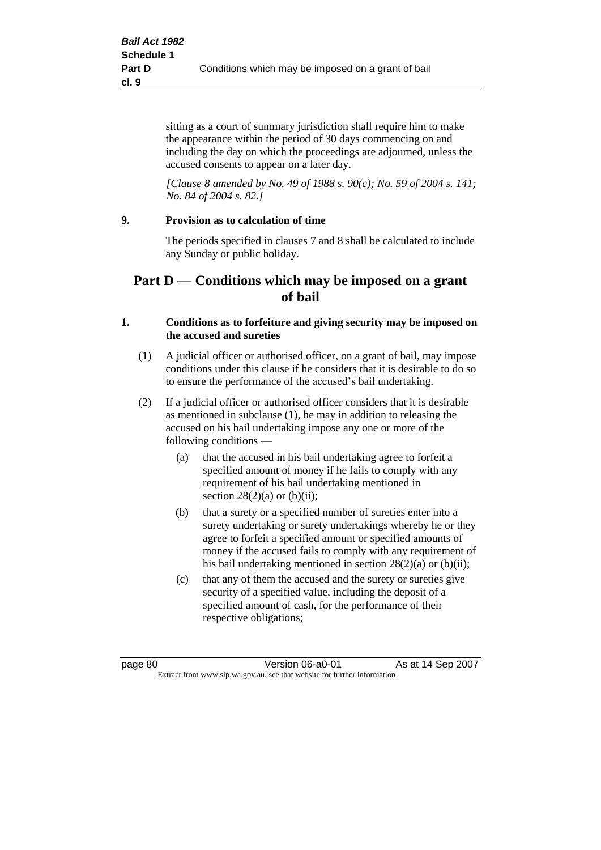sitting as a court of summary jurisdiction shall require him to make the appearance within the period of 30 days commencing on and including the day on which the proceedings are adjourned, unless the accused consents to appear on a later day.

*[Clause 8 amended by No. 49 of 1988 s. 90(c); No. 59 of 2004 s. 141; No. 84 of 2004 s. 82.]*

#### **9. Provision as to calculation of time**

The periods specified in clauses 7 and 8 shall be calculated to include any Sunday or public holiday.

# **Part D — Conditions which may be imposed on a grant of bail**

#### **1. Conditions as to forfeiture and giving security may be imposed on the accused and sureties**

- (1) A judicial officer or authorised officer, on a grant of bail, may impose conditions under this clause if he considers that it is desirable to do so to ensure the performance of the accused's bail undertaking.
- (2) If a judicial officer or authorised officer considers that it is desirable as mentioned in subclause (1), he may in addition to releasing the accused on his bail undertaking impose any one or more of the following conditions —
	- (a) that the accused in his bail undertaking agree to forfeit a specified amount of money if he fails to comply with any requirement of his bail undertaking mentioned in section  $28(2)(a)$  or  $(b)(ii)$ ;
	- (b) that a surety or a specified number of sureties enter into a surety undertaking or surety undertakings whereby he or they agree to forfeit a specified amount or specified amounts of money if the accused fails to comply with any requirement of his bail undertaking mentioned in section 28(2)(a) or (b)(ii);
	- (c) that any of them the accused and the surety or sureties give security of a specified value, including the deposit of a specified amount of cash, for the performance of their respective obligations;

page 80 **Version 06-a0-01** As at 14 Sep 2007 Extract from www.slp.wa.gov.au, see that website for further information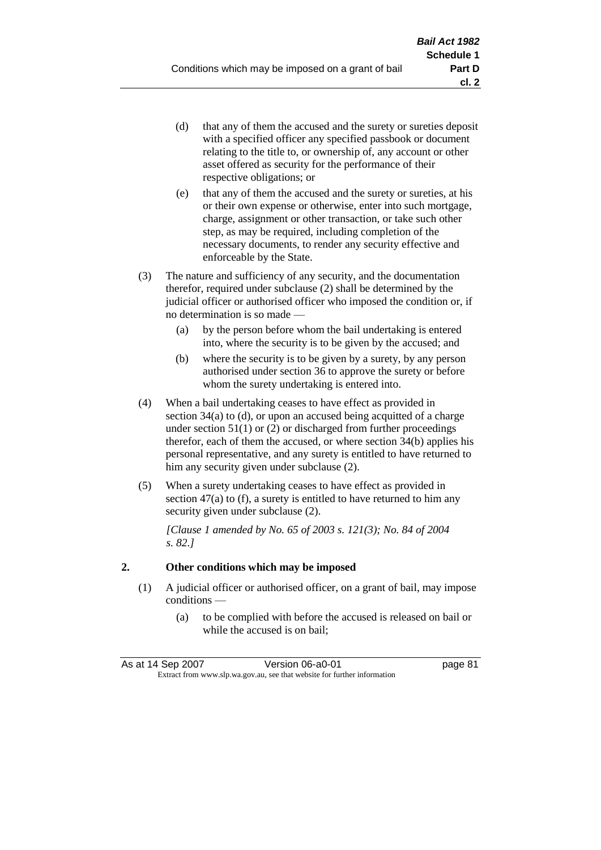- (d) that any of them the accused and the surety or sureties deposit with a specified officer any specified passbook or document relating to the title to, or ownership of, any account or other asset offered as security for the performance of their respective obligations; or
- (e) that any of them the accused and the surety or sureties, at his or their own expense or otherwise, enter into such mortgage, charge, assignment or other transaction, or take such other step, as may be required, including completion of the necessary documents, to render any security effective and enforceable by the State.
- (3) The nature and sufficiency of any security, and the documentation therefor, required under subclause (2) shall be determined by the judicial officer or authorised officer who imposed the condition or, if no determination is so made —
	- (a) by the person before whom the bail undertaking is entered into, where the security is to be given by the accused; and
	- (b) where the security is to be given by a surety, by any person authorised under section 36 to approve the surety or before whom the surety undertaking is entered into.
- (4) When a bail undertaking ceases to have effect as provided in section 34(a) to (d), or upon an accused being acquitted of a charge under section  $51(1)$  or (2) or discharged from further proceedings therefor, each of them the accused, or where section 34(b) applies his personal representative, and any surety is entitled to have returned to him any security given under subclause (2).
- (5) When a surety undertaking ceases to have effect as provided in section 47(a) to (f), a surety is entitled to have returned to him any security given under subclause  $(2)$ .

*[Clause 1 amended by No. 65 of 2003 s. 121(3); No. 84 of 2004 s. 82.]*

## **2. Other conditions which may be imposed**

- (1) A judicial officer or authorised officer, on a grant of bail, may impose conditions —
	- (a) to be complied with before the accused is released on bail or while the accused is on bail;

| As at 14 Sep 2007 | Version 06-a0-01                                                         | page 81 |
|-------------------|--------------------------------------------------------------------------|---------|
|                   | Extract from www.slp.wa.gov.au, see that website for further information |         |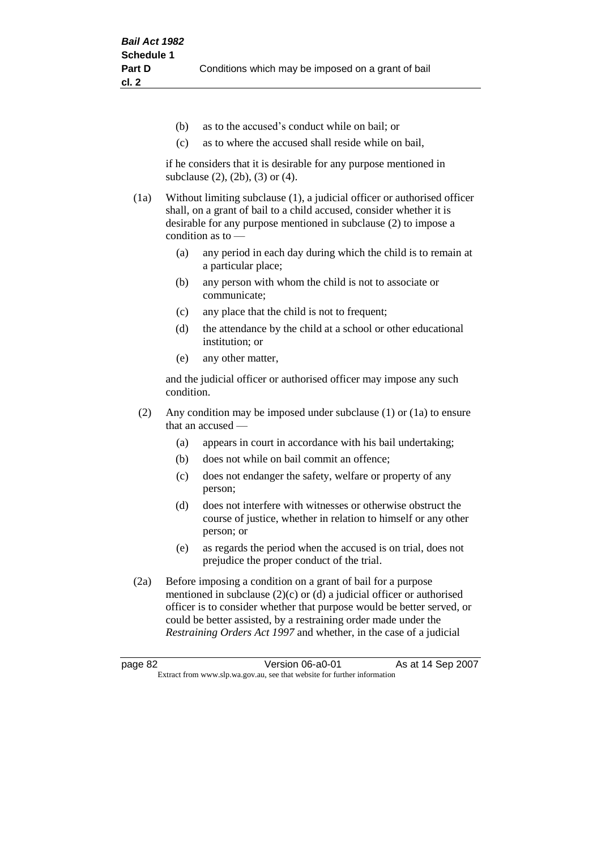- (b) as to the accused's conduct while on bail; or
- (c) as to where the accused shall reside while on bail,

if he considers that it is desirable for any purpose mentioned in subclause (2), (2b), (3) or (4).

(1a) Without limiting subclause (1), a judicial officer or authorised officer shall, on a grant of bail to a child accused, consider whether it is desirable for any purpose mentioned in subclause (2) to impose a condition as to —

- (a) any period in each day during which the child is to remain at a particular place;
- (b) any person with whom the child is not to associate or communicate;
- (c) any place that the child is not to frequent;
- (d) the attendance by the child at a school or other educational institution; or
- (e) any other matter,

and the judicial officer or authorised officer may impose any such condition.

- (2) Any condition may be imposed under subclause (1) or (1a) to ensure that an accused —
	- (a) appears in court in accordance with his bail undertaking;
	- (b) does not while on bail commit an offence;
	- (c) does not endanger the safety, welfare or property of any person;
	- (d) does not interfere with witnesses or otherwise obstruct the course of justice, whether in relation to himself or any other person; or
	- (e) as regards the period when the accused is on trial, does not prejudice the proper conduct of the trial.
- (2a) Before imposing a condition on a grant of bail for a purpose mentioned in subclause (2)(c) or (d) a judicial officer or authorised officer is to consider whether that purpose would be better served, or could be better assisted, by a restraining order made under the *Restraining Orders Act 1997* and whether, in the case of a judicial

page 82 **Version 06-a0-01** As at 14 Sep 2007 Extract from www.slp.wa.gov.au, see that website for further information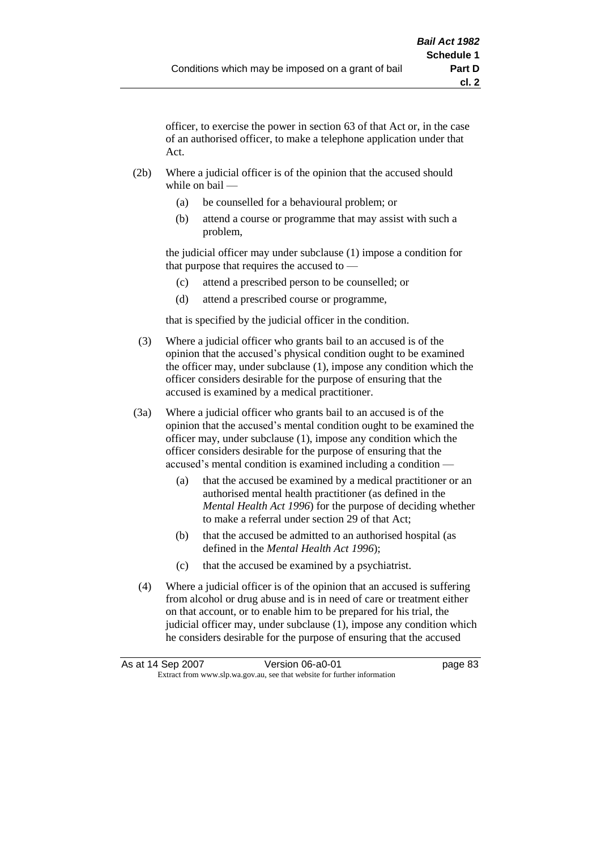officer, to exercise the power in section 63 of that Act or, in the case of an authorised officer, to make a telephone application under that Act.

- (2b) Where a judicial officer is of the opinion that the accused should while on bail —
	- (a) be counselled for a behavioural problem; or
	- (b) attend a course or programme that may assist with such a problem,

the judicial officer may under subclause (1) impose a condition for that purpose that requires the accused to —

- (c) attend a prescribed person to be counselled; or
- (d) attend a prescribed course or programme,

that is specified by the judicial officer in the condition.

- (3) Where a judicial officer who grants bail to an accused is of the opinion that the accused's physical condition ought to be examined the officer may, under subclause (1), impose any condition which the officer considers desirable for the purpose of ensuring that the accused is examined by a medical practitioner.
- (3a) Where a judicial officer who grants bail to an accused is of the opinion that the accused's mental condition ought to be examined the officer may, under subclause (1), impose any condition which the officer considers desirable for the purpose of ensuring that the accused's mental condition is examined including a condition —
	- (a) that the accused be examined by a medical practitioner or an authorised mental health practitioner (as defined in the *Mental Health Act 1996*) for the purpose of deciding whether to make a referral under section 29 of that Act;
	- (b) that the accused be admitted to an authorised hospital (as defined in the *Mental Health Act 1996*);
	- (c) that the accused be examined by a psychiatrist.
- (4) Where a judicial officer is of the opinion that an accused is suffering from alcohol or drug abuse and is in need of care or treatment either on that account, or to enable him to be prepared for his trial, the judicial officer may, under subclause (1), impose any condition which he considers desirable for the purpose of ensuring that the accused

| As at 14 Sep 2007 | Version 06-a0-01                                                         | page 83 |
|-------------------|--------------------------------------------------------------------------|---------|
|                   | Extract from www.slp.wa.gov.au, see that website for further information |         |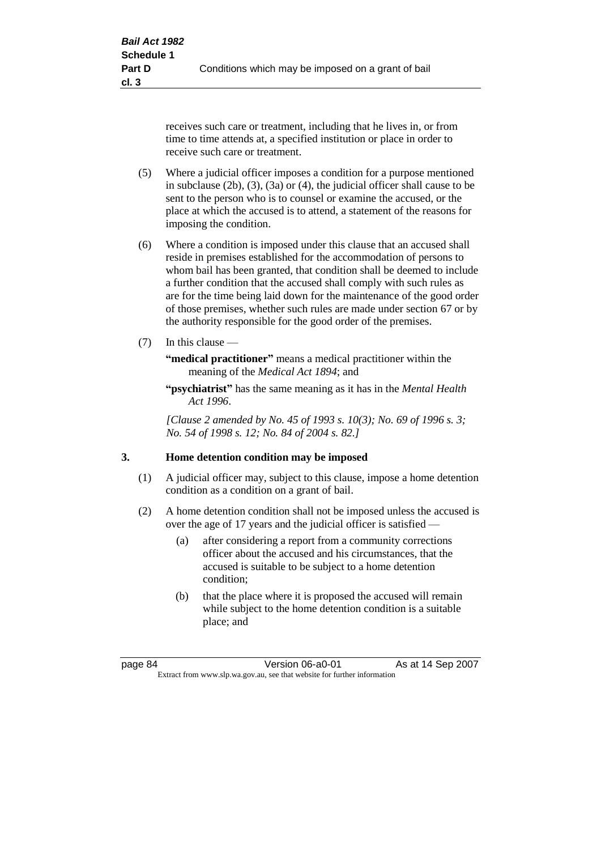receives such care or treatment, including that he lives in, or from time to time attends at, a specified institution or place in order to receive such care or treatment.

- (5) Where a judicial officer imposes a condition for a purpose mentioned in subclause (2b), (3), (3a) or (4), the judicial officer shall cause to be sent to the person who is to counsel or examine the accused, or the place at which the accused is to attend, a statement of the reasons for imposing the condition.
- (6) Where a condition is imposed under this clause that an accused shall reside in premises established for the accommodation of persons to whom bail has been granted, that condition shall be deemed to include a further condition that the accused shall comply with such rules as are for the time being laid down for the maintenance of the good order of those premises, whether such rules are made under section 67 or by the authority responsible for the good order of the premises.
- (7) In this clause —

**"medical practitioner"** means a medical practitioner within the meaning of the *Medical Act 1894*; and

**"psychiatrist"** has the same meaning as it has in the *Mental Health Act 1996*.

*[Clause 2 amended by No. 45 of 1993 s. 10(3); No. 69 of 1996 s. 3; No. 54 of 1998 s. 12; No. 84 of 2004 s. 82.]*

#### **3. Home detention condition may be imposed**

- (1) A judicial officer may, subject to this clause, impose a home detention condition as a condition on a grant of bail.
- (2) A home detention condition shall not be imposed unless the accused is over the age of 17 years and the judicial officer is satisfied —
	- (a) after considering a report from a community corrections officer about the accused and his circumstances, that the accused is suitable to be subject to a home detention condition;
	- (b) that the place where it is proposed the accused will remain while subject to the home detention condition is a suitable place; and

page 84 **Version 06-a0-01** As at 14 Sep 2007 Extract from www.slp.wa.gov.au, see that website for further information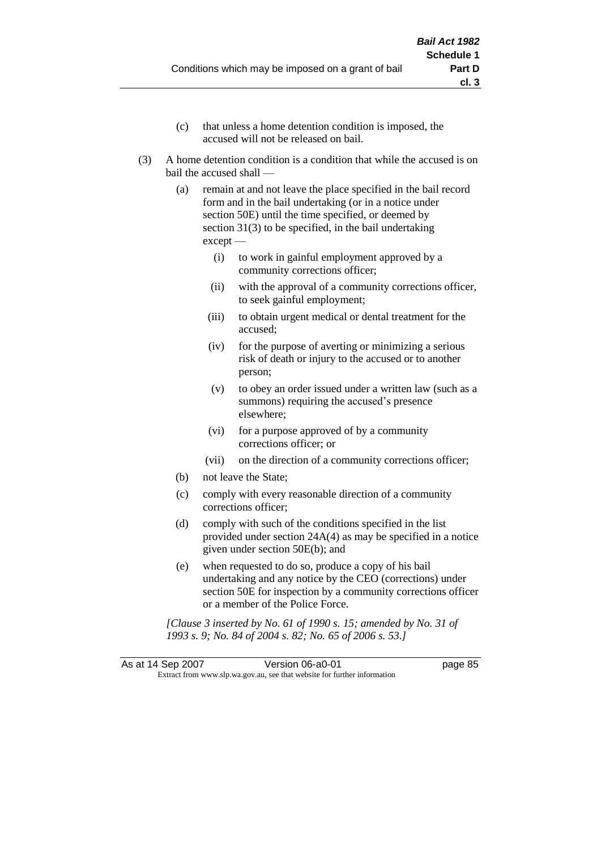- (c) that unless a home detention condition is imposed, the accused will not be released on bail.
- (3) A home detention condition is a condition that while the accused is on bail the accused shall —
	- (a) remain at and not leave the place specified in the bail record form and in the bail undertaking (or in a notice under section 50E) until the time specified, or deemed by section 31(3) to be specified, in the bail undertaking except —
		- (i) to work in gainful employment approved by a community corrections officer;
		- (ii) with the approval of a community corrections officer, to seek gainful employment;
		- (iii) to obtain urgent medical or dental treatment for the accused;
		- (iv) for the purpose of averting or minimizing a serious risk of death or injury to the accused or to another person;
		- (v) to obey an order issued under a written law (such as a summons) requiring the accused's presence elsewhere;
		- (vi) for a purpose approved of by a community corrections officer; or
		- (vii) on the direction of a community corrections officer;
	- (b) not leave the State;
	- (c) comply with every reasonable direction of a community corrections officer;
	- (d) comply with such of the conditions specified in the list provided under section 24A(4) as may be specified in a notice given under section 50E(b); and
	- (e) when requested to do so, produce a copy of his bail undertaking and any notice by the CEO (corrections) under section 50E for inspection by a community corrections officer or a member of the Police Force.

*[Clause 3 inserted by No. 61 of 1990 s. 15; amended by No. 31 of 1993 s. 9; No. 84 of 2004 s. 82; No. 65 of 2006 s. 53.]*

As at 14 Sep 2007 Version 06-a0-01 page 85 Extract from www.slp.wa.gov.au, see that website for further information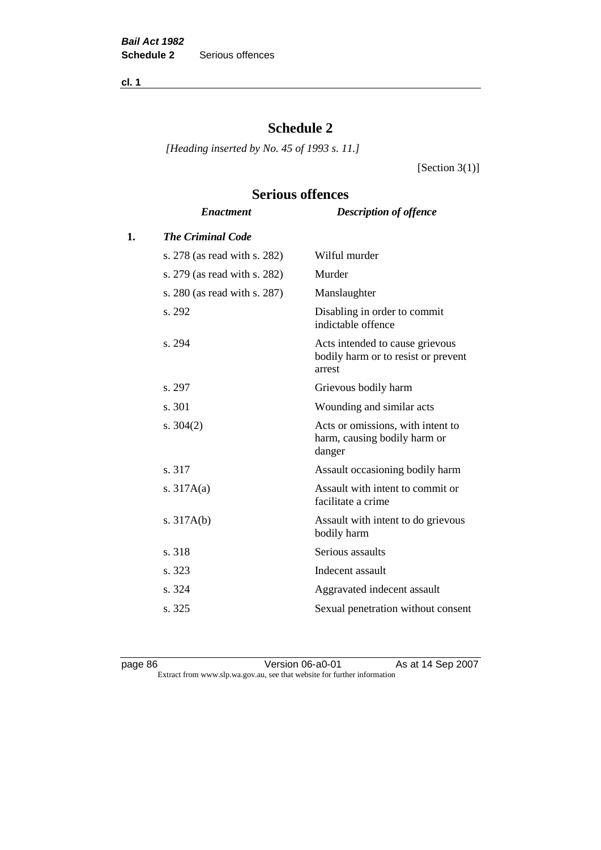**cl. 1**

# **Schedule 2**

**Serious offences**

*[Heading inserted by No. 45 of 1993 s. 11.]*

[Section  $3(1)$ ]

# *Enactment Description of offence* **1.** *The Criminal Code* s. 278 (as read with s. 282) Wilful murder s. 279 (as read with s. 282) Murder s. 280 (as read with s. 287) Manslaughter s. 292 Disabling in order to commit indictable offence s. 294 Acts intended to cause grievous bodily harm or to resist or prevent arrest s. 297 Grievous bodily harm s. 301 Wounding and similar acts s. 304(2) Acts or omissions, with intent to harm, causing bodily harm or danger s. 317 Assault occasioning bodily harm s. 317A(a) Assault with intent to commit or facilitate a crime s. 317A(b) Assault with intent to do grievous bodily harm s. 318 Serious assaults s. 323 Indecent assault s. 324 Aggravated indecent assault s. 325 Sexual penetration without consent

page 86 Version 06-a0-01 As at 14 Sep 2007 Extract from www.slp.wa.gov.au, see that website for further information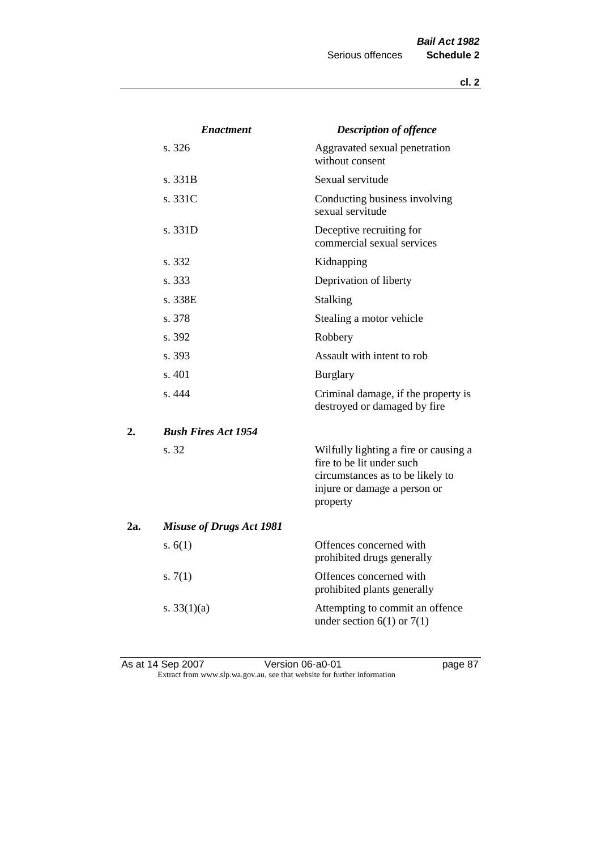|     | <b>Enactment</b>                | <b>Description of offence</b>                                                                                                                      |
|-----|---------------------------------|----------------------------------------------------------------------------------------------------------------------------------------------------|
|     | s. 326                          | Aggravated sexual penetration<br>without consent                                                                                                   |
|     | s. 331B                         | Sexual servitude                                                                                                                                   |
|     | s. 331C                         | Conducting business involving<br>sexual servitude                                                                                                  |
|     | s. 331D                         | Deceptive recruiting for<br>commercial sexual services                                                                                             |
|     | s. 332                          | Kidnapping                                                                                                                                         |
|     | s. 333                          | Deprivation of liberty                                                                                                                             |
|     | s. 338E                         | Stalking                                                                                                                                           |
|     | s. 378                          | Stealing a motor vehicle                                                                                                                           |
|     | s. 392                          | Robbery                                                                                                                                            |
|     | s. 393                          | Assault with intent to rob                                                                                                                         |
|     | s. 401                          | <b>Burglary</b>                                                                                                                                    |
|     | s. 444                          | Criminal damage, if the property is<br>destroyed or damaged by fire                                                                                |
| 2.  | <b>Bush Fires Act 1954</b>      |                                                                                                                                                    |
|     | s. 32                           | Wilfully lighting a fire or causing a<br>fire to be lit under such<br>circumstances as to be likely to<br>injure or damage a person or<br>property |
| 2a. | <b>Misuse of Drugs Act 1981</b> |                                                                                                                                                    |
|     | s. $6(1)$                       | Offences concerned with<br>prohibited drugs generally                                                                                              |
|     | s. $7(1)$                       | Offences concerned with<br>prohibited plants generally                                                                                             |
|     | s. $33(1)(a)$                   | Attempting to commit an offence<br>under section $6(1)$ or $7(1)$                                                                                  |

As at 14 Sep 2007 **Version 06-a0-01 page 87** Extract from www.slp.wa.gov.au, see that website for further information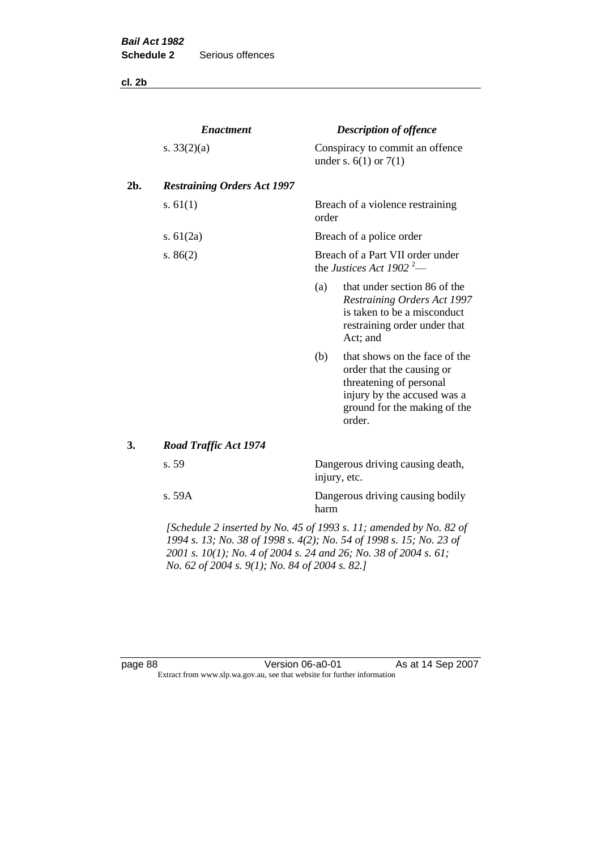**cl. 2b**

|     | <b>Enactment</b>                   |                                                                          | <b>Description of offence</b>                                                                                                                                  |  |
|-----|------------------------------------|--------------------------------------------------------------------------|----------------------------------------------------------------------------------------------------------------------------------------------------------------|--|
|     | s. $33(2)(a)$                      |                                                                          | Conspiracy to commit an offence<br>under s. $6(1)$ or $7(1)$                                                                                                   |  |
| 2b. | <b>Restraining Orders Act 1997</b> |                                                                          |                                                                                                                                                                |  |
|     | s. $61(1)$                         | order                                                                    | Breach of a violence restraining                                                                                                                               |  |
|     | s. $61(2a)$                        |                                                                          | Breach of a police order                                                                                                                                       |  |
|     | s. $86(2)$                         | Breach of a Part VII order under<br>the Justices Act 1902 <sup>2</sup> — |                                                                                                                                                                |  |
|     |                                    | (a)                                                                      | that under section 86 of the<br>Restraining Orders Act 1997<br>is taken to be a misconduct<br>restraining order under that<br>Act; and                         |  |
|     |                                    | (b)                                                                      | that shows on the face of the<br>order that the causing or<br>threatening of personal<br>injury by the accused was a<br>ground for the making of the<br>order. |  |
| 3.  | <b>Road Traffic Act 1974</b>       |                                                                          |                                                                                                                                                                |  |
|     | s. 59                              |                                                                          | Dangerous driving causing death,<br>injury, etc.                                                                                                               |  |
|     | s. 59A                             | harm                                                                     | Dangerous driving causing bodily                                                                                                                               |  |
|     |                                    | [Schedule 2 inserted by No. 45 of 1993 s. 11; amended by No. 82 of       |                                                                                                                                                                |  |

*1994 s. 13; No. 38 of 1998 s. 4(2); No. 54 of 1998 s. 15; No. 23 of 2001 s. 10(1); No. 4 of 2004 s. 24 and 26; No. 38 of 2004 s. 61; No. 62 of 2004 s. 9(1); No. 84 of 2004 s. 82.]* 

page 88 Version 06-a0-01 As at 14 Sep 2007 Extract from www.slp.wa.gov.au, see that website for further information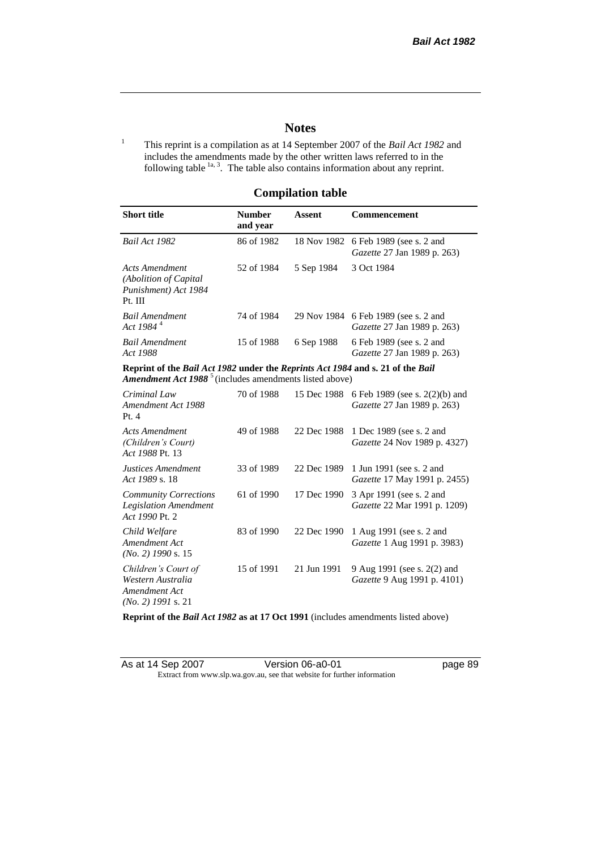page 89

# **Notes**

<sup>1</sup> This reprint is a compilation as at 14 September 2007 of the *Bail Act 1982* and includes the amendments made by the other written laws referred to in the following table  $1a, 3$ . The table also contains information about any reprint.

#### **Compilation table**

| <b>Short title</b>                                                                                                                                          | <b>Number</b><br>and year | Assent     | Commencement                                                               |
|-------------------------------------------------------------------------------------------------------------------------------------------------------------|---------------------------|------------|----------------------------------------------------------------------------|
| Bail Act 1982                                                                                                                                               | 86 of 1982                |            | 18 Nov 1982 6 Feb 1989 (see s. 2 and<br><i>Gazette</i> 27 Jan 1989 p. 263) |
| Acts Amendment<br>(Abolition of Capital)<br>Punishment) Act 1984<br>Pt. III                                                                                 | 52 of 1984                | 5 Sep 1984 | 3 Oct 1984                                                                 |
| <b>Bail Amendment</b><br>Act 1984 <sup>4</sup>                                                                                                              | 74 of 1984                |            | 29 Nov 1984 6 Feb 1989 (see s. 2 and<br><i>Gazette</i> 27 Jan 1989 p. 263) |
| <b>Bail Amendment</b><br>Act 1988                                                                                                                           | 15 of 1988                | 6 Sep 1988 | 6 Feb 1989 (see s. 2 and<br><i>Gazette</i> 27 Jan 1989 p. 263)             |
| Reprint of the Bail Act 1982 under the Reprints Act 1984 and s. 21 of the Bail<br><b>Amendment Act 1988</b> <sup>5</sup> (includes amendments listed above) |                           |            |                                                                            |

| Criminal Law<br>Amendment Act 1988<br>Pt.4                                        | 70 of 1988 | 15 Dec 1988 | 6 Feb 1989 (see s. 2(2)(b) and<br><i>Gazette</i> 27 Jan 1989 p. 263) |
|-----------------------------------------------------------------------------------|------------|-------------|----------------------------------------------------------------------|
| <b>Acts Amendment</b><br>(Children's Court)<br>Act 1988 Pt. 13                    | 49 of 1988 | 22 Dec 1988 | 1 Dec 1989 (see s. 2 and<br><i>Gazette</i> 24 Nov 1989 p. 4327)      |
| Justices Amendment<br>Act 1989 s. 18                                              | 33 of 1989 | 22 Dec 1989 | 1 Jun 1991 (see s. 2 and<br><i>Gazette</i> 17 May 1991 p. 2455)      |
| <b>Community Corrections</b><br><b>Legislation Amendment</b><br>Act 1990 Pt. 2    | 61 of 1990 | 17 Dec 1990 | 3 Apr 1991 (see s. 2 and<br>Gazette 22 Mar 1991 p. 1209)             |
| Child Welfare<br>Amendment Act<br>$(No. 2)$ 1990 s. 15                            | 83 of 1990 | 22 Dec 1990 | 1 Aug 1991 (see s. 2 and<br><i>Gazette</i> 1 Aug 1991 p. 3983)       |
| Children's Court of<br>Western Australia<br>Amendment Act<br>$(No. 2)$ 1991 s. 21 | 15 of 1991 | 21 Jun 1991 | 9 Aug 1991 (see s. 2(2) and<br><i>Gazette</i> 9 Aug 1991 p. 4101)    |

**Reprint of the** *Bail Act 1982* **as at 17 Oct 1991** (includes amendments listed above)

| As at 14 Sep 2007 | Version 06-a0-01                                                         |
|-------------------|--------------------------------------------------------------------------|
|                   | Extract from www.slp.wa.gov.au, see that website for further information |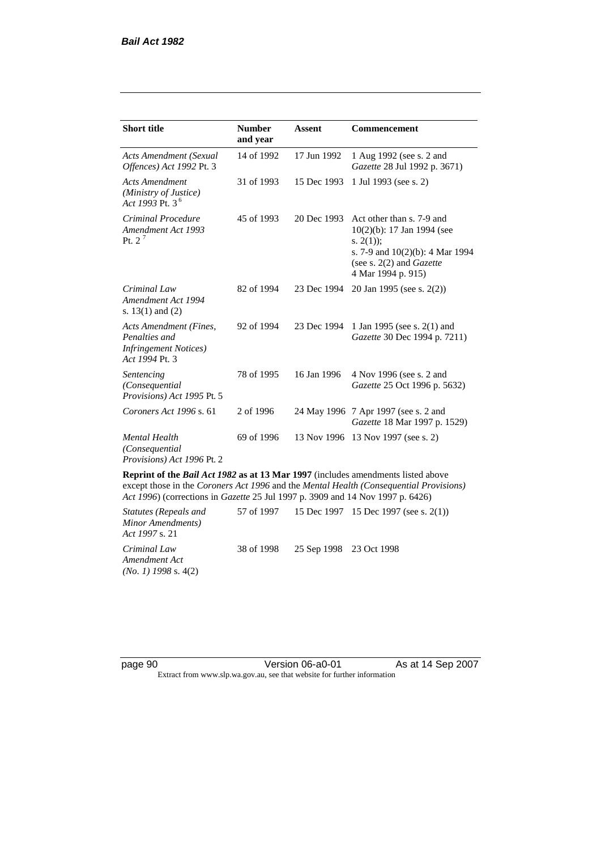| <b>Short title</b>                                                                         | <b>Number</b><br>and year | Assent      | Commencement                                                                                                                                                      |
|--------------------------------------------------------------------------------------------|---------------------------|-------------|-------------------------------------------------------------------------------------------------------------------------------------------------------------------|
| Acts Amendment (Sexual<br>Offences) Act 1992 Pt. 3                                         | 14 of 1992                | 17 Jun 1992 | 1 Aug 1992 (see s. 2 and<br><i>Gazette</i> 28 Jul 1992 p. 3671)                                                                                                   |
| <b>Acts Amendment</b><br>(Ministry of Justice)<br>Act 1993 Pt. 3 <sup>6</sup>              | 31 of 1993                | 15 Dec 1993 | 1 Jul 1993 (see s. 2)                                                                                                                                             |
| Criminal Procedure<br>Amendment Act 1993<br>Pt. $2^7$                                      | 45 of 1993                | 20 Dec 1993 | Act other than s. 7-9 and<br>$10(2)(b)$ : 17 Jan 1994 (see<br>s. $2(1)$ ;<br>s. 7-9 and $10(2)(b)$ : 4 Mar 1994<br>(see s. 2(2) and Gazette<br>4 Mar 1994 p. 915) |
| Criminal Law<br>Amendment Act 1994<br>s. $13(1)$ and $(2)$                                 | 82 of 1994                | 23 Dec 1994 | 20 Jan 1995 (see s. 2(2))                                                                                                                                         |
| Acts Amendment (Fines,<br>Penalties and<br><b>Infringement Notices</b> )<br>Act 1994 Pt. 3 | 92 of 1994                | 23 Dec 1994 | 1 Jan 1995 (see s. 2(1) and<br>Gazette 30 Dec 1994 p. 7211)                                                                                                       |
| Sentencing<br>(Consequential<br>Provisions) Act 1995 Pt. 5                                 | 78 of 1995                | 16 Jan 1996 | 4 Nov 1996 (see s. 2 and<br>Gazette 25 Oct 1996 p. 5632)                                                                                                          |
| Coroners Act 1996 s. 61                                                                    | 2 of 1996                 |             | 24 May 1996 7 Apr 1997 (see s. 2 and<br>Gazette 18 Mar 1997 p. 1529)                                                                                              |
| <b>Mental Health</b><br>(Consequential)<br>Provisions) Act 1996 Pt. 2                      | 69 of 1996                | 13 Nov 1996 | 13 Nov 1997 (see s. 2)                                                                                                                                            |

**Reprint of the** *Bail Act 1982* **as at 13 Mar 1997** (includes amendments listed above except those in the *Coroners Act 1996* and the *Mental Health (Consequential Provisions) Act 1996*) (corrections in *Gazette* 25 Jul 1997 p. 3909 and 14 Nov 1997 p. 6426)

*Statutes (Repeals and Minor Amendments) Act 1997* s. 21 57 of 1997 15 Dec 1997 15 Dec 1997 (see s. 2(1)) *Criminal Law Amendment Act (No. 1) 1998* s. 4(2) 38 of 1998 25 Sep 1998 23 Oct 1998

page 90 Version 06-a0-01 As at 14 Sep 2007 Extract from www.slp.wa.gov.au, see that website for further information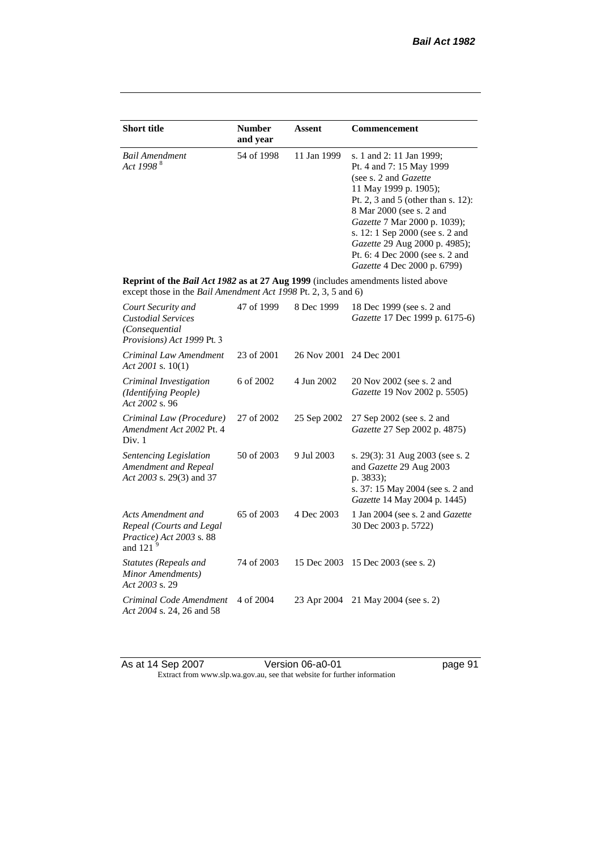| <b>Short title</b>                                                                                                                                 | <b>Number</b><br>and year | <b>Assent</b> | <b>Commencement</b>                                                                                                                                                                                                                                                                                                                                     |
|----------------------------------------------------------------------------------------------------------------------------------------------------|---------------------------|---------------|---------------------------------------------------------------------------------------------------------------------------------------------------------------------------------------------------------------------------------------------------------------------------------------------------------------------------------------------------------|
| <b>Bail Amendment</b><br>Act 1998 <sup>8</sup>                                                                                                     | 54 of 1998                | 11 Jan 1999   | s. 1 and 2: 11 Jan 1999;<br>Pt. 4 and 7: 15 May 1999<br>(see s. 2 and <i>Gazette</i> )<br>11 May 1999 p. 1905);<br>Pt. 2, 3 and 5 (other than s. 12):<br>8 Mar 2000 (see s. 2 and<br>Gazette 7 Mar 2000 p. 1039);<br>s. 12: 1 Sep 2000 (see s. 2 and<br>Gazette 29 Aug 2000 p. 4985);<br>Pt. 6: 4 Dec 2000 (see s. 2 and<br>Gazette 4 Dec 2000 p. 6799) |
| Reprint of the Bail Act 1982 as at 27 Aug 1999 (includes amendments listed above<br>except those in the Bail Amendment Act 1998 Pt. 2, 3, 5 and 6) |                           |               |                                                                                                                                                                                                                                                                                                                                                         |
| Court Security and<br><b>Custodial Services</b><br>(Consequential)<br>Provisions) Act 1999 Pt. 3                                                   | 47 of 1999                | 8 Dec 1999    | 18 Dec 1999 (see s. 2 and<br>Gazette 17 Dec 1999 p. 6175-6)                                                                                                                                                                                                                                                                                             |
| Criminal Law Amendment<br>Act 2001 s. $10(1)$                                                                                                      | 23 of 2001                | 26 Nov 2001   | 24 Dec 2001                                                                                                                                                                                                                                                                                                                                             |
| Criminal Investigation<br>(Identifying People)<br>Act 2002 s. 96                                                                                   | 6 of 2002                 | 4 Jun 2002    | 20 Nov 2002 (see s. 2 and<br>Gazette 19 Nov 2002 p. 5505)                                                                                                                                                                                                                                                                                               |
| Criminal Law (Procedure)<br>Amendment Act 2002 Pt. 4<br>Div. 1                                                                                     | 27 of 2002                | 25 Sep 2002   | 27 Sep 2002 (see s. 2 and<br>Gazette 27 Sep 2002 p. 4875)                                                                                                                                                                                                                                                                                               |
| Sentencing Legislation<br>Amendment and Repeal<br>Act 2003 s. 29(3) and 37                                                                         | 50 of 2003                | 9 Jul 2003    | s. 29(3): 31 Aug 2003 (see s. 2<br>and Gazette 29 Aug 2003<br>p. 3833);<br>s. 37: 15 May 2004 (see s. 2 and<br>Gazette 14 May 2004 p. 1445)                                                                                                                                                                                                             |
| Acts Amendment and<br>Repeal (Courts and Legal<br>Practice) Act 2003 s. 88<br>and 121 $^{9}$                                                       | 65 of 2003                | 4 Dec 2003    | 1 Jan 2004 (see s. 2 and <i>Gazette</i><br>30 Dec 2003 p. 5722)                                                                                                                                                                                                                                                                                         |
| Statutes (Repeals and<br>Minor Amendments)<br>Act 2003 s. 29                                                                                       | 74 of 2003                | 15 Dec 2003   | 15 Dec 2003 (see s. 2)                                                                                                                                                                                                                                                                                                                                  |
| Criminal Code Amendment<br>Act 2004 s. 24, 26 and 58                                                                                               | 4 of 2004                 | 23 Apr 2004   | 21 May 2004 (see s. 2)                                                                                                                                                                                                                                                                                                                                  |

As at 14 Sep 2007 **Version 06-a0-01 Page 91 page 91** Extract from www.slp.wa.gov.au, see that website for further information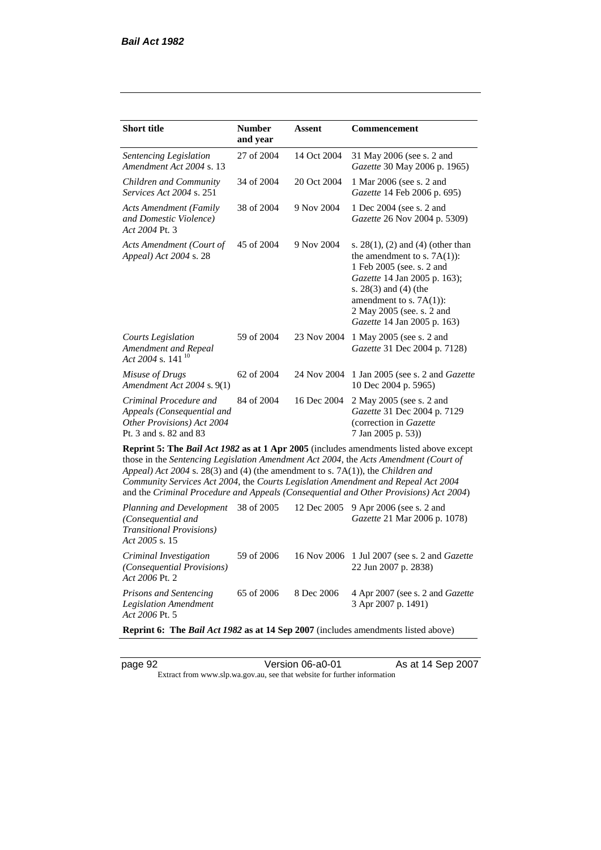| <b>Short title</b>                                                                                           | <b>Number</b><br>and year | Assent      | Commencement                                                                                                                                                                                                                                                                                                                                                 |
|--------------------------------------------------------------------------------------------------------------|---------------------------|-------------|--------------------------------------------------------------------------------------------------------------------------------------------------------------------------------------------------------------------------------------------------------------------------------------------------------------------------------------------------------------|
| Sentencing Legislation<br>Amendment Act 2004 s. 13                                                           | 27 of 2004                | 14 Oct 2004 | 31 May 2006 (see s. 2 and<br>Gazette 30 May 2006 p. 1965)                                                                                                                                                                                                                                                                                                    |
| Children and Community<br><i>Services Act 2004 s. 251</i>                                                    | 34 of 2004                | 20 Oct 2004 | 1 Mar 2006 (see s. 2 and<br>Gazette 14 Feb 2006 p. 695)                                                                                                                                                                                                                                                                                                      |
| Acts Amendment (Family<br>and Domestic Violence)<br>Act 2004 Pt. 3                                           | 38 of 2004                | 9 Nov 2004  | 1 Dec 2004 (see s. 2 and<br>Gazette 26 Nov 2004 p. 5309)                                                                                                                                                                                                                                                                                                     |
| Acts Amendment (Court of<br>Appeal) Act 2004 s. 28                                                           | 45 of 2004                | 9 Nov 2004  | s. $28(1)$ , (2) and (4) (other than<br>the amendment to s. $7A(1)$ :<br>1 Feb 2005 (see. s. 2 and<br>Gazette 14 Jan 2005 p. 163);<br>s. $28(3)$ and $(4)$ (the<br>amendment to s. $7A(1)$ :<br>2 May 2005 (see. s. 2 and<br>Gazette 14 Jan 2005 p. 163)                                                                                                     |
| <b>Courts Legislation</b><br>Amendment and Repeal<br>Act 2004 s. 141 <sup>10</sup>                           | 59 of 2004                | 23 Nov 2004 | 1 May 2005 (see s. 2 and<br>Gazette 31 Dec 2004 p. 7128)                                                                                                                                                                                                                                                                                                     |
| Misuse of Drugs<br>Amendment Act 2004 s. 9(1)                                                                | 62 of 2004                | 24 Nov 2004 | 1 Jan 2005 (see s. 2 and Gazette<br>10 Dec 2004 p. 5965)                                                                                                                                                                                                                                                                                                     |
| Criminal Procedure and<br>Appeals (Consequential and<br>Other Provisions) Act 2004<br>Pt. 3 and s. 82 and 83 | 84 of 2004                | 16 Dec 2004 | 2 May 2005 (see s. 2 and<br>Gazette 31 Dec 2004 p. 7129<br>(correction in Gazette<br>7 Jan 2005 p. 53))                                                                                                                                                                                                                                                      |
| Appeal) Act 2004 s. 28(3) and (4) (the amendment to s. 7A(1)), the Children and                              |                           |             | Reprint 5: The Bail Act 1982 as at 1 Apr 2005 (includes amendments listed above except<br>those in the Sentencing Legislation Amendment Act 2004, the Acts Amendment (Court of<br>Community Services Act 2004, the Courts Legislation Amendment and Repeal Act 2004<br>and the Criminal Procedure and Appeals (Consequential and Other Provisions) Act 2004) |
| Planning and Development<br>(Consequential and<br><b>Transitional Provisions</b> )<br>Act 2005 s. 15         | 38 of 2005                | 12 Dec 2005 | 9 Apr 2006 (see s. 2 and<br>Gazette 21 Mar 2006 p. 1078)                                                                                                                                                                                                                                                                                                     |
| Criminal Investigation<br>(Consequential Provisions)<br>Act 2006 Pt. 2                                       | 59 of 2006                | 16 Nov 2006 | 1 Jul 2007 (see s. 2 and <i>Gazette</i><br>22 Jun 2007 p. 2838)                                                                                                                                                                                                                                                                                              |
| <b>Prisons and Sentencing</b>                                                                                | 65 of 2006                | 8 Dec 2006  | 4 Apr 2007 (see s. 2 and Gazette                                                                                                                                                                                                                                                                                                                             |

**Reprint 6: The** *Bail Act 1982* **as at 14 Sep 2007** (includes amendments listed above)

*Act 2006* Pt. 5

*Legislation Amendment* 

page 92 Version 06-a0-01 As at 14 Sep 2007

3 Apr 2007 p. 1491)

Extract from www.slp.wa.gov.au, see that website for further information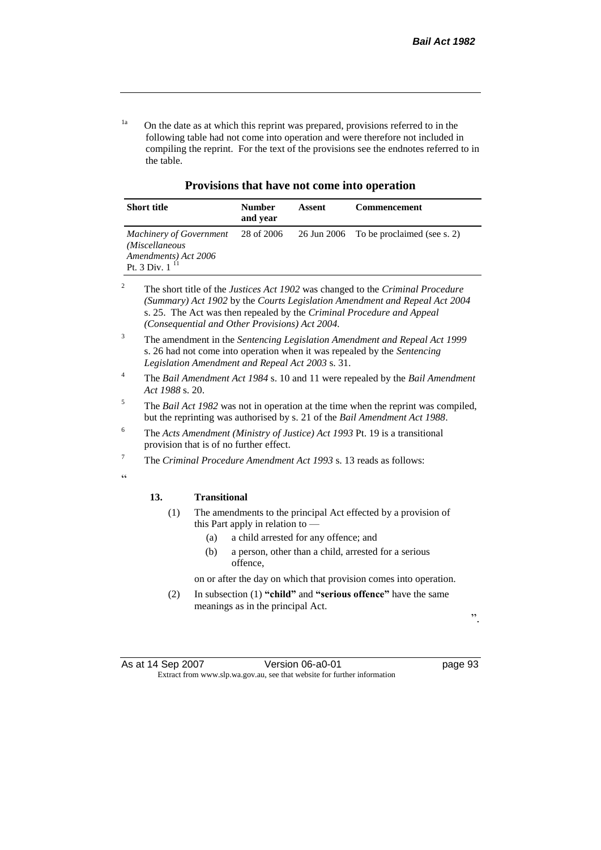<sup>1a</sup> On the date as at which this reprint was prepared, provisions referred to in the following table had not come into operation and were therefore not included in compiling the reprint. For the text of the provisions see the endnotes referred to in the table.

**Provisions that have not come into operation**

| <b>Short title</b>                                                                           | <b>Number</b><br>and year | Assent | <b>Commencement</b>                     |
|----------------------------------------------------------------------------------------------|---------------------------|--------|-----------------------------------------|
| <b>Machinery of Government</b><br>(Miscellaneous<br>Amendments) Act 2006<br>Pt. 3 Div. $111$ | 28 of 2006                |        | 26 Jun 2006 To be proclaimed (see s. 2) |

<sup>2</sup> The short title of the *Justices Act 1902* was changed to the *Criminal Procedure (Summary) Act 1902* by the *Courts Legislation Amendment and Repeal Act 2004*  s. 25. The Act was then repealed by the *Criminal Procedure and Appeal (Consequential and Other Provisions) Act 2004.*

<sup>3</sup> The amendment in the *Sentencing Legislation Amendment and Repeal Act 1999* s. 26 had not come into operation when it was repealed by the *Sentencing Legislation Amendment and Repeal Act 2003* s. 31.

- <sup>4</sup> The *Bail Amendment Act 1984* s. 10 and 11 were repealed by the *Bail Amendment Act 1988* s. 20.
- <sup>5</sup> The *Bail Act 1982* was not in operation at the time when the reprint was compiled, but the reprinting was authorised by s. 21 of the *Bail Amendment Act 1988*.
- <sup>6</sup> The *Acts Amendment (Ministry of Justice) Act 1993* Pt. 19 is a transitional provision that is of no further effect.
- <sup>7</sup> The *Criminal Procedure Amendment Act 1993* s. 13 reads as follows:

#### **13. Transitional**

- (1) The amendments to the principal Act effected by a provision of this Part apply in relation to —
	- (a) a child arrested for any offence; and
	- (b) a person, other than a child, arrested for a serious offence,

on or after the day on which that provision comes into operation.

(2) In subsection (1) **"child"** and **"serious offence"** have the same meanings as in the principal Act.

".

As at 14 Sep 2007 Version 06-a0-01 Page 93 Extract from www.slp.wa.gov.au, see that website for further information

 $\ddot{\epsilon}$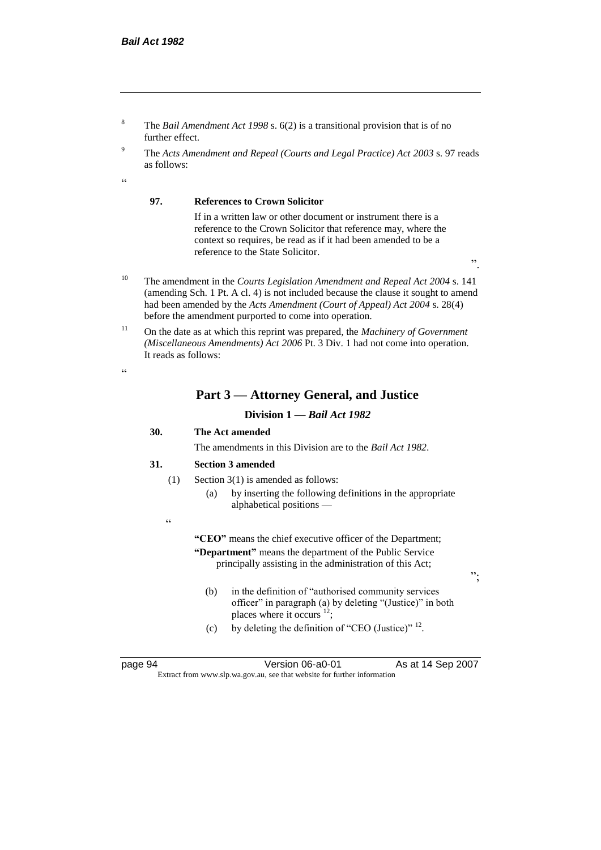- <sup>8</sup> The *Bail Amendment Act 1998* s. 6(2) is a transitional provision that is of no further effect.
- <sup>9</sup> The *Acts Amendment and Repeal (Courts and Legal Practice) Act 2003* s. 97 reads as follows:

 $\epsilon$ 

#### **97. References to Crown Solicitor**

If in a written law or other document or instrument there is a reference to the Crown Solicitor that reference may, where the context so requires, be read as if it had been amended to be a reference to the State Solicitor.

".

- <sup>10</sup> The amendment in the *Courts Legislation Amendment and Repeal Act 2004* s. 141 (amending Sch. 1 Pt. A cl. 4) is not included because the clause it sought to amend had been amended by the *Acts Amendment (Court of Appeal) Act 2004* s. 28(4) before the amendment purported to come into operation.
- <sup>11</sup> On the date as at which this reprint was prepared, the *Machinery of Government (Miscellaneous Amendments) Act 2006* Pt. 3 Div. 1 had not come into operation. It reads as follows:

 $\alpha$ 

#### **Part 3 — Attorney General, and Justice**

#### **Division 1 —** *Bail Act 1982*

#### **30. The Act amended**

The amendments in this Division are to the *Bail Act 1982*.

#### **31. Section 3 amended**

- (1) Section 3(1) is amended as follows:
	- (a) by inserting the following definitions in the appropriate alphabetical positions —
- "

**"CEO"** means the chief executive officer of the Department; **"Department"** means the department of the Public Service principally assisting in the administration of this Act;

- (b) in the definition of "authorised community services
- officer" in paragraph (a) by deleting "(Justice)" in both places where it occurs  $12$ ;
- (c) by deleting the definition of "CEO (Justice)"  $^{12}$ .

page 94 Version 06-a0-01 As at 14 Sep 2007 Extract from www.slp.wa.gov.au, see that website for further information

";